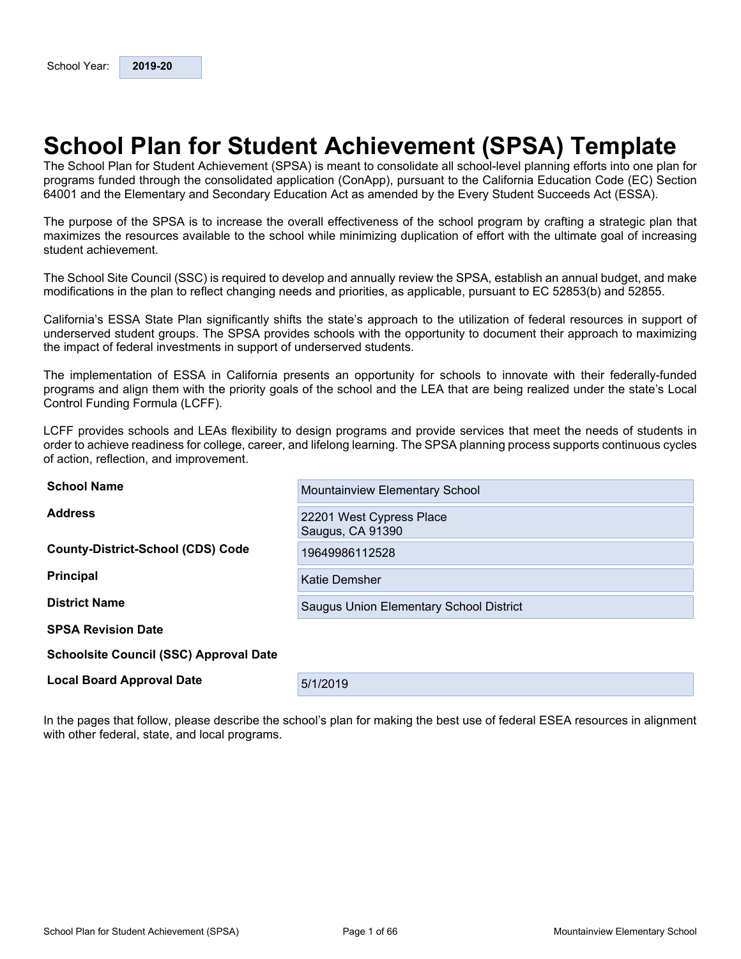## <span id="page-0-0"></span>**School Plan for Student Achievement (SPSA) Template**

The School Plan for Student Achievement (SPSA) is meant to consolidate all school-level planning efforts into one plan for programs funded through the consolidated application (ConApp), pursuant to the California Education Code (EC) Section 64001 and the Elementary and Secondary Education Act as amended by the Every Student Succeeds Act (ESSA).

The purpose of the SPSA is to increase the overall effectiveness of the school program by crafting a strategic plan that maximizes the resources available to the school while minimizing duplication of effort with the ultimate goal of increasing student achievement.

The School Site Council (SSC) is required to develop and annually review the SPSA, establish an annual budget, and make modifications in the plan to reflect changing needs and priorities, as applicable, pursuant to EC 52853(b) and 52855.

California's ESSA State Plan significantly shifts the state's approach to the utilization of federal resources in support of underserved student groups. The SPSA provides schools with the opportunity to document their approach to maximizing the impact of federal investments in support of underserved students.

The implementation of ESSA in California presents an opportunity for schools to innovate with their federally-funded programs and align them with the priority goals of the school and the LEA that are being realized under the state's Local Control Funding Formula (LCFF).

LCFF provides schools and LEAs flexibility to design programs and provide services that meet the needs of students in order to achieve readiness for college, career, and lifelong learning. The SPSA planning process supports continuous cycles of action, reflection, and improvement.

| <b>School Name</b>                            | Mountainview Elementary School               |
|-----------------------------------------------|----------------------------------------------|
| <b>Address</b>                                | 22201 West Cypress Place<br>Saugus, CA 91390 |
| <b>County-District-School (CDS) Code</b>      | 19649986112528                               |
| <b>Principal</b>                              | <b>Katie Demsher</b>                         |
| <b>District Name</b>                          | Saugus Union Elementary School District      |
| <b>SPSA Revision Date</b>                     |                                              |
| <b>Schoolsite Council (SSC) Approval Date</b> |                                              |
| <b>Local Board Approval Date</b>              | 5/1/2019                                     |

In the pages that follow, please describe the school's plan for making the best use of federal ESEA resources in alignment with other federal, state, and local programs.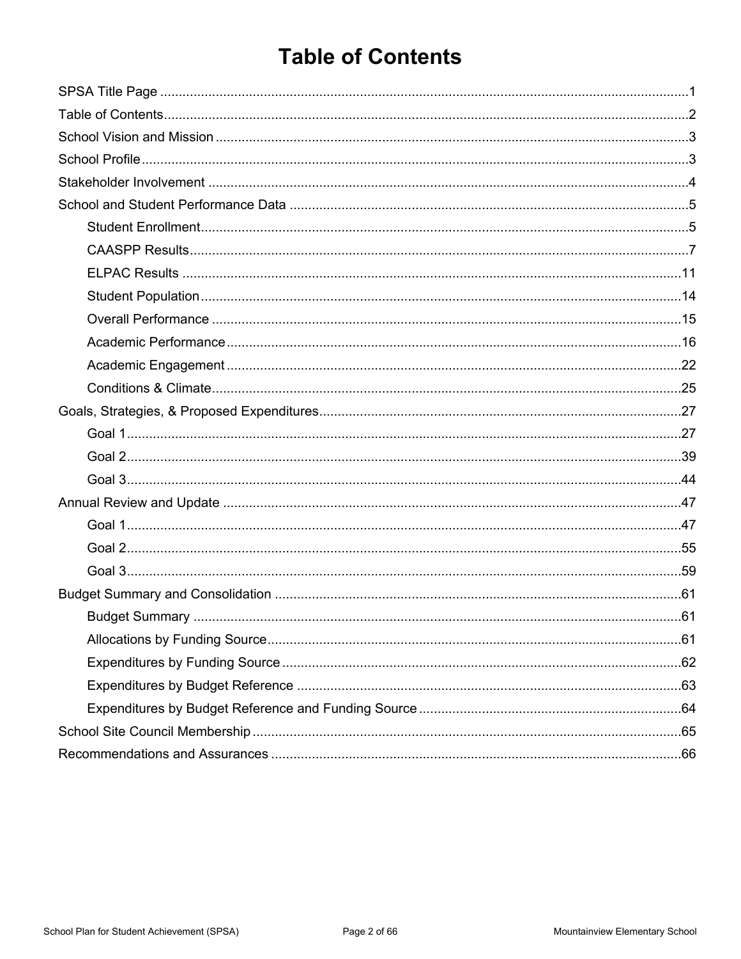## <span id="page-1-0"></span>**Table of Contents**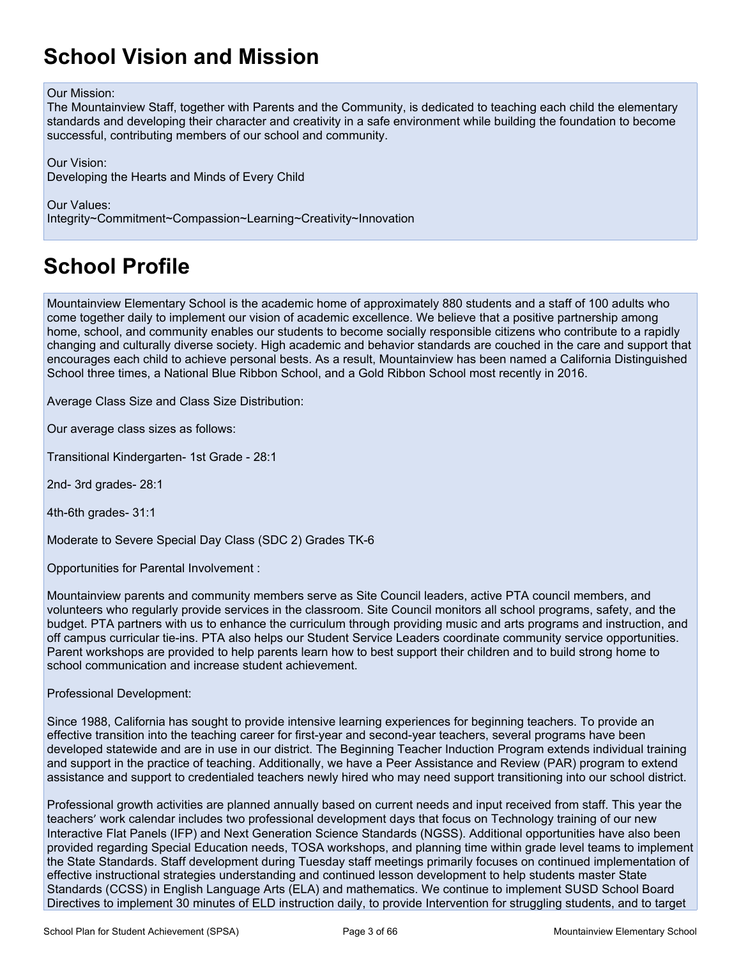## <span id="page-2-0"></span>**School Vision and Mission**

Our Mission:

The Mountainview Staff, together with Parents and the Community, is dedicated to teaching each child the elementary standards and developing their character and creativity in a safe environment while building the foundation to become successful, contributing members of our school and community.

Our Vision: Developing the Hearts and Minds of Every Child

Our Values: Integrity~Commitment~Compassion~Learning~Creativity~Innovation

## <span id="page-2-1"></span>**School Profile**

Mountainview Elementary School is the academic home of approximately 880 students and a staff of 100 adults who come together daily to implement our vision of academic excellence. We believe that a positive partnership among home, school, and community enables our students to become socially responsible citizens who contribute to a rapidly changing and culturally diverse society. High academic and behavior standards are couched in the care and support that encourages each child to achieve personal bests. As a result, Mountainview has been named a California Distinguished School three times, a National Blue Ribbon School, and a Gold Ribbon School most recently in 2016.

Average Class Size and Class Size Distribution:

Our average class sizes as follows:

Transitional Kindergarten- 1st Grade - 28:1

2nd- 3rd grades- 28:1

4th-6th grades- 31:1

Moderate to Severe Special Day Class (SDC 2) Grades TK-6

Opportunities for Parental Involvement :

Mountainview parents and community members serve as Site Council leaders, active PTA council members, and volunteers who regularly provide services in the classroom. Site Council monitors all school programs, safety, and the budget. PTA partners with us to enhance the curriculum through providing music and arts programs and instruction, and off campus curricular tie-ins. PTA also helps our Student Service Leaders coordinate community service opportunities. Parent workshops are provided to help parents learn how to best support their children and to build strong home to school communication and increase student achievement.

Professional Development:

Since 1988, California has sought to provide intensive learning experiences for beginning teachers. To provide an effective transition into the teaching career for first-year and second-year teachers, several programs have been developed statewide and are in use in our district. The Beginning Teacher Induction Program extends individual training and support in the practice of teaching. Additionally, we have a Peer Assistance and Review (PAR) program to extend assistance and support to credentialed teachers newly hired who may need support transitioning into our school district.

Professional growth activities are planned annually based on current needs and input received from staff. This year the teachers' work calendar includes two professional development days that focus on Technology training of our new Interactive Flat Panels (IFP) and Next Generation Science Standards (NGSS). Additional opportunities have also been provided regarding Special Education needs, TOSA workshops, and planning time within grade level teams to implement the State Standards. Staff development during Tuesday staff meetings primarily focuses on continued implementation of effective instructional strategies understanding and continued lesson development to help students master State Standards (CCSS) in English Language Arts (ELA) and mathematics. We continue to implement SUSD School Board Directives to implement 30 minutes of ELD instruction daily, to provide Intervention for struggling students, and to target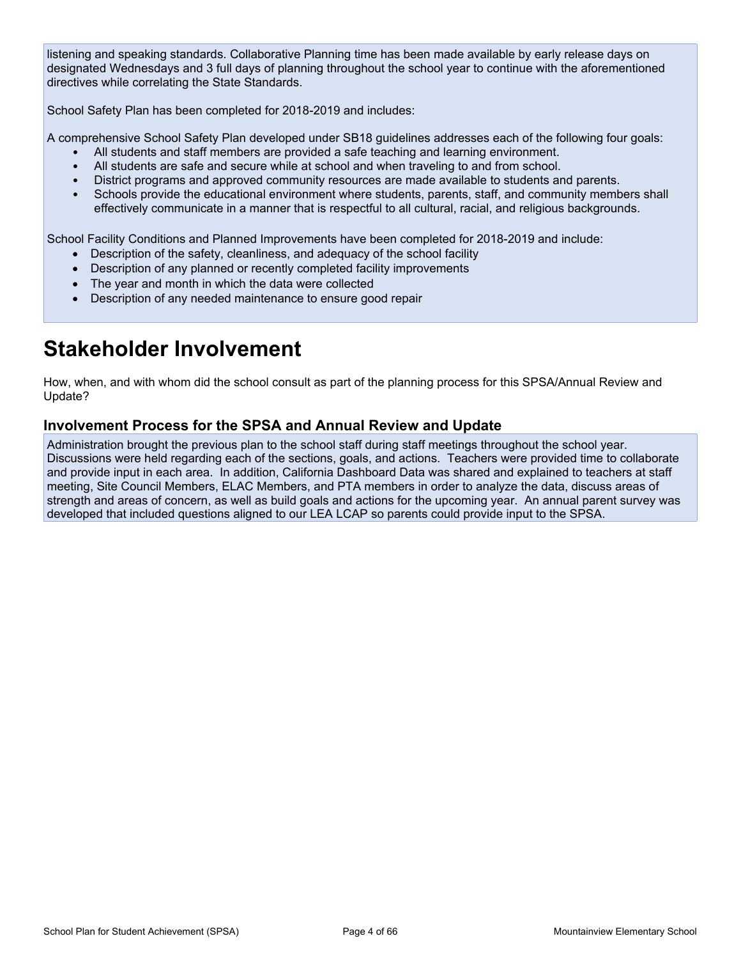listening and speaking standards. Collaborative Planning time has been made available by early release days on designated Wednesdays and 3 full days of planning throughout the school year to continue with the aforementioned directives while correlating the State Standards.

School Safety Plan has been completed for 2018-2019 and includes:

A comprehensive School Safety Plan developed under SB18 guidelines addresses each of the following four goals:

- All students and staff members are provided a safe teaching and learning environment.
- All students are safe and secure while at school and when traveling to and from school.
- District programs and approved community resources are made available to students and parents.
- Schools provide the educational environment where students, parents, staff, and community members shall effectively communicate in a manner that is respectful to all cultural, racial, and religious backgrounds.

School Facility Conditions and Planned Improvements have been completed for 2018-2019 and include:

- Description of the safety, cleanliness, and adequacy of the school facility
- Description of any planned or recently completed facility improvements
- The year and month in which the data were collected
- Description of any needed maintenance to ensure good repair

## <span id="page-3-0"></span>**Stakeholder Involvement**

How, when, and with whom did the school consult as part of the planning process for this SPSA/Annual Review and Update?

### **Involvement Process for the SPSA and Annual Review and Update**

Administration brought the previous plan to the school staff during staff meetings throughout the school year. Discussions were held regarding each of the sections, goals, and actions. Teachers were provided time to collaborate and provide input in each area. In addition, California Dashboard Data was shared and explained to teachers at staff meeting, Site Council Members, ELAC Members, and PTA members in order to analyze the data, discuss areas of strength and areas of concern, as well as build goals and actions for the upcoming year. An annual parent survey was developed that included questions aligned to our LEA LCAP so parents could provide input to the SPSA.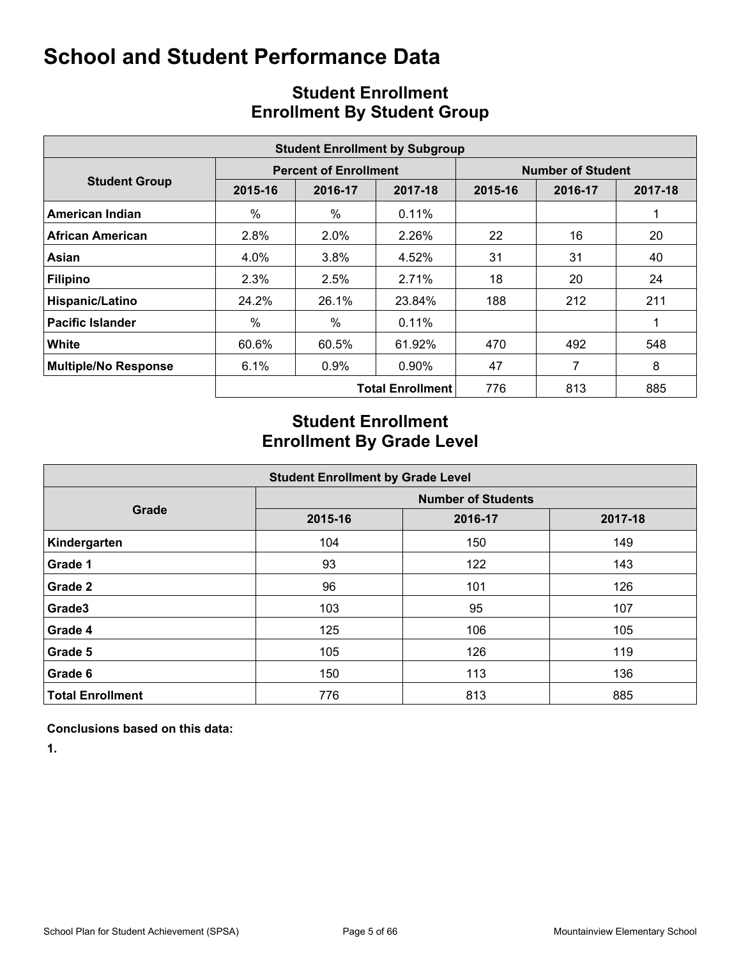<span id="page-4-0"></span>

|                             |         |                              | <b>Student Enrollment by Subgroup</b> |                          |         |         |  |  |  |
|-----------------------------|---------|------------------------------|---------------------------------------|--------------------------|---------|---------|--|--|--|
|                             |         | <b>Percent of Enrollment</b> |                                       | <b>Number of Student</b> |         |         |  |  |  |
| <b>Student Group</b>        | 2015-16 | 2016-17                      | 2017-18                               | 2015-16                  | 2016-17 | 2017-18 |  |  |  |
| American Indian             | $\%$    | $\%$                         | 0.11%                                 |                          |         |         |  |  |  |
| <b>African American</b>     | 2.8%    | 2.0%                         | 2.26%                                 | 22                       | 16      | 20      |  |  |  |
| Asian                       | 4.0%    | 3.8%                         | 4.52%                                 | 31                       | 31      | 40      |  |  |  |
| <b>Filipino</b>             | 2.3%    | $2.5\%$                      | 2.71%                                 | 18                       | 20      | 24      |  |  |  |
| Hispanic/Latino             | 24.2%   | 26.1%                        | 23.84%                                | 188                      | 212     | 211     |  |  |  |
| <b>Pacific Islander</b>     | $\%$    | $\%$                         | 0.11%                                 |                          |         |         |  |  |  |
| <b>White</b>                | 60.6%   | 60.5%                        | 61.92%                                | 470                      | 492     | 548     |  |  |  |
| <b>Multiple/No Response</b> | 6.1%    | $0.9\%$                      | $0.90\%$                              | 47                       |         | 8       |  |  |  |
|                             |         |                              | <b>Total Enrollment</b>               | 776                      | 813     | 885     |  |  |  |

## <span id="page-4-1"></span>**Student Enrollment Enrollment By Student Group**

## **Student Enrollment Enrollment By Grade Level**

| <b>Student Enrollment by Grade Level</b> |                           |         |         |  |  |  |  |  |  |  |
|------------------------------------------|---------------------------|---------|---------|--|--|--|--|--|--|--|
|                                          | <b>Number of Students</b> |         |         |  |  |  |  |  |  |  |
| Grade                                    | 2015-16                   | 2016-17 | 2017-18 |  |  |  |  |  |  |  |
| Kindergarten                             | 104                       | 150     | 149     |  |  |  |  |  |  |  |
| Grade 1                                  | 93                        | 122     | 143     |  |  |  |  |  |  |  |
| Grade 2                                  | 96                        | 101     | 126     |  |  |  |  |  |  |  |
| Grade3                                   | 103                       | 95      | 107     |  |  |  |  |  |  |  |
| Grade 4                                  | 125                       | 106     | 105     |  |  |  |  |  |  |  |
| Grade 5                                  | 105                       | 126     | 119     |  |  |  |  |  |  |  |
| Grade 6                                  | 150                       | 113     | 136     |  |  |  |  |  |  |  |
| <b>Total Enrollment</b>                  | 776                       | 813     | 885     |  |  |  |  |  |  |  |

**Conclusions based on this data:**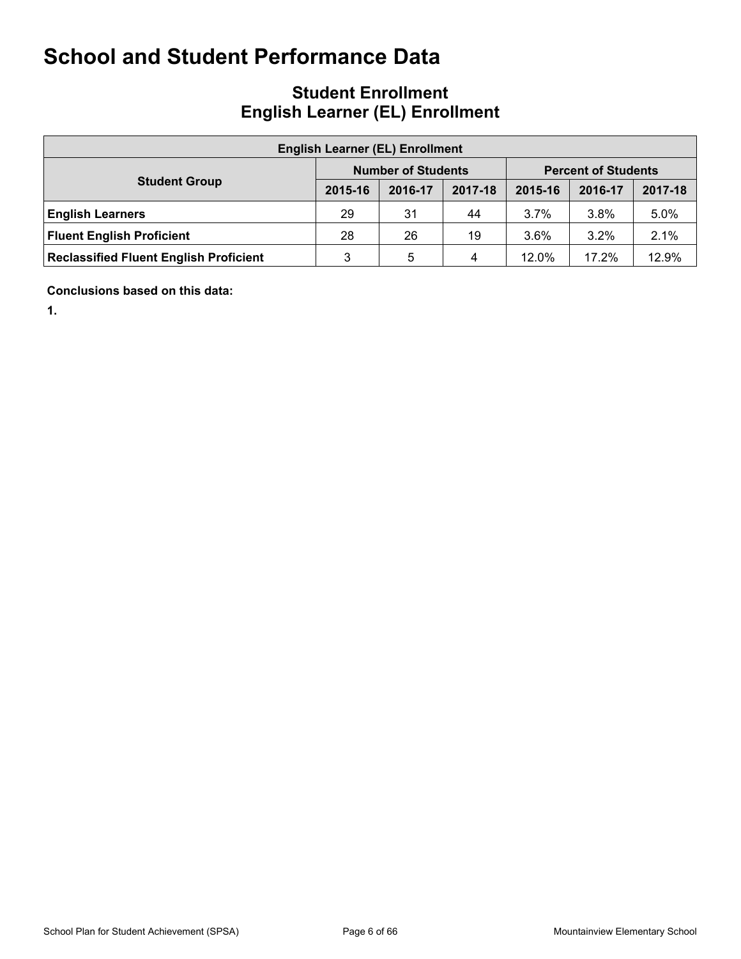## **Student Enrollment English Learner (EL) Enrollment**

| <b>English Learner (EL) Enrollment</b>        |                                                         |         |         |         |         |         |  |  |  |  |
|-----------------------------------------------|---------------------------------------------------------|---------|---------|---------|---------|---------|--|--|--|--|
|                                               | <b>Number of Students</b><br><b>Percent of Students</b> |         |         |         |         |         |  |  |  |  |
| <b>Student Group</b>                          | 2015-16                                                 | 2016-17 | 2017-18 | 2015-16 | 2016-17 | 2017-18 |  |  |  |  |
| <b>English Learners</b>                       | 29                                                      | 31      | 44      | $3.7\%$ | 3.8%    | 5.0%    |  |  |  |  |
| <b>Fluent English Proficient</b>              | 28                                                      | 26      | 19      | 3.6%    | 3.2%    | 2.1%    |  |  |  |  |
| <b>Reclassified Fluent English Proficient</b> | 3                                                       | 5       | 4       | 12.0%   | 17.2%   | 12.9%   |  |  |  |  |

**Conclusions based on this data:**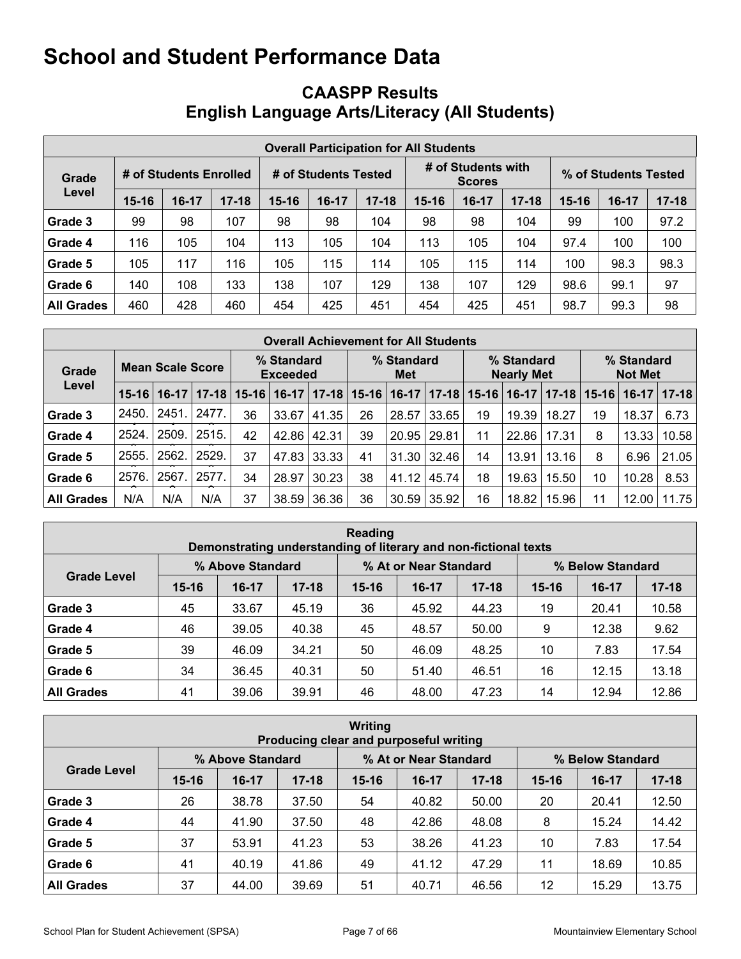## <span id="page-6-0"></span>**CAASPP Results English Language Arts/Literacy (All Students)**

|                   | <b>Overall Participation for All Students</b> |                        |           |                      |         |           |                                     |         |           |                      |       |           |  |
|-------------------|-----------------------------------------------|------------------------|-----------|----------------------|---------|-----------|-------------------------------------|---------|-----------|----------------------|-------|-----------|--|
| Grade             |                                               | # of Students Enrolled |           | # of Students Tested |         |           | # of Students with<br><b>Scores</b> |         |           | % of Students Tested |       |           |  |
| Level             | $15 - 16$                                     | $16-17$                | $17 - 18$ | $15 - 16$            | $16-17$ | $17 - 18$ | 15-16                               | $16-17$ | $17 - 18$ | $15 - 16$            | 16-17 | $17 - 18$ |  |
| Grade 3           | 99                                            | 98                     | 107       | 98                   | 98      | 104       | 98                                  | 98      | 104       | 99                   | 100   | 97.2      |  |
| Grade 4           | 116                                           | 105                    | 104       | 113                  | 105     | 104       | 113                                 | 105     | 104       | 97.4                 | 100   | 100       |  |
| Grade 5           | 105                                           | 117                    | 116       | 105                  | 115     | 114       | 105                                 | 115     | 114       | 100                  | 98.3  | 98.3      |  |
| Grade 6           | 140                                           | 108                    | 133       | 138                  | 107     | 129       | 138                                 | 107     | 129       | 98.6                 | 99.1  | 97        |  |
| <b>All Grades</b> | 460                                           | 428                    | 460       | 454                  | 425     | 451       | 454                                 | 425     | 451       | 98.7                 | 99.3  | 98        |  |

|                   | <b>Overall Achievement for All Students</b> |         |           |                               |         |           |                   |         |           |                                 |         |           |                              |         |                 |
|-------------------|---------------------------------------------|---------|-----------|-------------------------------|---------|-----------|-------------------|---------|-----------|---------------------------------|---------|-----------|------------------------------|---------|-----------------|
| Grade             | <b>Mean Scale Score</b>                     |         |           | % Standard<br><b>Exceeded</b> |         |           | % Standard<br>Met |         |           | % Standard<br><b>Nearly Met</b> |         |           | % Standard<br><b>Not Met</b> |         |                 |
| Level             | $15 - 16$                                   | $16-17$ | $17 - 18$ | $15 - 16$                     | $16-17$ | $17 - 18$ | $15 - 16$         | $16-17$ | $17 - 18$ | $15 - 16$                       | $16-17$ | $17 - 18$ | $15 - 16$                    | $16-17$ | $ 17-18\rangle$ |
| Grade 3           | 2450.                                       | 2451.   | 2477.     | 36                            | 33.67   | 41.35     | 26                | 28.57   | 33.65     | 19                              | 19.39   | 18.27     | 19                           | 18.37   | 6.73            |
| Grade 4           | 2524.                                       | 2509.   | 2515.     | 42                            | 42.86   | 42.31     | 39                | 20.95   | 29.81     | 11                              | 22.86   | 17.31     | 8                            | 13.33   | 10.58           |
| Grade 5           | 2555.                                       | 2562.   | 2529.     | 37                            | 47.83   | 33.33     | 41                | 31.30   | 32.46     | 14                              | 13.91   | 13.16     | 8                            | 6.96    | 21.05           |
| Grade 6           | 2576.                                       | 2567    | 2577      | 34                            | 28.97   | 30.23     | 38                | 41.12   | 45.74     | 18                              | 19.63   | 15.50     | 10                           | 10.28   | 8.53            |
| <b>All Grades</b> | N/A                                         | N/A     | N/A       | 37                            | 38.59   | 36.36     | 36                | 30.59   | 35.92     | 16                              | 18.82   | 15.96     | 11                           | 12.00   | 11.75           |

| Reading<br>Demonstrating understanding of literary and non-fictional texts |           |                  |           |           |                       |           |           |                  |           |  |  |  |
|----------------------------------------------------------------------------|-----------|------------------|-----------|-----------|-----------------------|-----------|-----------|------------------|-----------|--|--|--|
|                                                                            |           | % Above Standard |           |           | % At or Near Standard |           |           | % Below Standard |           |  |  |  |
| <b>Grade Level</b>                                                         | $15 - 16$ | $16-17$          | $17 - 18$ | $15 - 16$ | $16-17$               | $17 - 18$ | $15 - 16$ | $16-17$          | $17 - 18$ |  |  |  |
| Grade 3                                                                    | 45        | 33.67            | 45.19     | 36        | 45.92                 | 44.23     | 19        | 20.41            | 10.58     |  |  |  |
| Grade 4                                                                    | 46        | 39.05            | 40.38     | 45        | 48.57                 | 50.00     | 9         | 12.38            | 9.62      |  |  |  |
| Grade 5                                                                    | 39        | 46.09            | 34.21     | 50        | 46.09                 | 48.25     | 10        | 7.83             | 17.54     |  |  |  |
| Grade 6                                                                    | 34        | 36.45            | 40.31     | 50        | 51.40                 | 46.51     | 16        | 12.15            | 13.18     |  |  |  |
| <b>All Grades</b>                                                          | 41        | 39.06            | 39.91     | 46        | 48.00                 | 47.23     | 14        | 12.94            | 12.86     |  |  |  |

| Writing<br>Producing clear and purposeful writing |           |                  |           |           |                       |           |                  |         |           |  |  |  |
|---------------------------------------------------|-----------|------------------|-----------|-----------|-----------------------|-----------|------------------|---------|-----------|--|--|--|
|                                                   |           | % Above Standard |           |           | % At or Near Standard |           | % Below Standard |         |           |  |  |  |
| <b>Grade Level</b>                                | $15 - 16$ | $16-17$          | $17 - 18$ | $15 - 16$ | $16-17$               | $17 - 18$ | $15 - 16$        | $16-17$ | $17 - 18$ |  |  |  |
| Grade 3                                           | 26        | 38.78            | 37.50     | 54        | 40.82                 | 50.00     | 20               | 20.41   | 12.50     |  |  |  |
| Grade 4                                           | 44        | 41.90            | 37.50     | 48        | 42.86                 | 48.08     | 8                | 15.24   | 14.42     |  |  |  |
| Grade 5                                           | 37        | 53.91            | 41.23     | 53        | 38.26                 | 41.23     | 10               | 7.83    | 17.54     |  |  |  |
| Grade 6                                           | 41        | 40.19            | 41.86     | 49        | 41.12                 | 47.29     | 11               | 18.69   | 10.85     |  |  |  |
| <b>All Grades</b>                                 | 37        | 44.00            | 39.69     | 51        | 40.71                 | 46.56     | 12               | 15.29   | 13.75     |  |  |  |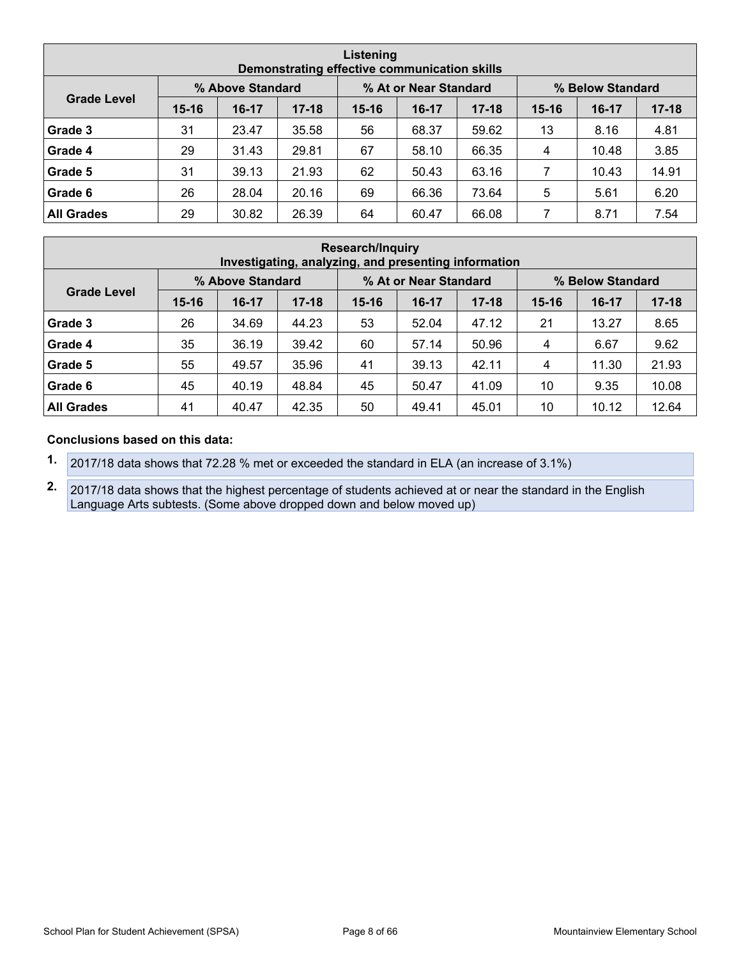| Listening<br>Demonstrating effective communication skills |           |                  |           |           |                       |           |                |                  |           |  |  |  |
|-----------------------------------------------------------|-----------|------------------|-----------|-----------|-----------------------|-----------|----------------|------------------|-----------|--|--|--|
|                                                           |           | % Above Standard |           |           | % At or Near Standard |           |                | % Below Standard |           |  |  |  |
| <b>Grade Level</b>                                        | $15 - 16$ | $16-17$          | $17 - 18$ | $15 - 16$ | $16-17$               | $17 - 18$ | $15 - 16$      | $16-17$          | $17 - 18$ |  |  |  |
| Grade 3                                                   | 31        | 23.47            | 35.58     | 56        | 68.37                 | 59.62     | 13             | 8.16             | 4.81      |  |  |  |
| Grade 4                                                   | 29        | 31.43            | 29.81     | 67        | 58.10                 | 66.35     | $\overline{4}$ | 10.48            | 3.85      |  |  |  |
| Grade 5                                                   | 31        | 39.13            | 21.93     | 62        | 50.43                 | 63.16     | 7              | 10.43            | 14.91     |  |  |  |
| Grade 6                                                   | 26        | 28.04            | 20.16     | 69        | 66.36                 | 73.64     | 5              | 5.61             | 6.20      |  |  |  |
| <b>All Grades</b>                                         | 29        | 30.82            | 26.39     | 64        | 60.47                 | 66.08     | 7              | 8.71             | 7.54      |  |  |  |

| <b>Research/Inquiry</b><br>Investigating, analyzing, and presenting information |           |                  |           |           |                       |           |           |                  |           |  |  |  |
|---------------------------------------------------------------------------------|-----------|------------------|-----------|-----------|-----------------------|-----------|-----------|------------------|-----------|--|--|--|
|                                                                                 |           | % Above Standard |           |           | % At or Near Standard |           |           | % Below Standard |           |  |  |  |
| <b>Grade Level</b>                                                              | $15 - 16$ | $16-17$          | $17 - 18$ | $15 - 16$ | $16-17$               | $17 - 18$ | $15 - 16$ | $16-17$          | $17 - 18$ |  |  |  |
| Grade 3                                                                         | 26        | 34.69            | 44.23     | 53        | 52.04                 | 47.12     | 21        | 13.27            | 8.65      |  |  |  |
| Grade 4                                                                         | 35        | 36.19            | 39.42     | 60        | 57.14                 | 50.96     | 4         | 6.67             | 9.62      |  |  |  |
| Grade 5                                                                         | 55        | 49.57            | 35.96     | 41        | 39.13                 | 42.11     | 4         | 11.30            | 21.93     |  |  |  |
| Grade 6                                                                         | 45        | 40.19            | 48.84     | 45        | 50.47                 | 41.09     | 10        | 9.35             | 10.08     |  |  |  |
| <b>All Grades</b>                                                               | 41        | 40.47            | 42.35     | 50        | 49.41                 | 45.01     | 10        | 10.12            | 12.64     |  |  |  |

### **Conclusions based on this data:**

**1.** 2017/18 data shows that 72.28 % met or exceeded the standard in ELA (an increase of 3.1%)

**2.** 2017/18 data shows that the highest percentage of students achieved at or near the standard in the English Language Arts subtests. (Some above dropped down and below moved up)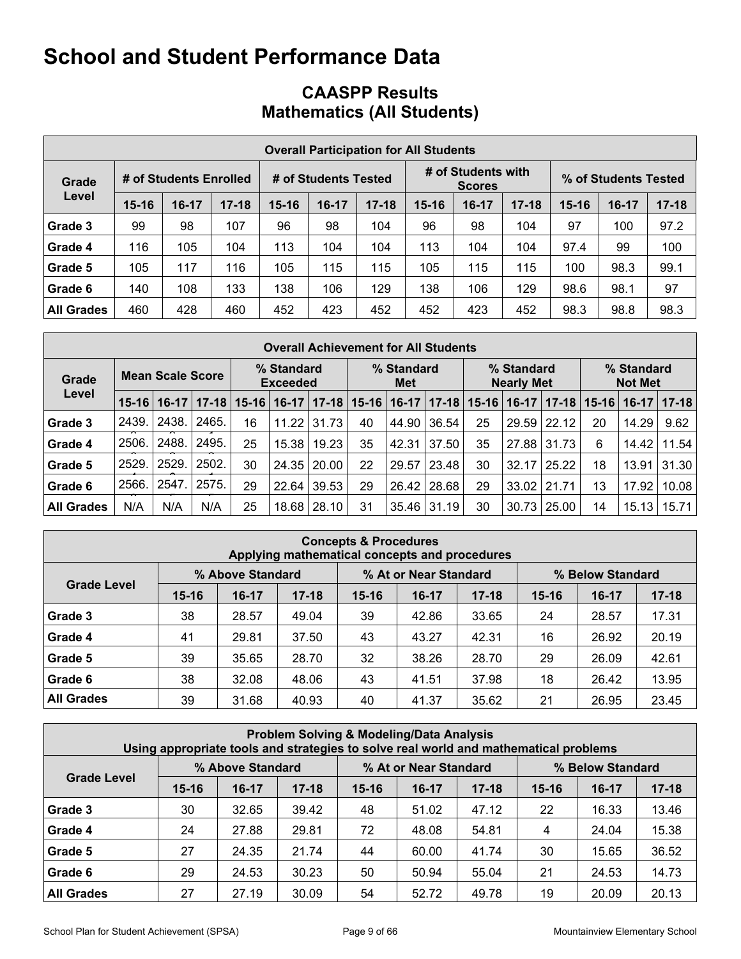## **CAASPP Results Mathematics (All Students)**

|                   | <b>Overall Participation for All Students</b> |                        |           |                      |         |           |                                     |         |           |                      |       |           |  |
|-------------------|-----------------------------------------------|------------------------|-----------|----------------------|---------|-----------|-------------------------------------|---------|-----------|----------------------|-------|-----------|--|
| Grade             |                                               | # of Students Enrolled |           | # of Students Tested |         |           | # of Students with<br><b>Scores</b> |         |           | % of Students Tested |       |           |  |
| Level             | $15 - 16$                                     | $16-17$                | $17 - 18$ | $15 - 16$            | $16-17$ | $17 - 18$ | $15 - 16$                           | $16-17$ | $17 - 18$ | $15 - 16$            | 16-17 | $17 - 18$ |  |
| Grade 3           | 99                                            | 98                     | 107       | 96                   | 98      | 104       | 96                                  | 98      | 104       | 97                   | 100   | 97.2      |  |
| Grade 4           | 116                                           | 105                    | 104       | 113                  | 104     | 104       | 113                                 | 104     | 104       | 97.4                 | 99    | 100       |  |
| Grade 5           | 105                                           | 117                    | 116       | 105                  | 115     | 115       | 105                                 | 115     | 115       | 100                  | 98.3  | 99.1      |  |
| Grade 6           | 140                                           | 108                    | 133       | 138                  | 106     | 129       | 138                                 | 106     | 129       | 98.6                 | 98.1  | 97        |  |
| <b>All Grades</b> | 460                                           | 428                    | 460       | 452                  | 423     | 452       | 452                                 | 423     | 452       | 98.3                 | 98.8  | 98.3      |  |

|                   | <b>Overall Achievement for All Students</b> |         |           |           |                               |           |    |                                                      |           |           |                              |                 |                         |       |           |
|-------------------|---------------------------------------------|---------|-----------|-----------|-------------------------------|-----------|----|------------------------------------------------------|-----------|-----------|------------------------------|-----------------|-------------------------|-------|-----------|
| Grade             | <b>Mean Scale Score</b>                     |         |           |           | % Standard<br><b>Exceeded</b> |           |    | % Standard<br>% Standard<br><b>Nearly Met</b><br>Met |           |           | % Standard<br><b>Not Met</b> |                 |                         |       |           |
| Level             | $15 - 16$                                   | $16-17$ | $17 - 18$ | $15 - 16$ | $16-17$                       | $17 - 18$ |    | $15 - 16$   16-17                                    | $17 - 18$ | $15 - 16$ | $16-17$                      |                 | $17-18$   15-16   16-17 |       | $17 - 18$ |
| Grade 3           | 2439.                                       | 2438.   | 2465.     | 16        | 11.22                         | 31.73     | 40 | 44.90                                                | 36.54     | 25        |                              | 29.59 22.12     | 20                      | 14.29 | 9.62      |
| Grade 4           | 2506.                                       | 2488.   | 2495.     | 25        | 15.38                         | 19.23     | 35 | 42.31                                                | 37.50     | 35        | 27.88                        | 31.73           | 6                       | 14.42 | 11.54     |
| Grade 5           | 2529.                                       | 2529.   | 2502.     | 30        | 24.35                         | 20.00     | 22 | 29.57                                                | 23.48     | 30        | 32.17                        | 25.22           | 18                      | 13.91 | 31.30     |
| Grade 6           | 2566.                                       | 2547    | 2575.     | 29        | 22.64                         | 39.53     | 29 | 26.42                                                | 28.68     | 29        | 33.02                        | 21.71           | 13                      | 17.92 | 10.08     |
| <b>All Grades</b> | N/A                                         | N/A     | N/A       | 25        | 18.68                         | 28.10     | 31 | 35.46                                                | 31.19     | 30        |                              | $30.73$   25.00 | 14                      | 15.13 | 15.71     |

| <b>Concepts &amp; Procedures</b><br>Applying mathematical concepts and procedures |           |                  |           |           |                       |           |                  |         |           |  |  |
|-----------------------------------------------------------------------------------|-----------|------------------|-----------|-----------|-----------------------|-----------|------------------|---------|-----------|--|--|
|                                                                                   |           | % Above Standard |           |           | % At or Near Standard |           | % Below Standard |         |           |  |  |
| <b>Grade Level</b>                                                                | $15 - 16$ | $16-17$          | $17 - 18$ | $15 - 16$ | $16-17$               | $17 - 18$ | $15 - 16$        | $16-17$ | $17 - 18$ |  |  |
| Grade 3                                                                           | 38        | 28.57            | 49.04     | 39        | 42.86                 | 33.65     | 24               | 28.57   | 17.31     |  |  |
| Grade 4                                                                           | 41        | 29.81            | 37.50     | 43        | 43.27                 | 42.31     | 16               | 26.92   | 20.19     |  |  |
| Grade 5                                                                           | 39        | 35.65            | 28.70     | 32        | 38.26                 | 28.70     | 29               | 26.09   | 42.61     |  |  |
| Grade 6                                                                           | 38        | 32.08            | 48.06     | 43        | 41.51                 | 37.98     | 18               | 26.42   | 13.95     |  |  |
| <b>All Grades</b>                                                                 | 39        | 31.68            | 40.93     | 40        | 41.37                 | 35.62     | 21               | 26.95   | 23.45     |  |  |

| <b>Problem Solving &amp; Modeling/Data Analysis</b><br>Using appropriate tools and strategies to solve real world and mathematical problems |           |                  |           |           |                                           |           |           |           |           |  |  |
|---------------------------------------------------------------------------------------------------------------------------------------------|-----------|------------------|-----------|-----------|-------------------------------------------|-----------|-----------|-----------|-----------|--|--|
|                                                                                                                                             |           | % Above Standard |           |           | % At or Near Standard<br>% Below Standard |           |           |           |           |  |  |
| <b>Grade Level</b>                                                                                                                          | $15 - 16$ | $16-17$          | $17 - 18$ | $15 - 16$ | $16-17$                                   | $17 - 18$ | $15 - 16$ | $16 - 17$ | $17 - 18$ |  |  |
| Grade 3                                                                                                                                     | 30        | 32.65            | 39.42     | 48        | 51.02                                     | 47.12     | 22        | 16.33     | 13.46     |  |  |
| Grade 4                                                                                                                                     | 24        | 27.88            | 29.81     | 72        | 48.08                                     | 54.81     | 4         | 24.04     | 15.38     |  |  |
| Grade 5                                                                                                                                     | 27        | 24.35            | 21.74     | 44        | 60.00                                     | 41.74     | 30        | 15.65     | 36.52     |  |  |
| Grade 6                                                                                                                                     | 29        | 24.53            | 30.23     | 50        | 50.94                                     | 55.04     | 21        | 24.53     | 14.73     |  |  |
| <b>All Grades</b>                                                                                                                           | 27        | 27.19            | 30.09     | 54        | 52.72                                     | 49.78     | 19        | 20.09     | 20.13     |  |  |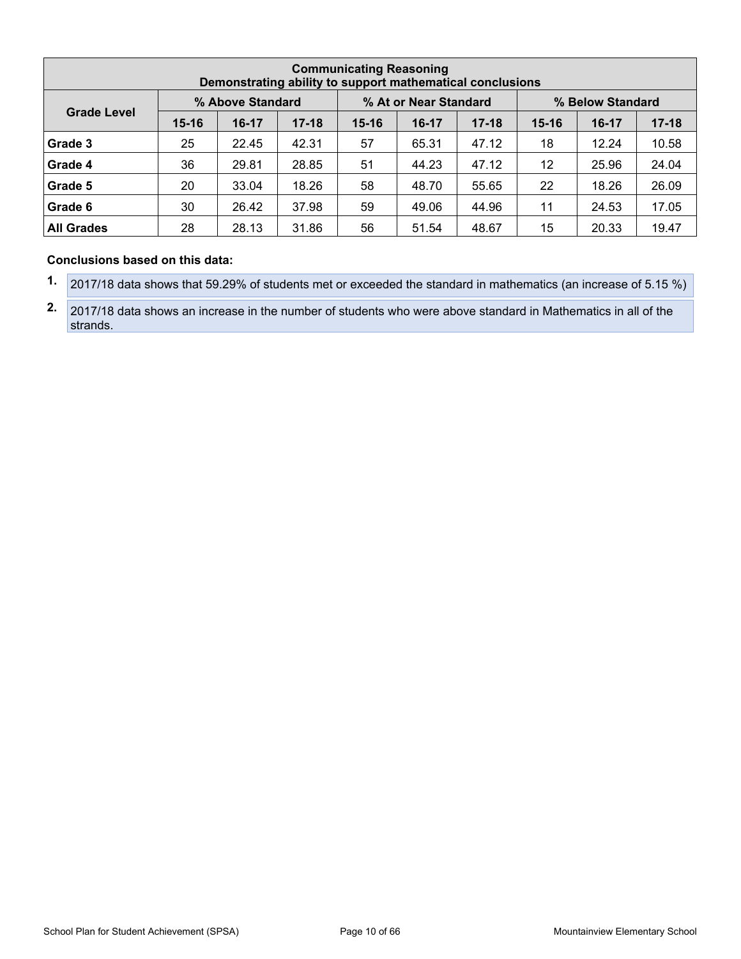| <b>Communicating Reasoning</b><br>Demonstrating ability to support mathematical conclusions |           |                  |           |           |                       |           |                  |         |           |  |  |
|---------------------------------------------------------------------------------------------|-----------|------------------|-----------|-----------|-----------------------|-----------|------------------|---------|-----------|--|--|
|                                                                                             |           | % Above Standard |           |           | % At or Near Standard |           | % Below Standard |         |           |  |  |
| <b>Grade Level</b>                                                                          | $15 - 16$ | $16-17$          | $17 - 18$ | $15 - 16$ | $16-17$               | $17 - 18$ | $15 - 16$        | $16-17$ | $17 - 18$ |  |  |
| Grade 3                                                                                     | 25        | 22.45            | 42.31     | 57        | 65.31                 | 47.12     | 18               | 12.24   | 10.58     |  |  |
| Grade 4                                                                                     | 36        | 29.81            | 28.85     | 51        | 44.23                 | 47.12     | 12               | 25.96   | 24.04     |  |  |
| Grade 5                                                                                     | 20        | 33.04            | 18.26     | 58        | 48.70                 | 55.65     | 22               | 18.26   | 26.09     |  |  |
| Grade 6                                                                                     | 30        | 26.42            | 37.98     | 59        | 49.06                 | 44.96     | 11               | 24.53   | 17.05     |  |  |
| <b>All Grades</b>                                                                           | 28        | 28.13            | 31.86     | 56        | 51.54                 | 48.67     | 15               | 20.33   | 19.47     |  |  |

#### **Conclusions based on this data:**

**1.** 2017/18 data shows that 59.29% of students met or exceeded the standard in mathematics (an increase of 5.15 %)

**2.** 2017/18 data shows an increase in the number of students who were above standard in Mathematics in all of the strands.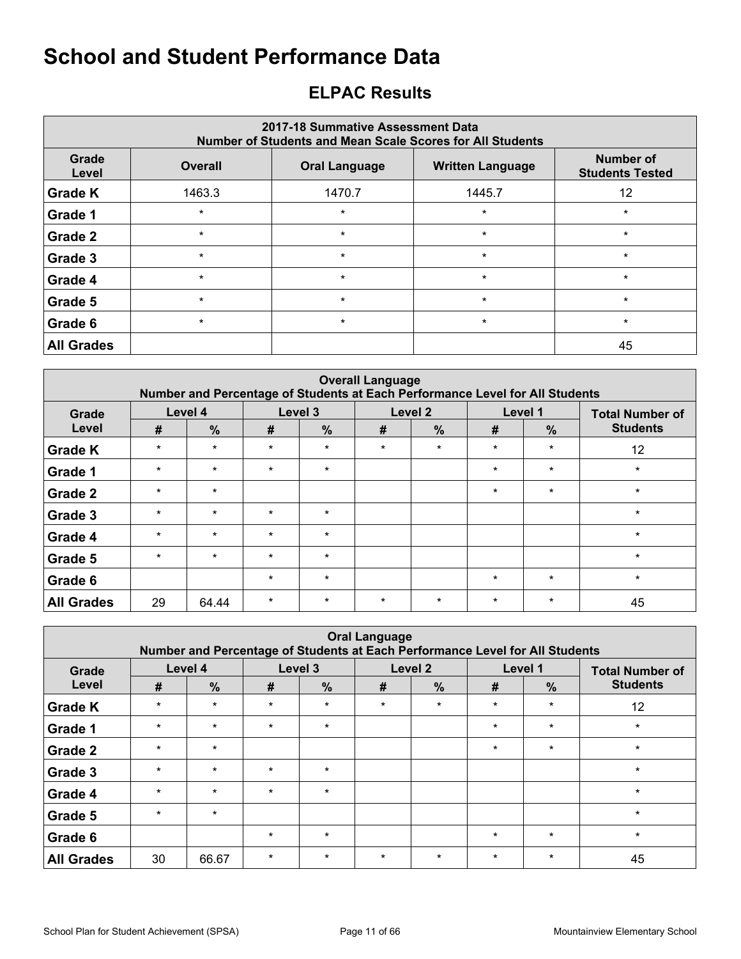## <span id="page-10-0"></span>**ELPAC Results**

| 2017-18 Summative Assessment Data<br><b>Number of Students and Mean Scale Scores for All Students</b> |                |                      |                         |                                     |  |  |  |  |  |  |  |
|-------------------------------------------------------------------------------------------------------|----------------|----------------------|-------------------------|-------------------------------------|--|--|--|--|--|--|--|
| Grade<br>Level                                                                                        | <b>Overall</b> | <b>Oral Language</b> | <b>Written Language</b> | Number of<br><b>Students Tested</b> |  |  |  |  |  |  |  |
| <b>Grade K</b>                                                                                        | 1463.3         | 1470.7               | 1445.7                  | 12                                  |  |  |  |  |  |  |  |
| Grade 1                                                                                               | $\star$        | $\star$              | $\star$                 | $\star$                             |  |  |  |  |  |  |  |
| Grade 2                                                                                               | $\star$        | $\star$              | $\star$                 | $\star$                             |  |  |  |  |  |  |  |
| Grade 3                                                                                               | $\star$        | $\star$              | $\star$                 | $\star$                             |  |  |  |  |  |  |  |
| Grade 4                                                                                               | $\star$        | $\star$              | $\star$                 | $\star$                             |  |  |  |  |  |  |  |
| Grade 5                                                                                               | $\star$        | $\star$              | $\star$                 | $\star$                             |  |  |  |  |  |  |  |
| Grade 6                                                                                               | $\star$        | $\star$              | $\star$                 | $\star$                             |  |  |  |  |  |  |  |
| <b>All Grades</b>                                                                                     |                |                      |                         | 45                                  |  |  |  |  |  |  |  |

|                   | <b>Overall Language</b><br>Number and Percentage of Students at Each Performance Level for All Students |               |         |               |         |                    |         |         |                        |  |  |  |  |
|-------------------|---------------------------------------------------------------------------------------------------------|---------------|---------|---------------|---------|--------------------|---------|---------|------------------------|--|--|--|--|
| Grade             |                                                                                                         | Level 4       |         | Level 3       |         | Level <sub>2</sub> | Level 1 |         | <b>Total Number of</b> |  |  |  |  |
| Level             | #                                                                                                       | $\frac{9}{6}$ | #       | $\frac{0}{0}$ | #       | $\%$               | #       | $\%$    | <b>Students</b>        |  |  |  |  |
| <b>Grade K</b>    | $\star$                                                                                                 | $\star$       | $\star$ | $\star$       | $\star$ | $\star$            | $\star$ | $\star$ | 12                     |  |  |  |  |
| Grade 1           | $\star$                                                                                                 | $\star$       | $\star$ | $\star$       |         |                    | $\star$ | $\star$ | $\star$                |  |  |  |  |
| <b>Grade 2</b>    | $\star$                                                                                                 | $\star$       |         |               |         |                    | $\star$ | $\star$ | $\star$                |  |  |  |  |
| Grade 3           | $\star$                                                                                                 | $\star$       | $\star$ | $\star$       |         |                    |         |         | $\star$                |  |  |  |  |
| Grade 4           | $\star$                                                                                                 | $\star$       | $\star$ | $\star$       |         |                    |         |         | $\star$                |  |  |  |  |
| Grade 5           | $\star$                                                                                                 | $\star$       | $\star$ | $\star$       |         |                    |         |         | $\star$                |  |  |  |  |
| <b>Grade 6</b>    |                                                                                                         |               | $\star$ | $\star$       |         |                    | $\star$ | $\star$ | $\star$                |  |  |  |  |
| <b>All Grades</b> | 29                                                                                                      | 64.44         | $\star$ | $\star$       | $\star$ | $\star$            | $\star$ | $\star$ | 45                     |  |  |  |  |

| <b>Oral Language</b><br>Number and Percentage of Students at Each Performance Level for All Students |         |               |         |               |         |               |         |               |                        |  |  |  |
|------------------------------------------------------------------------------------------------------|---------|---------------|---------|---------------|---------|---------------|---------|---------------|------------------------|--|--|--|
| Grade                                                                                                |         | Level 4       | Level 3 |               |         | Level 2       |         | Level 1       | <b>Total Number of</b> |  |  |  |
| Level                                                                                                | #       | $\frac{0}{0}$ | #       | $\frac{0}{0}$ | #       | $\frac{9}{6}$ | #       | $\frac{9}{6}$ | <b>Students</b>        |  |  |  |
| <b>Grade K</b>                                                                                       | $\star$ | $\star$       | $\star$ | $\star$       | $\star$ | $\star$       | $\star$ | $\star$       | 12                     |  |  |  |
| Grade 1                                                                                              | $\star$ | $\star$       | $\star$ | $\star$       |         |               | $\star$ | $\star$       | $\star$                |  |  |  |
| Grade 2                                                                                              | $\star$ | $\star$       |         |               |         |               | $\star$ | $\star$       | $\star$                |  |  |  |
| Grade 3                                                                                              | $\star$ | $\star$       | $\star$ | $\star$       |         |               |         |               | $\star$                |  |  |  |
| Grade 4                                                                                              | $\star$ | $\star$       | $\star$ | $\star$       |         |               |         |               | $\star$                |  |  |  |
| Grade 5                                                                                              | $\star$ | $\star$       |         |               |         |               |         |               | $\star$                |  |  |  |
| Grade 6                                                                                              |         |               | $\star$ | $\star$       |         |               | $\star$ | $\star$       | $\star$                |  |  |  |
| <b>All Grades</b>                                                                                    | 30      | 66.67         | $\star$ | $\ast$        | $\star$ | $\star$       | $\star$ | $\star$       | 45                     |  |  |  |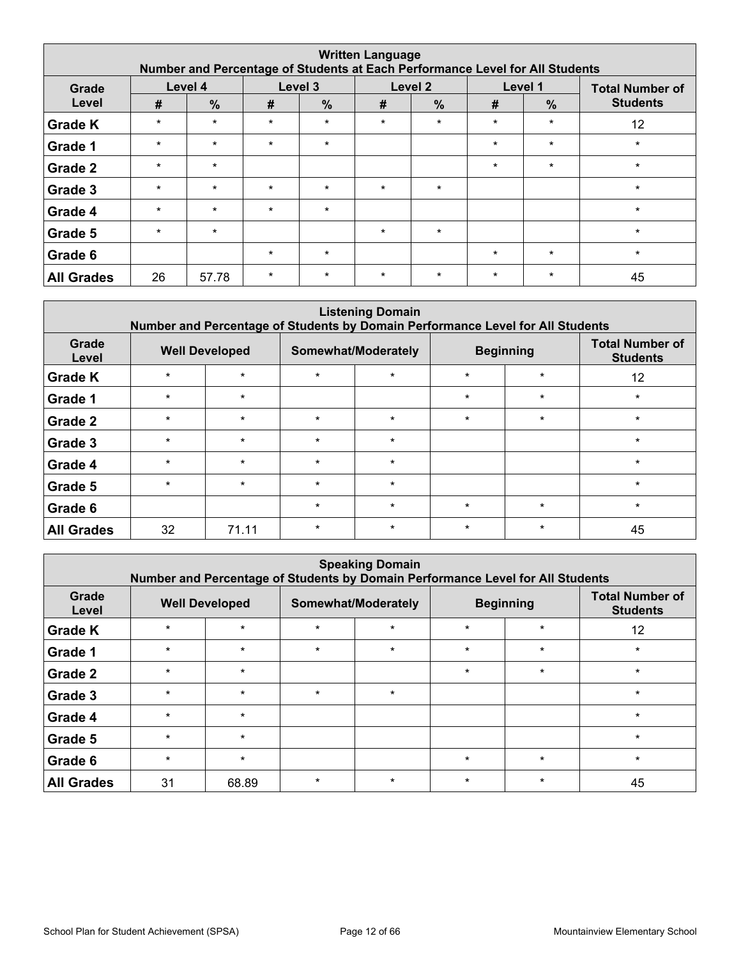| <b>Written Language</b><br>Number and Percentage of Students at Each Performance Level for All Students |         |               |         |               |         |               |         |                                   |                 |  |  |  |
|---------------------------------------------------------------------------------------------------------|---------|---------------|---------|---------------|---------|---------------|---------|-----------------------------------|-----------------|--|--|--|
| Grade                                                                                                   |         | Level 4       |         | Level 3       |         | Level 2       |         | Level 1<br><b>Total Number of</b> |                 |  |  |  |
| Level                                                                                                   | #       | $\frac{0}{0}$ | #       | $\frac{9}{6}$ | #       | $\frac{0}{0}$ | #       | $\frac{9}{6}$                     | <b>Students</b> |  |  |  |
| <b>Grade K</b>                                                                                          | $\star$ | $\star$       | $\star$ | $\ast$        | $\star$ | $\star$       | $\star$ | $\star$                           | 12              |  |  |  |
| Grade 1                                                                                                 | $\star$ | $\star$       | $\star$ | $\star$       |         |               | $\star$ | $\star$                           | $\star$         |  |  |  |
| <b>Grade 2</b>                                                                                          | $\star$ | $\star$       |         |               |         |               | $\star$ | $\star$                           | $\star$         |  |  |  |
| Grade 3                                                                                                 | $\star$ | $\star$       | $\star$ | $\ast$        | $\star$ | $\star$       |         |                                   | $\star$         |  |  |  |
| Grade 4                                                                                                 | $\star$ | $\star$       | $\star$ | $\star$       |         |               |         |                                   | $\star$         |  |  |  |
| Grade 5                                                                                                 | $\star$ | $\star$       |         |               | $\star$ | $\star$       |         |                                   | $\star$         |  |  |  |
| Grade 6                                                                                                 |         |               | $\star$ | $\ast$        |         |               | $\star$ | $\star$                           | $\star$         |  |  |  |
| <b>All Grades</b>                                                                                       | 26      | 57.78         | $\star$ | $\star$       | $\star$ | $\star$       | $\star$ | $\star$                           | 45              |  |  |  |

|                   | <b>Listening Domain</b><br>Number and Percentage of Students by Domain Performance Level for All Students |         |                     |         |         |                  |                                           |  |  |  |  |  |  |
|-------------------|-----------------------------------------------------------------------------------------------------------|---------|---------------------|---------|---------|------------------|-------------------------------------------|--|--|--|--|--|--|
| Grade<br>Level    | <b>Well Developed</b>                                                                                     |         | Somewhat/Moderately |         |         | <b>Beginning</b> | <b>Total Number of</b><br><b>Students</b> |  |  |  |  |  |  |
| <b>Grade K</b>    | $\star$                                                                                                   | $\star$ | $\star$             | $\star$ | $\star$ | $\star$          | 12                                        |  |  |  |  |  |  |
| Grade 1           | $\star$                                                                                                   | $\star$ |                     |         | $\star$ | $\star$          | $\star$                                   |  |  |  |  |  |  |
| Grade 2           | $\star$                                                                                                   | $\star$ | $\star$             | $\star$ | $\star$ | $\star$          | $\star$                                   |  |  |  |  |  |  |
| Grade 3           | $\star$                                                                                                   | $\star$ | $\star$             | $\star$ |         |                  | $\star$                                   |  |  |  |  |  |  |
| Grade 4           | $\star$                                                                                                   | $\star$ | $\star$             | $\star$ |         |                  | $\star$                                   |  |  |  |  |  |  |
| Grade 5           | $\star$                                                                                                   | $\star$ | $\star$             | $\star$ |         |                  | $\star$                                   |  |  |  |  |  |  |
| Grade 6           |                                                                                                           |         | $\star$             | $\star$ | $\star$ | $\star$          | $\star$                                   |  |  |  |  |  |  |
| <b>All Grades</b> | 32                                                                                                        | 71.11   | $\star$             | $\star$ | $\star$ | $\star$          | 45                                        |  |  |  |  |  |  |

|                   | <b>Speaking Domain</b><br>Number and Percentage of Students by Domain Performance Level for All Students |         |         |                     |         |                  |                                           |  |  |  |  |  |
|-------------------|----------------------------------------------------------------------------------------------------------|---------|---------|---------------------|---------|------------------|-------------------------------------------|--|--|--|--|--|
| Grade<br>Level    | <b>Well Developed</b>                                                                                    |         |         | Somewhat/Moderately |         | <b>Beginning</b> | <b>Total Number of</b><br><b>Students</b> |  |  |  |  |  |
| <b>Grade K</b>    | $\star$                                                                                                  | $\star$ | $\star$ | $\star$             | $\star$ | $\star$          | 12                                        |  |  |  |  |  |
| Grade 1           | $\star$                                                                                                  | $\star$ | $\star$ | $\star$             | $\star$ | $\star$          | $\star$                                   |  |  |  |  |  |
| Grade 2           | $\star$                                                                                                  | $\star$ |         |                     | $\star$ | $\star$          | $\star$                                   |  |  |  |  |  |
| Grade 3           | $\star$                                                                                                  | $\star$ | $\star$ | $\star$             |         |                  | $\star$                                   |  |  |  |  |  |
| Grade 4           | $\star$                                                                                                  | $\star$ |         |                     |         |                  | $\star$                                   |  |  |  |  |  |
| Grade 5           | $\star$                                                                                                  | $\star$ |         |                     |         |                  | $\star$                                   |  |  |  |  |  |
| Grade 6           | $\star$                                                                                                  | $\star$ |         |                     | $\star$ | $\star$          | $\ast$                                    |  |  |  |  |  |
| <b>All Grades</b> | 31                                                                                                       | 68.89   | $\star$ | $\star$             | $\star$ | $\star$          | 45                                        |  |  |  |  |  |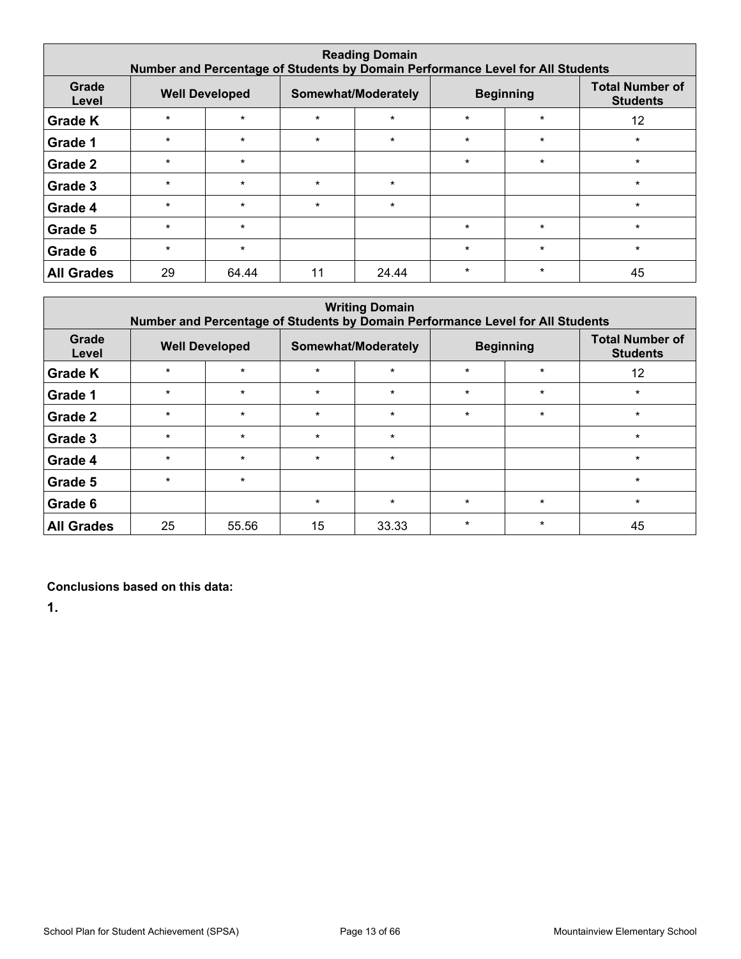|                   | <b>Reading Domain</b><br>Number and Percentage of Students by Domain Performance Level for All Students |                       |         |                     |         |                  |                                           |  |  |  |  |  |  |
|-------------------|---------------------------------------------------------------------------------------------------------|-----------------------|---------|---------------------|---------|------------------|-------------------------------------------|--|--|--|--|--|--|
| Grade<br>Level    |                                                                                                         | <b>Well Developed</b> |         | Somewhat/Moderately |         | <b>Beginning</b> | <b>Total Number of</b><br><b>Students</b> |  |  |  |  |  |  |
| <b>Grade K</b>    | $\star$                                                                                                 | $\star$               | $\star$ | $\star$             | $\star$ | $\star$          | 12                                        |  |  |  |  |  |  |
| Grade 1           | $\star$                                                                                                 | $\star$               | $\star$ | $\star$             | $\star$ | $\star$          | $\ast$                                    |  |  |  |  |  |  |
| Grade 2           | $\star$                                                                                                 | $\star$               |         |                     | $\star$ | $\star$          | $\star$                                   |  |  |  |  |  |  |
| Grade 3           | $\star$                                                                                                 | $\star$               | $\star$ | $\star$             |         |                  | $\star$                                   |  |  |  |  |  |  |
| Grade 4           | $\star$                                                                                                 | $\star$               | $\star$ | $\star$             |         |                  | $\star$                                   |  |  |  |  |  |  |
| Grade 5           | $\star$                                                                                                 | $\star$               |         |                     | $\star$ | $\star$          | $\star$                                   |  |  |  |  |  |  |
| Grade 6           | $\star$                                                                                                 | $\star$               |         |                     | $\star$ | $\star$          | $\star$                                   |  |  |  |  |  |  |
| <b>All Grades</b> | 29                                                                                                      | 64.44                 | 11      | 24.44               | $\star$ | $\star$          | 45                                        |  |  |  |  |  |  |

| <b>Writing Domain</b><br>Number and Percentage of Students by Domain Performance Level for All Students |         |                       |         |                     |         |                  |                                           |  |  |  |  |  |
|---------------------------------------------------------------------------------------------------------|---------|-----------------------|---------|---------------------|---------|------------------|-------------------------------------------|--|--|--|--|--|
| Grade<br>Level                                                                                          |         | <b>Well Developed</b> |         | Somewhat/Moderately |         | <b>Beginning</b> | <b>Total Number of</b><br><b>Students</b> |  |  |  |  |  |
| <b>Grade K</b>                                                                                          | $\star$ | $\star$               | $\star$ | $\star$             | $\star$ | $\star$          | 12                                        |  |  |  |  |  |
| Grade 1                                                                                                 | $\star$ | $\star$               | $\star$ | $\star$             | $\star$ | $\star$          | $\star$                                   |  |  |  |  |  |
| Grade 2                                                                                                 | $\star$ | $\star$               | $\star$ | $\star$             | $\star$ | $\star$          | $\star$                                   |  |  |  |  |  |
| Grade 3                                                                                                 | $\star$ | $\star$               | $\star$ | $\star$             |         |                  | $\star$                                   |  |  |  |  |  |
| Grade 4                                                                                                 | $\star$ | $\star$               | $\star$ | $\star$             |         |                  | $\star$                                   |  |  |  |  |  |
| Grade 5                                                                                                 | $\star$ | $\star$               |         |                     |         |                  | $\star$                                   |  |  |  |  |  |
| Grade 6                                                                                                 |         |                       | $\star$ | $\star$             | $\star$ | $\star$          | $\star$                                   |  |  |  |  |  |
| <b>All Grades</b>                                                                                       | 25      | 55.56                 | 15      | 33.33               | $\star$ | $\star$          | 45                                        |  |  |  |  |  |

**Conclusions based on this data:**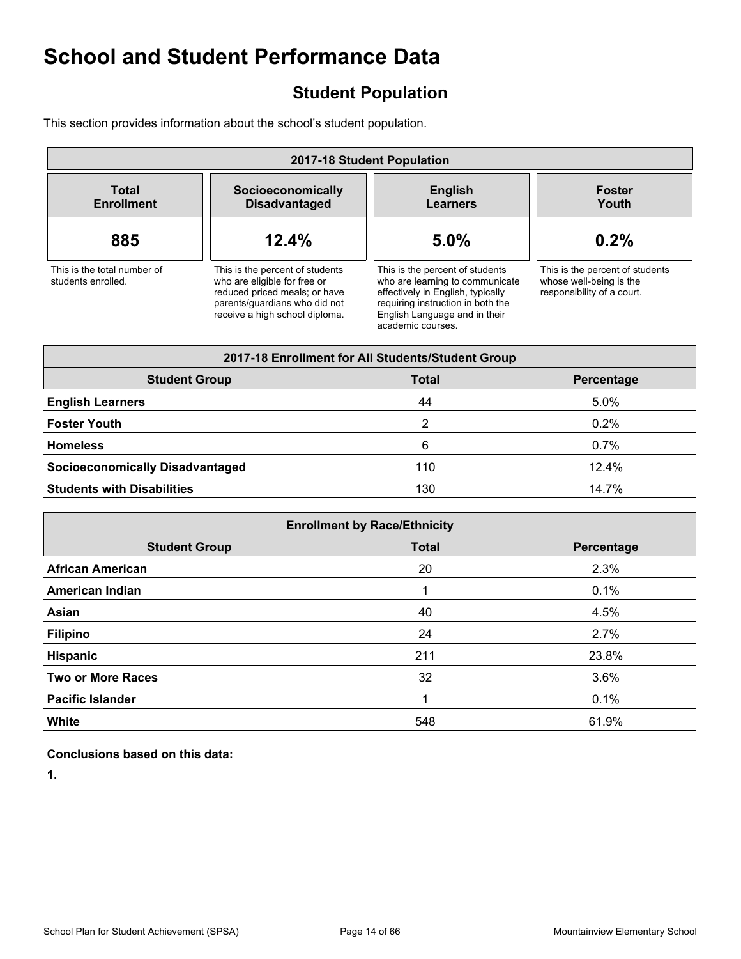## <span id="page-13-0"></span>**Student Population**

This section provides information about the school's student population.

| 2017-18 Student Population                        |                                                                                                                                                                     |                                                                                                                                                                                                    |                                                                                          |  |  |
|---------------------------------------------------|---------------------------------------------------------------------------------------------------------------------------------------------------------------------|----------------------------------------------------------------------------------------------------------------------------------------------------------------------------------------------------|------------------------------------------------------------------------------------------|--|--|
| <b>Total</b><br><b>Enrollment</b>                 | Socioeconomically<br><b>Disadvantaged</b>                                                                                                                           | <b>English</b><br><b>Learners</b>                                                                                                                                                                  | <b>Foster</b><br>Youth                                                                   |  |  |
| 885                                               | 12.4%                                                                                                                                                               | 5.0%                                                                                                                                                                                               | 0.2%                                                                                     |  |  |
| This is the total number of<br>students enrolled. | This is the percent of students<br>who are eligible for free or<br>reduced priced meals; or have<br>parents/quardians who did not<br>receive a high school diploma. | This is the percent of students<br>who are learning to communicate<br>effectively in English, typically<br>requiring instruction in both the<br>English Language and in their<br>academic courses. | This is the percent of students<br>whose well-being is the<br>responsibility of a court. |  |  |

| 2017-18 Enrollment for All Students/Student Group  |     |         |  |  |  |  |
|----------------------------------------------------|-----|---------|--|--|--|--|
| <b>Student Group</b><br><b>Total</b><br>Percentage |     |         |  |  |  |  |
| <b>English Learners</b>                            | 44  | 5.0%    |  |  |  |  |
| <b>Foster Youth</b>                                | 2   | 0.2%    |  |  |  |  |
| <b>Homeless</b>                                    | 6   | $0.7\%$ |  |  |  |  |
| <b>Socioeconomically Disadvantaged</b>             | 110 | 12.4%   |  |  |  |  |
| <b>Students with Disabilities</b>                  | 130 | 14.7%   |  |  |  |  |

| <b>Enrollment by Race/Ethnicity</b>                |     |       |  |  |  |  |  |  |
|----------------------------------------------------|-----|-------|--|--|--|--|--|--|
| <b>Student Group</b><br><b>Total</b><br>Percentage |     |       |  |  |  |  |  |  |
| <b>African American</b>                            | 20  | 2.3%  |  |  |  |  |  |  |
| <b>American Indian</b>                             | 1   | 0.1%  |  |  |  |  |  |  |
| Asian                                              | 40  | 4.5%  |  |  |  |  |  |  |
| <b>Filipino</b>                                    | 24  | 2.7%  |  |  |  |  |  |  |
| Hispanic                                           | 211 | 23.8% |  |  |  |  |  |  |
| <b>Two or More Races</b>                           | 32  | 3.6%  |  |  |  |  |  |  |
| <b>Pacific Islander</b>                            | 1   | 0.1%  |  |  |  |  |  |  |
| White                                              | 548 | 61.9% |  |  |  |  |  |  |

**Conclusions based on this data:**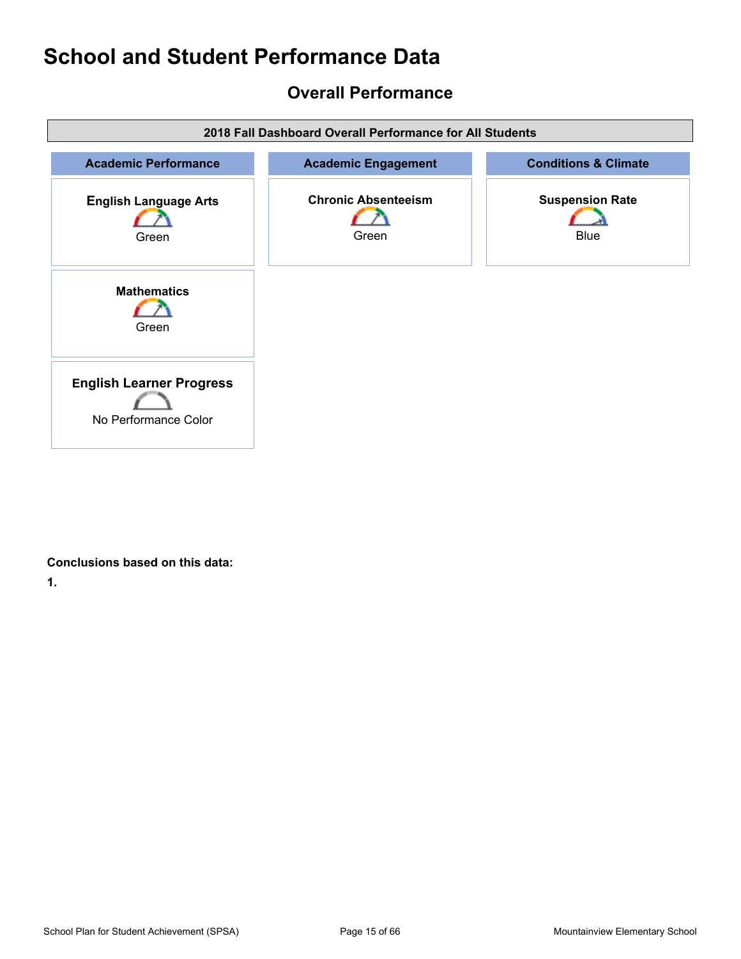## <span id="page-14-0"></span>**Overall Performance**

| 2018 Fall Dashboard Overall Performance for All Students |                                     |                                       |  |  |  |  |
|----------------------------------------------------------|-------------------------------------|---------------------------------------|--|--|--|--|
| <b>Academic Performance</b>                              | <b>Academic Engagement</b>          | <b>Conditions &amp; Climate</b>       |  |  |  |  |
| <b>English Language Arts</b><br>Green                    | <b>Chronic Absenteeism</b><br>Green | <b>Suspension Rate</b><br><b>Blue</b> |  |  |  |  |
| <b>Mathematics</b><br>Green                              |                                     |                                       |  |  |  |  |
| <b>English Learner Progress</b><br>No Performance Color  |                                     |                                       |  |  |  |  |

### **Conclusions based on this data:**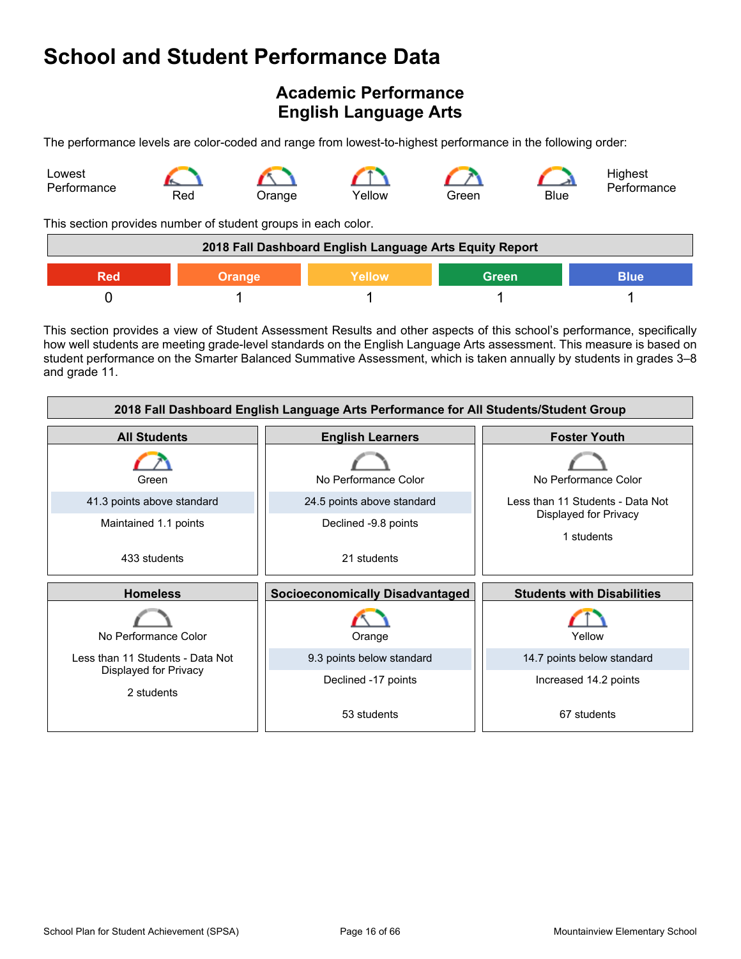## <span id="page-15-0"></span>**Academic Performance English Language Arts**

The performance levels are color-coded and range from lowest-to-highest performance in the following order:



This section provides number of student groups in each color.

| 2018 Fall Dashboard English Language Arts Equity Report              |  |  |  |  |  |
|----------------------------------------------------------------------|--|--|--|--|--|
| <b>Green</b><br><b>Blue</b><br><b>Yellow</b><br><b>Orange</b><br>RAU |  |  |  |  |  |
|                                                                      |  |  |  |  |  |

This section provides a view of Student Assessment Results and other aspects of this school's performance, specifically how well students are meeting grade-level standards on the English Language Arts assessment. This measure is based on student performance on the Smarter Balanced Summative Assessment, which is taken annually by students in grades 3–8 and grade 11.

| 2018 Fall Dashboard English Language Arts Performance for All Students/Student Group |                                        |                                     |  |  |  |
|--------------------------------------------------------------------------------------|----------------------------------------|-------------------------------------|--|--|--|
| <b>All Students</b>                                                                  | <b>Foster Youth</b>                    |                                     |  |  |  |
| Green                                                                                | No Performance Color                   | No Performance Color                |  |  |  |
| 41.3 points above standard                                                           | 24.5 points above standard             | Less than 11 Students - Data Not    |  |  |  |
| Maintained 1.1 points                                                                | Declined -9.8 points                   | Displayed for Privacy<br>1 students |  |  |  |
| 433 students                                                                         | 21 students                            |                                     |  |  |  |
| <b>Homeless</b>                                                                      | <b>Socioeconomically Disadvantaged</b> | <b>Students with Disabilities</b>   |  |  |  |
|                                                                                      |                                        |                                     |  |  |  |
| No Performance Color                                                                 | Orange                                 | Yellow                              |  |  |  |
| Less than 11 Students - Data Not                                                     | 9.3 points below standard              | 14.7 points below standard          |  |  |  |
| Displayed for Privacy<br>2 students                                                  | Declined -17 points                    | Increased 14.2 points               |  |  |  |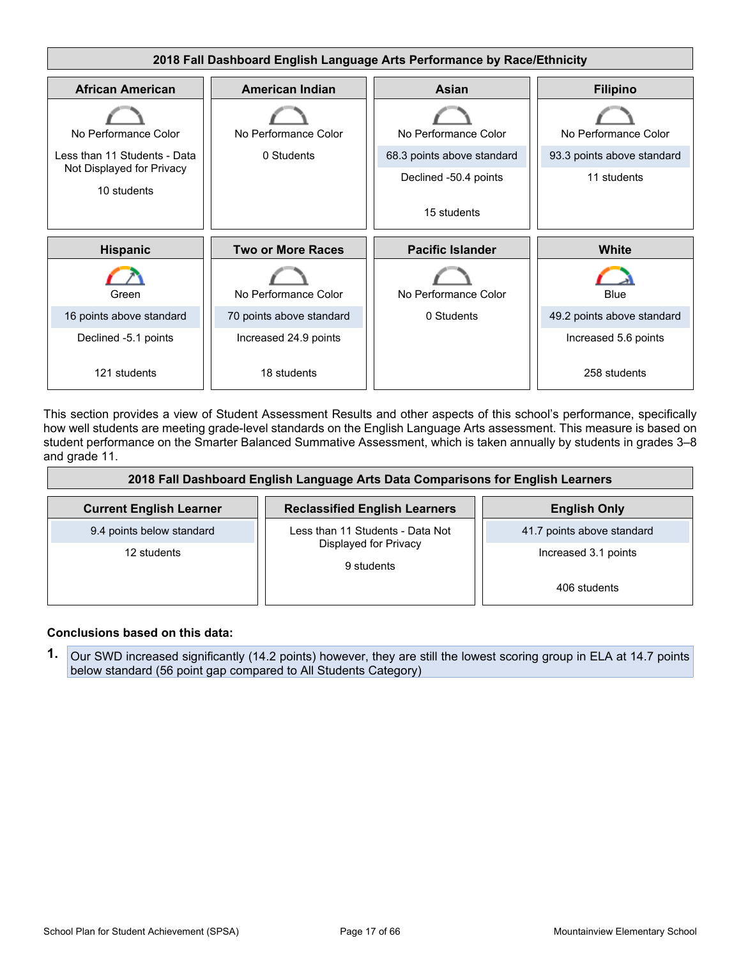

This section provides a view of Student Assessment Results and other aspects of this school's performance, specifically how well students are meeting grade-level standards on the English Language Arts assessment. This measure is based on student performance on the Smarter Balanced Summative Assessment, which is taken annually by students in grades 3–8 and grade 11.

| 2018 Fall Dashboard English Language Arts Data Comparisons for English Learners |                                      |                            |  |  |  |  |
|---------------------------------------------------------------------------------|--------------------------------------|----------------------------|--|--|--|--|
| <b>Current English Learner</b>                                                  | <b>Reclassified English Learners</b> | <b>English Only</b>        |  |  |  |  |
| 9.4 points below standard                                                       | Less than 11 Students - Data Not     | 41.7 points above standard |  |  |  |  |
| 12 students                                                                     | Displayed for Privacy<br>9 students  | Increased 3.1 points       |  |  |  |  |
|                                                                                 |                                      | 406 students               |  |  |  |  |

#### **Conclusions based on this data:**

**1.** Our SWD increased significantly (14.2 points) however, they are still the lowest scoring group in ELA at 14.7 points below standard (56 point gap compared to All Students Category)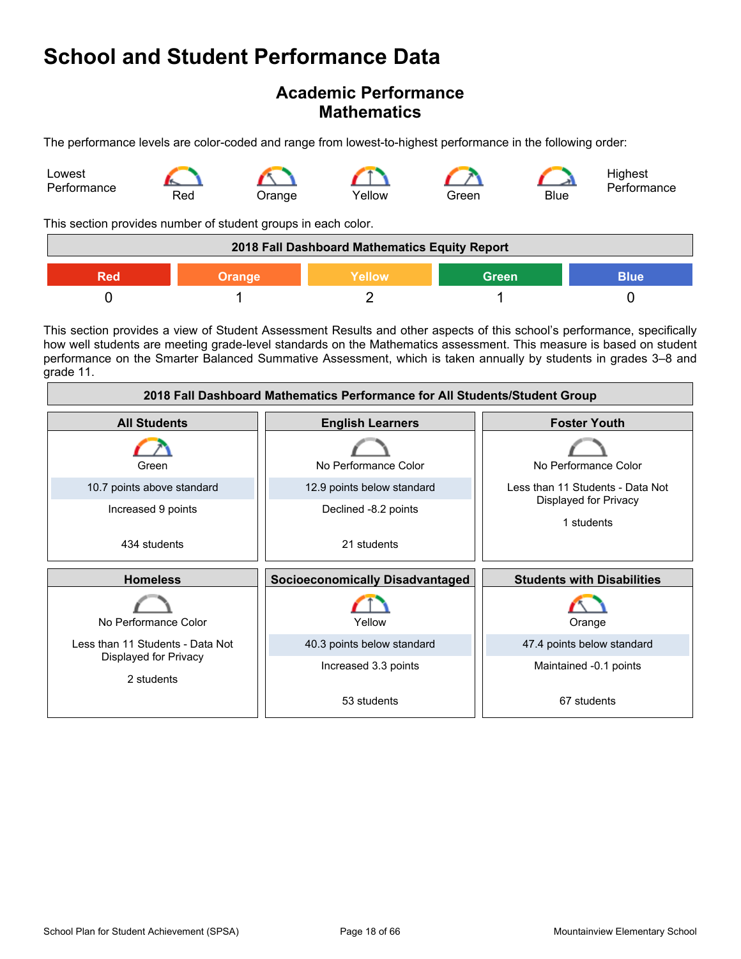### **Academic Performance Mathematics**

The performance levels are color-coded and range from lowest-to-highest performance in the following order:



This section provides number of student groups in each color.

| 2018 Fall Dashboard Mathematics Equity Report                 |  |  |  |  |  |
|---------------------------------------------------------------|--|--|--|--|--|
| <b>Green</b><br><b>Blue</b><br>Yellow<br>Red<br><b>Orange</b> |  |  |  |  |  |
|                                                               |  |  |  |  |  |

This section provides a view of Student Assessment Results and other aspects of this school's performance, specifically how well students are meeting grade-level standards on the Mathematics assessment. This measure is based on student performance on the Smarter Balanced Summative Assessment, which is taken annually by students in grades 3–8 and grade 11.

| 2018 Fall Dashboard Mathematics Performance for All Students/Student Group |                                        |                                     |  |  |  |
|----------------------------------------------------------------------------|----------------------------------------|-------------------------------------|--|--|--|
| <b>All Students</b>                                                        | <b>English Learners</b>                | <b>Foster Youth</b>                 |  |  |  |
| Green                                                                      | No Performance Color                   | No Performance Color                |  |  |  |
| 10.7 points above standard                                                 | 12.9 points below standard             | Less than 11 Students - Data Not    |  |  |  |
| Increased 9 points                                                         | Declined -8.2 points                   | Displayed for Privacy<br>1 students |  |  |  |
| 434 students                                                               | 21 students                            |                                     |  |  |  |
| <b>Homeless</b>                                                            | <b>Socioeconomically Disadvantaged</b> | <b>Students with Disabilities</b>   |  |  |  |
| No Performance Color                                                       | Yellow                                 | Orange                              |  |  |  |
| Less than 11 Students - Data Not                                           | 40.3 points below standard             | 47.4 points below standard          |  |  |  |
| Displayed for Privacy<br>2 students                                        | Increased 3.3 points                   | Maintained -0.1 points              |  |  |  |
|                                                                            | 53 students                            | 67 students                         |  |  |  |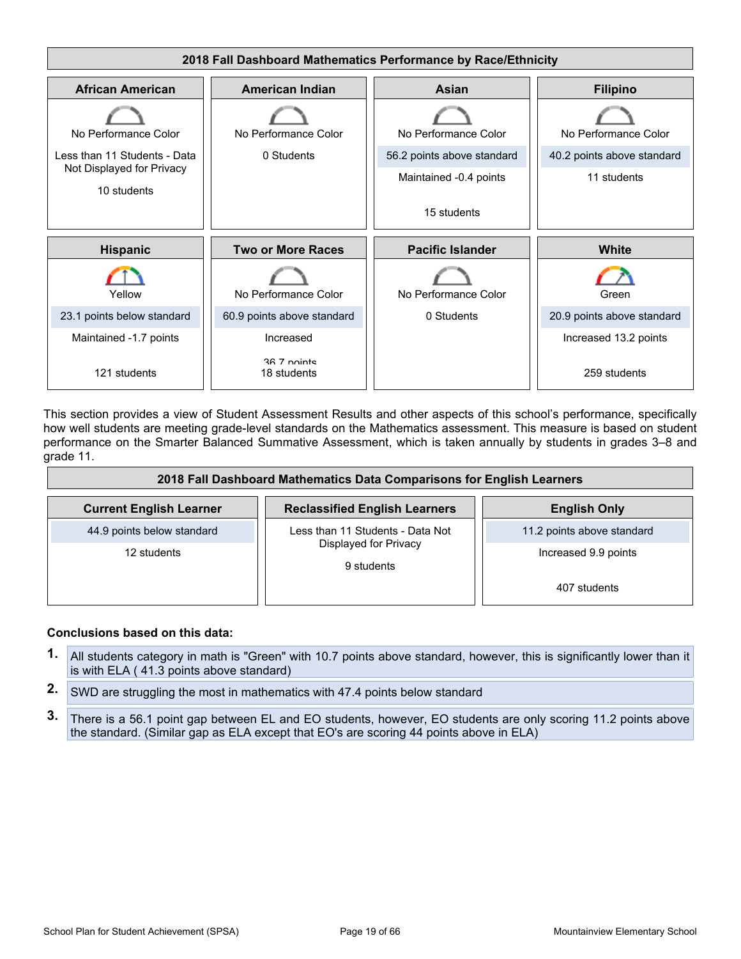

This section provides a view of Student Assessment Results and other aspects of this school's performance, specifically how well students are meeting grade-level standards on the Mathematics assessment. This measure is based on student performance on the Smarter Balanced Summative Assessment, which is taken annually by students in grades 3–8 and grade 11.

| 2018 Fall Dashboard Mathematics Data Comparisons for English Learners |                                                                         |                            |  |  |  |
|-----------------------------------------------------------------------|-------------------------------------------------------------------------|----------------------------|--|--|--|
| <b>Current English Learner</b>                                        | <b>Reclassified English Learners</b>                                    | <b>English Only</b>        |  |  |  |
| 44.9 points below standard                                            | Less than 11 Students - Data Not<br>Displayed for Privacy<br>9 students | 11.2 points above standard |  |  |  |
| 12 students                                                           |                                                                         | Increased 9.9 points       |  |  |  |
|                                                                       |                                                                         | 407 students               |  |  |  |

### **Conclusions based on this data:**

- **1.** All students category in math is "Green" with 10.7 points above standard, however, this is significantly lower than it is with ELA ( 41.3 points above standard)
- **2.** SWD are struggling the most in mathematics with 47.4 points below standard
- **3.** There is a 56.1 point gap between EL and EO students, however, EO students are only scoring 11.2 points above the standard. (Similar gap as ELA except that EO's are scoring 44 points above in ELA)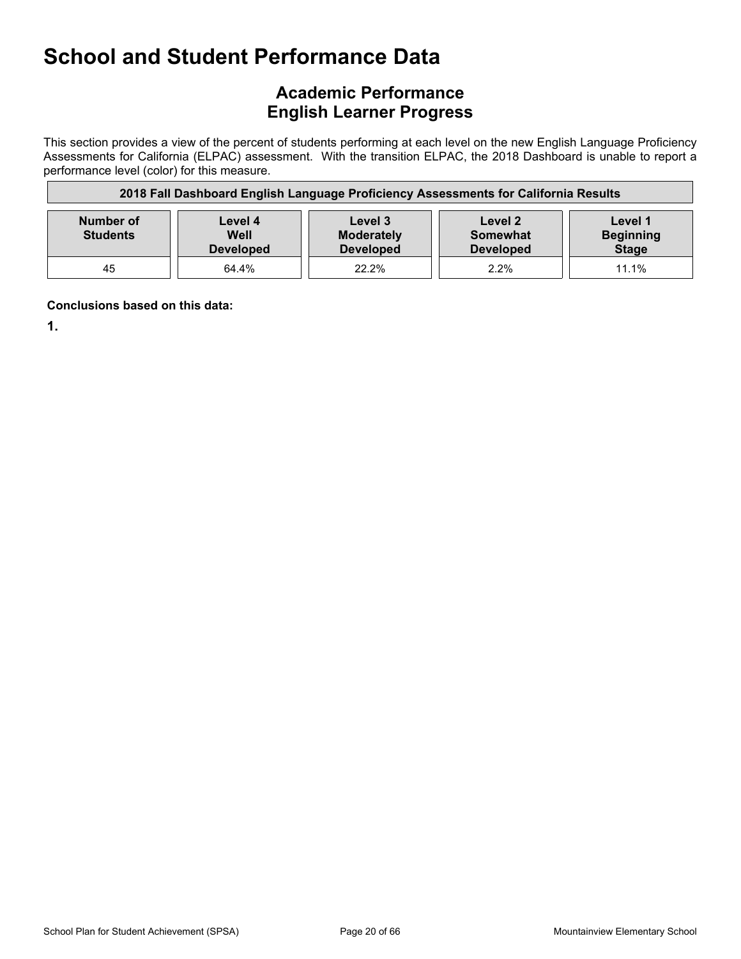## **Academic Performance English Learner Progress**

This section provides a view of the percent of students performing at each level on the new English Language Proficiency Assessments for California (ELPAC) assessment. With the transition ELPAC, the 2018 Dashboard is unable to report a performance level (color) for this measure.

| 2018 Fall Dashboard English Language Proficiency Assessments for California Results |                                     |                                                  |                                         |                                             |  |
|-------------------------------------------------------------------------------------|-------------------------------------|--------------------------------------------------|-----------------------------------------|---------------------------------------------|--|
| Number of<br><b>Students</b>                                                        | Level 4<br>Well<br><b>Developed</b> | Level 3<br><b>Moderately</b><br><b>Developed</b> | Level 2<br>Somewhat<br><b>Developed</b> | Level 1<br><b>Beginning</b><br><b>Stage</b> |  |
| 45                                                                                  | 64.4%                               | 22.2%                                            | 2.2%                                    | $11.1\%$                                    |  |

**Conclusions based on this data:**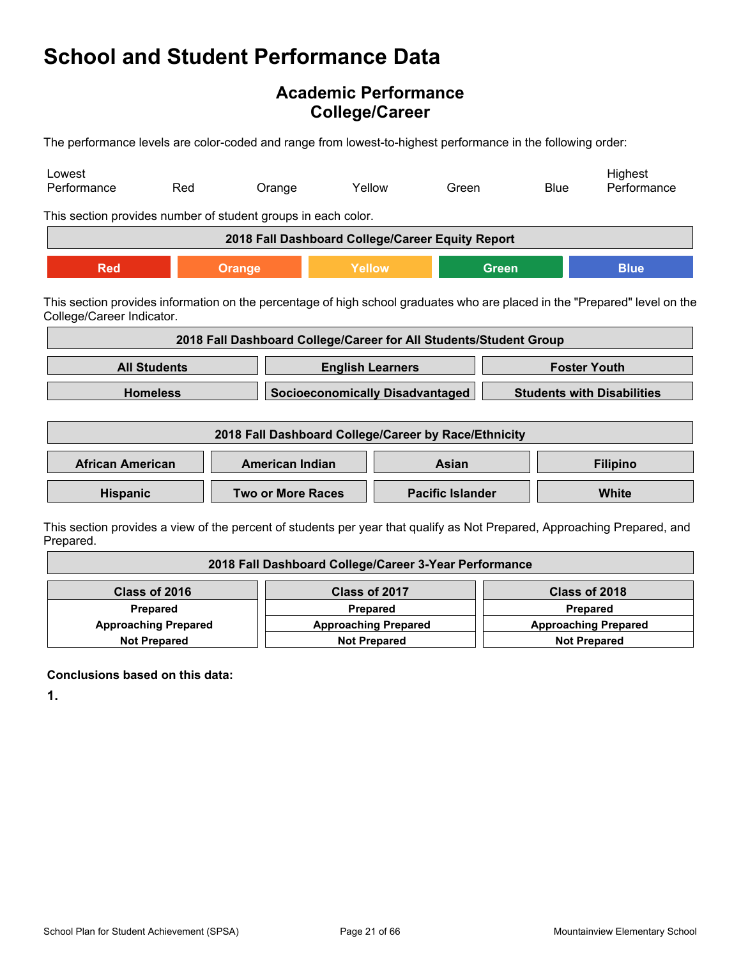### **Academic Performance College/Career**

The performance levels are color-coded and range from lowest-to-highest performance in the following order:

| Lowest<br>Performance                                         | Red                 | Orange                                                            | Yellow                          | Green                                                                       |                         | <b>Blue</b> | Highest<br>Performance                                                                                                     |
|---------------------------------------------------------------|---------------------|-------------------------------------------------------------------|---------------------------------|-----------------------------------------------------------------------------|-------------------------|-------------|----------------------------------------------------------------------------------------------------------------------------|
| This section provides number of student groups in each color. |                     |                                                                   |                                 |                                                                             |                         |             |                                                                                                                            |
|                                                               |                     | 2018 Fall Dashboard College/Career Equity Report                  |                                 |                                                                             |                         |             |                                                                                                                            |
| <b>Red</b>                                                    |                     | <b>Orange</b>                                                     | Yellow                          |                                                                             | <b>Green</b>            |             | <b>Blue</b>                                                                                                                |
| College/Career Indicator.                                     |                     |                                                                   |                                 |                                                                             |                         |             | This section provides information on the percentage of high school graduates who are placed in the "Prepared" level on the |
|                                                               |                     | 2018 Fall Dashboard College/Career for All Students/Student Group |                                 |                                                                             |                         |             |                                                                                                                            |
|                                                               | <b>All Students</b> |                                                                   | <b>English Learners</b>         |                                                                             |                         |             | <b>Foster Youth</b>                                                                                                        |
|                                                               | <b>Homeless</b>     |                                                                   |                                 | <b>Socioeconomically Disadvantaged</b><br><b>Students with Disabilities</b> |                         |             |                                                                                                                            |
|                                                               |                     | 2018 Fall Dashboard College/Career by Race/Ethnicity              |                                 |                                                                             |                         |             |                                                                                                                            |
| <b>African American</b>                                       |                     |                                                                   | <b>American Indian</b><br>Asian |                                                                             | <b>Filipino</b>         |             |                                                                                                                            |
| <b>Hispanic</b>                                               |                     | <b>Two or More Races</b>                                          |                                 |                                                                             | <b>Pacific Islander</b> |             | <b>White</b>                                                                                                               |
|                                                               |                     |                                                                   |                                 |                                                                             |                         |             | This section provides a view of the percent of students per vear that qualify as Not Prepared. Approaching Prepared, and   |

ection provides a view of the percent of students per year that qualify as Not Prepared, Approaching Prepared, and Prepared.

| 2018 Fall Dashboard College/Career 3-Year Performance |                             |                             |  |
|-------------------------------------------------------|-----------------------------|-----------------------------|--|
| Class of 2016                                         | Class of 2017               | Class of 2018               |  |
| <b>Prepared</b>                                       | <b>Prepared</b>             | <b>Prepared</b>             |  |
| <b>Approaching Prepared</b>                           | <b>Approaching Prepared</b> | <b>Approaching Prepared</b> |  |
| <b>Not Prepared</b>                                   | <b>Not Prepared</b>         | <b>Not Prepared</b>         |  |

**Conclusions based on this data:**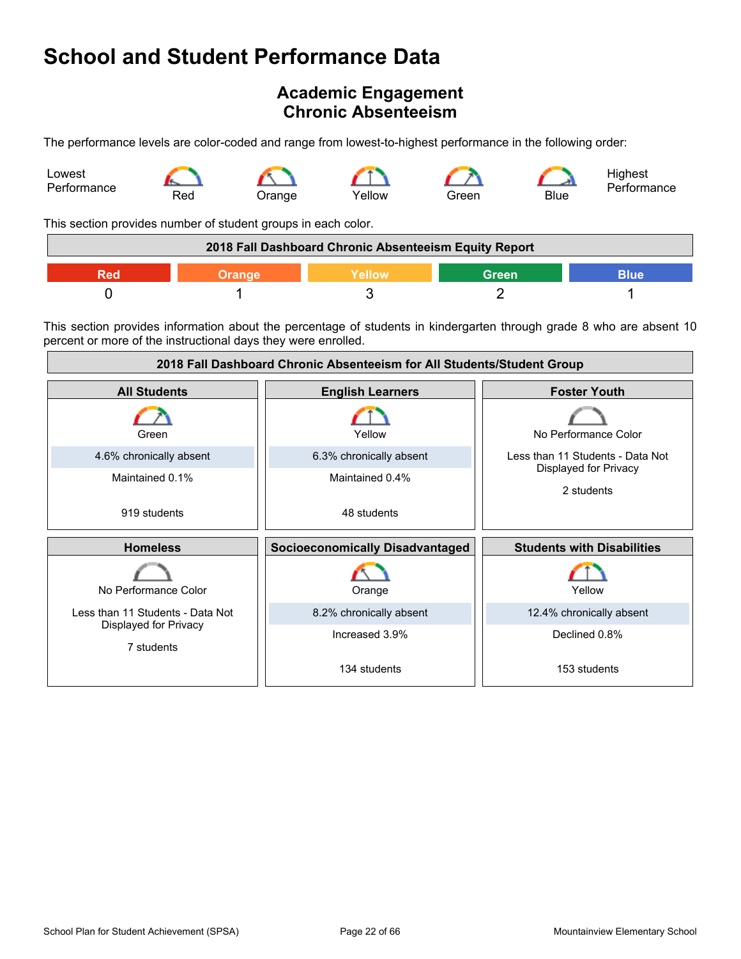## <span id="page-21-0"></span>**Academic Engagement Chronic Absenteeism**

The performance levels are color-coded and range from lowest-to-highest performance in the following order:



This section provides number of student groups in each color.

|  | 2018 Fall Dashboard Chronic Absenteeism Equity Report |       |      |
|--|-------------------------------------------------------|-------|------|
|  | <b>Nellow</b>                                         | Green | ۱۱۱۵ |
|  |                                                       |       |      |

This section provides information about the percentage of students in kindergarten through grade 8 who are absent 10 percent or more of the instructional days they were enrolled.

| 2018 Fall Dashboard Chronic Absenteeism for All Students/Student Group |                                        |                                     |  |  |
|------------------------------------------------------------------------|----------------------------------------|-------------------------------------|--|--|
| <b>All Students</b>                                                    | <b>English Learners</b>                | <b>Foster Youth</b>                 |  |  |
| Green                                                                  | Yellow                                 | No Performance Color                |  |  |
| 4.6% chronically absent                                                | 6.3% chronically absent                | Less than 11 Students - Data Not    |  |  |
| Maintained 0.1%                                                        | Maintained 0.4%                        | Displayed for Privacy<br>2 students |  |  |
| 919 students                                                           | 48 students                            |                                     |  |  |
| <b>Homeless</b>                                                        | <b>Socioeconomically Disadvantaged</b> | <b>Students with Disabilities</b>   |  |  |
| No Performance Color                                                   | Orange                                 | Yellow                              |  |  |
| Less than 11 Students - Data Not                                       | 8.2% chronically absent                | 12.4% chronically absent            |  |  |
| Displayed for Privacy<br>7 students                                    | Increased 3.9%                         | Declined 0.8%                       |  |  |
|                                                                        | 134 students                           | 153 students                        |  |  |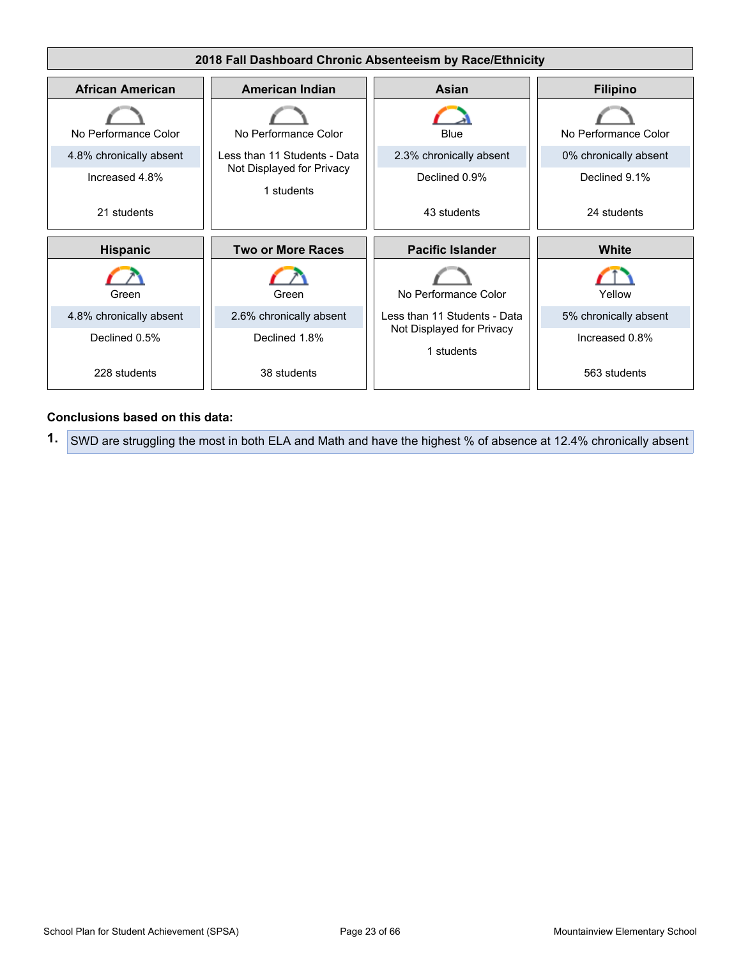

#### **Conclusions based on this data:**

**1.** SWD are struggling the most in both ELA and Math and have the highest % of absence at 12.4% chronically absent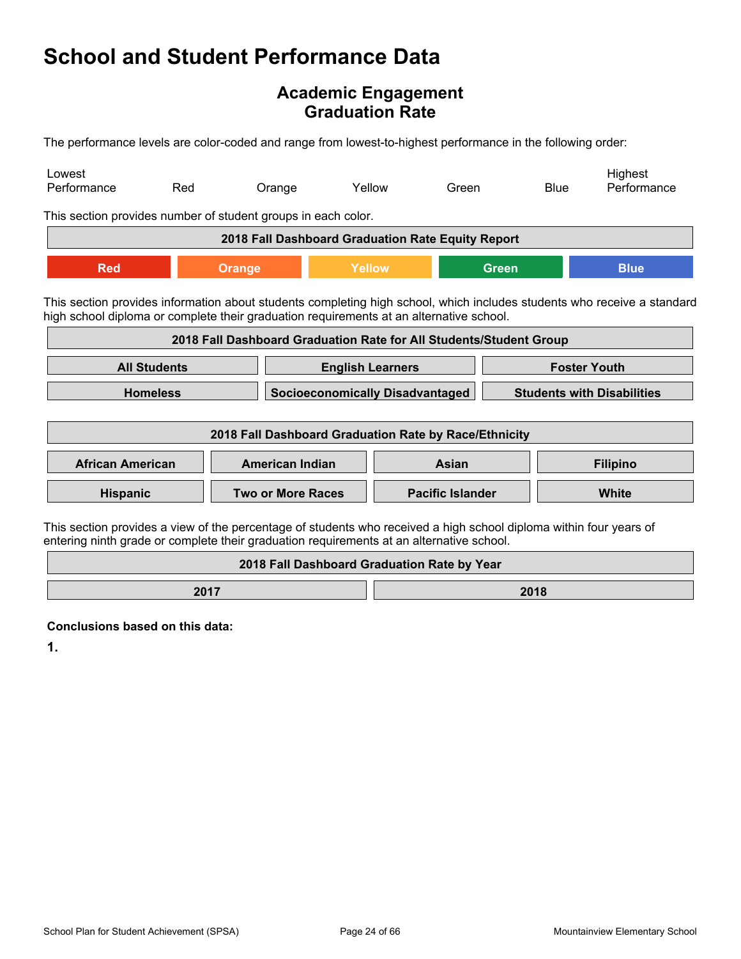### **Academic Engagement Graduation Rate**

The performance levels are color-coded and range from lowest-to-highest performance in the following order:

| Lowest<br>Performance                                                                                                                                                                                          | Red                                                                                            | Orange                                                             |                                             | Yellow | Green                   |              | <b>Blue</b> | Highest<br>Performance                                                                                                  |
|----------------------------------------------------------------------------------------------------------------------------------------------------------------------------------------------------------------|------------------------------------------------------------------------------------------------|--------------------------------------------------------------------|---------------------------------------------|--------|-------------------------|--------------|-------------|-------------------------------------------------------------------------------------------------------------------------|
| This section provides number of student groups in each color.                                                                                                                                                  |                                                                                                |                                                                    |                                             |        |                         |              |             |                                                                                                                         |
|                                                                                                                                                                                                                |                                                                                                | 2018 Fall Dashboard Graduation Rate Equity Report                  |                                             |        |                         |              |             |                                                                                                                         |
| <b>Red</b>                                                                                                                                                                                                     |                                                                                                | <b>Orange</b>                                                      | Yellow                                      |        |                         | <b>Green</b> |             | <b>Blue</b>                                                                                                             |
| high school diploma or complete their graduation requirements at an alternative school.                                                                                                                        |                                                                                                |                                                                    |                                             |        |                         |              |             | This section provides information about students completing high school, which includes students who receive a standard |
|                                                                                                                                                                                                                |                                                                                                | 2018 Fall Dashboard Graduation Rate for All Students/Student Group |                                             |        |                         |              |             |                                                                                                                         |
|                                                                                                                                                                                                                | <b>All Students</b><br><b>Foster Youth</b><br><b>English Learners</b>                          |                                                                    |                                             |        |                         |              |             |                                                                                                                         |
|                                                                                                                                                                                                                | <b>Homeless</b><br><b>Socioeconomically Disadvantaged</b><br><b>Students with Disabilities</b> |                                                                    |                                             |        |                         |              |             |                                                                                                                         |
| 2018 Fall Dashboard Graduation Rate by Race/Ethnicity                                                                                                                                                          |                                                                                                |                                                                    |                                             |        |                         |              |             |                                                                                                                         |
| <b>African American</b>                                                                                                                                                                                        |                                                                                                | <b>American Indian</b>                                             |                                             |        | Asian                   |              |             | <b>Filipino</b>                                                                                                         |
| Hispanic                                                                                                                                                                                                       |                                                                                                | <b>Two or More Races</b>                                           |                                             |        | <b>Pacific Islander</b> |              | White       |                                                                                                                         |
| This section provides a view of the percentage of students who received a high school diploma within four years of<br>entering ninth grade or complete their graduation requirements at an alternative school. |                                                                                                |                                                                    |                                             |        |                         |              |             |                                                                                                                         |
|                                                                                                                                                                                                                |                                                                                                |                                                                    | 2018 Fall Dashboard Graduation Rate by Year |        |                         |              |             |                                                                                                                         |

**2017 2018** 

**Conclusions based on this data:**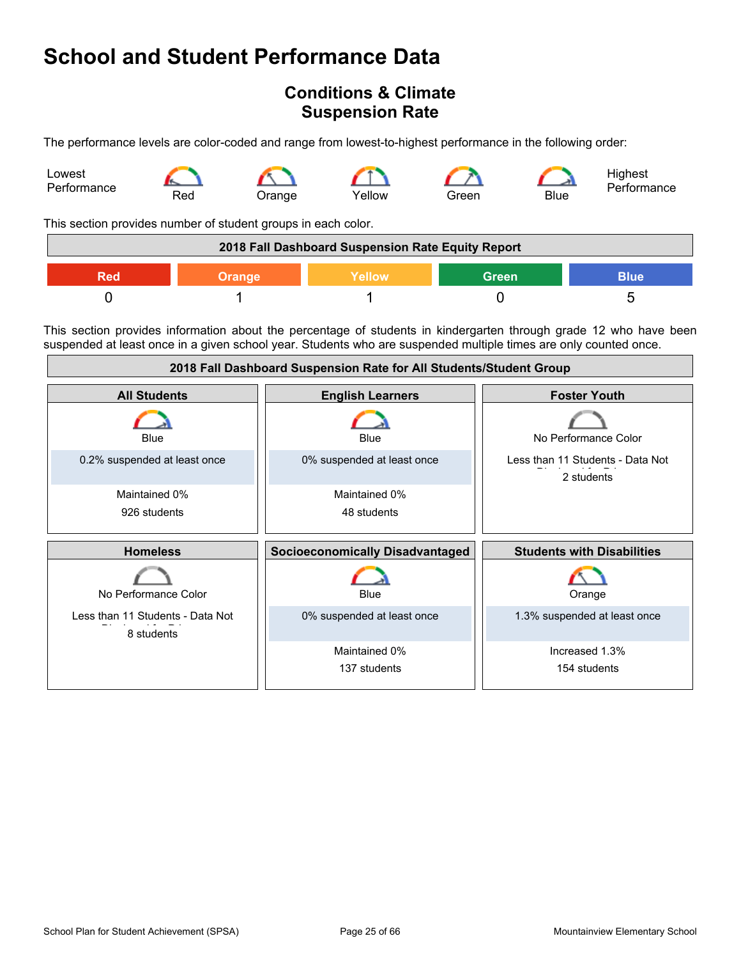## <span id="page-24-0"></span>**Conditions & Climate Suspension Rate**

The performance levels are color-coded and range from lowest-to-highest performance in the following order:



This section provides number of student groups in each color.

|     |               | 2018 Fall Dashboard Suspension Rate Equity Report |              |             |
|-----|---------------|---------------------------------------------------|--------------|-------------|
| Red | <b>Orange</b> | Yellow\                                           | <b>Green</b> | <b>Blue</b> |
|     |               |                                                   |              |             |

This section provides information about the percentage of students in kindergarten through grade 12 who have been suspended at least once in a given school year. Students who are suspended multiple times are only counted once.

| 2018 Fall Dashboard Suspension Rate for All Students/Student Group |                                        |                                                |  |  |
|--------------------------------------------------------------------|----------------------------------------|------------------------------------------------|--|--|
| <b>All Students</b>                                                | <b>English Learners</b>                | <b>Foster Youth</b>                            |  |  |
| Blue                                                               | <b>Blue</b>                            | No Performance Color                           |  |  |
| 0.2% suspended at least once                                       | 0% suspended at least once             | Less than 11 Students - Data Not<br>2 students |  |  |
| Maintained 0%                                                      | Maintained 0%                          |                                                |  |  |
| 926 students                                                       | 48 students                            |                                                |  |  |
|                                                                    |                                        |                                                |  |  |
| <b>Homeless</b>                                                    | <b>Socioeconomically Disadvantaged</b> | <b>Students with Disabilities</b>              |  |  |
| No Performance Color                                               | Blue                                   | Orange                                         |  |  |
| Less than 11 Students - Data Not<br>8 students                     | 0% suspended at least once             | 1.3% suspended at least once                   |  |  |
|                                                                    | Maintained 0%                          | Increased 1.3%                                 |  |  |
|                                                                    | 137 students                           | 154 students                                   |  |  |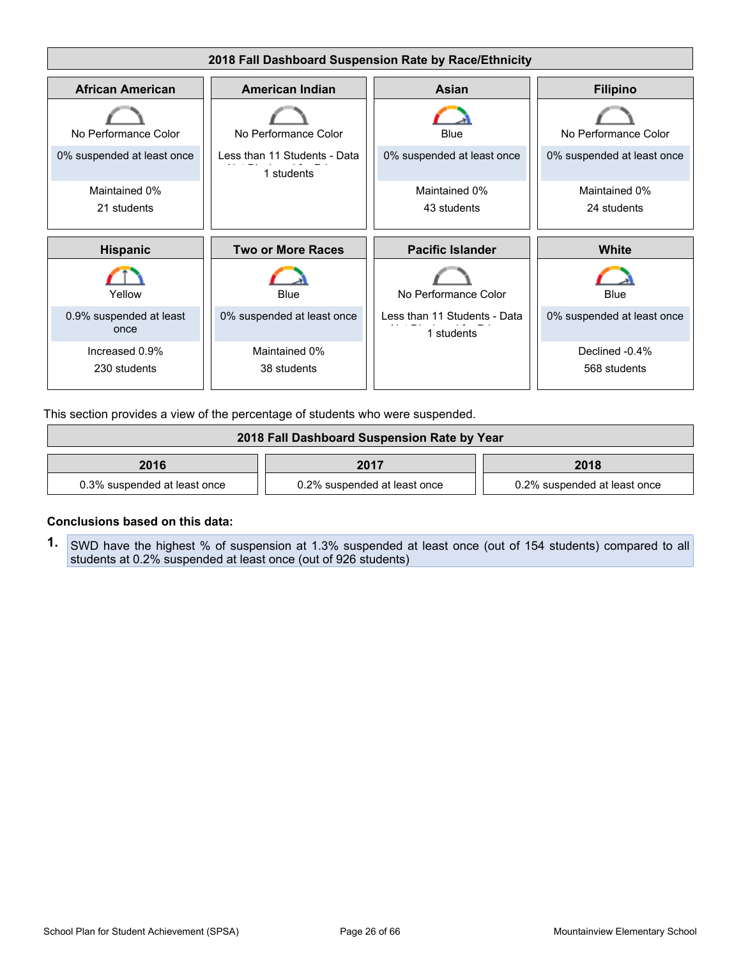

This section provides a view of the percentage of students who were suspended.

| 2018 Fall Dashboard Suspension Rate by Year |                              |                              |  |
|---------------------------------------------|------------------------------|------------------------------|--|
| 2016                                        | 2017                         | 2018                         |  |
| 0.3% suspended at least once                | 0.2% suspended at least once | 0.2% suspended at least once |  |

#### **Conclusions based on this data:**

**1.** SWD have the highest % of suspension at 1.3% suspended at least once (out of 154 students) compared to all students at 0.2% suspended at least once (out of 926 students)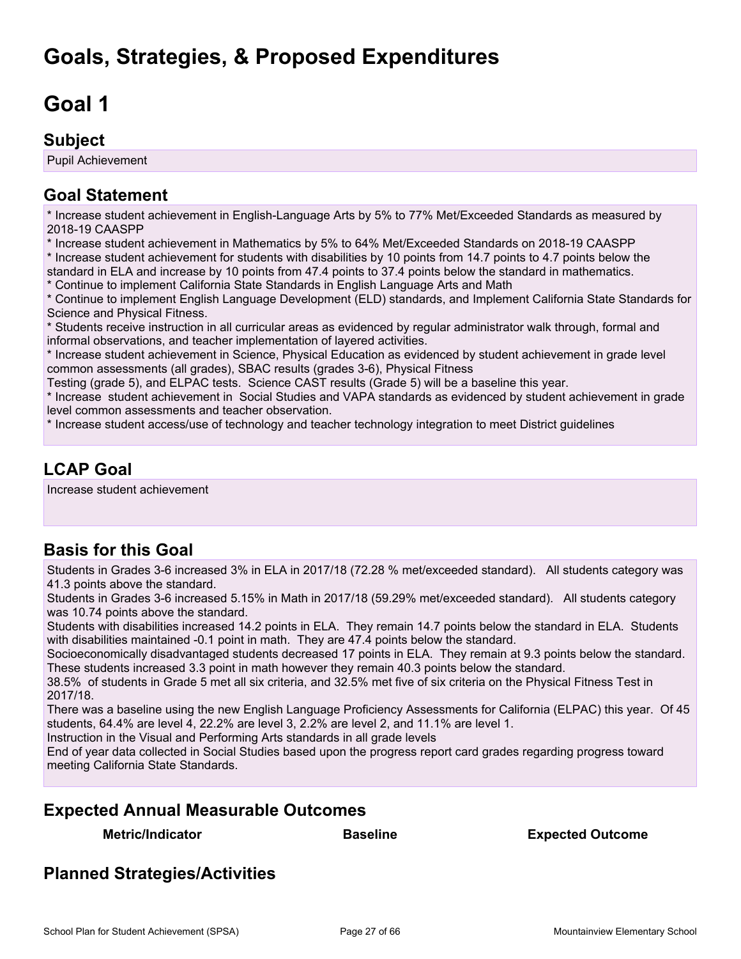## <span id="page-26-0"></span>**Goals, Strategies, & Proposed Expenditures**

# <span id="page-26-1"></span>**Goal 1**

### **Subject**

Pupil Achievement

## **Goal Statement**

\* Increase student achievement in English-Language Arts by 5% to 77% Met/Exceeded Standards as measured by 2018-19 CAASPP

\* Increase student achievement in Mathematics by 5% to 64% Met/Exceeded Standards on 2018-19 CAASPP

\* Increase student achievement for students with disabilities by 10 points from 14.7 points to 4.7 points below the standard in ELA and increase by 10 points from 47.4 points to 37.4 points below the standard in mathematics.

\* Continue to implement California State Standards in English Language Arts and Math

\* Continue to implement English Language Development (ELD) standards, and Implement California State Standards for Science and Physical Fitness.

\* Students receive instruction in all curricular areas as evidenced by regular administrator walk through, formal and informal observations, and teacher implementation of layered activities.

\* Increase student achievement in Science, Physical Education as evidenced by student achievement in grade level common assessments (all grades), SBAC results (grades 3-6), Physical Fitness

Testing (grade 5), and ELPAC tests. Science CAST results (Grade 5) will be a baseline this year.

\* Increase student achievement in Social Studies and VAPA standards as evidenced by student achievement in grade level common assessments and teacher observation.

\* Increase student access/use of technology and teacher technology integration to meet District guidelines

## **LCAP Goal**

Increase student achievement

## **Basis for this Goal**

Students in Grades 3-6 increased 3% in ELA in 2017/18 (72.28 % met/exceeded standard). All students category was 41.3 points above the standard.

Students in Grades 3-6 increased 5.15% in Math in 2017/18 (59.29% met/exceeded standard). All students category was 10.74 points above the standard.

Students with disabilities increased 14.2 points in ELA. They remain 14.7 points below the standard in ELA. Students with disabilities maintained -0.1 point in math. They are 47.4 points below the standard.

Socioeconomically disadvantaged students decreased 17 points in ELA. They remain at 9.3 points below the standard. These students increased 3.3 point in math however they remain 40.3 points below the standard.

38.5% of students in Grade 5 met all six criteria, and 32.5% met five of six criteria on the Physical Fitness Test in 2017/18.

There was a baseline using the new English Language Proficiency Assessments for California (ELPAC) this year. Of 45 students, 64.4% are level 4, 22.2% are level 3, 2.2% are level 2, and 11.1% are level 1.

Instruction in the Visual and Performing Arts standards in all grade levels

End of year data collected in Social Studies based upon the progress report card grades regarding progress toward meeting California State Standards.

### **Expected Annual Measurable Outcomes**

**Metric/Indicator Baseline Expected Outcome**

## **Planned Strategies/Activities**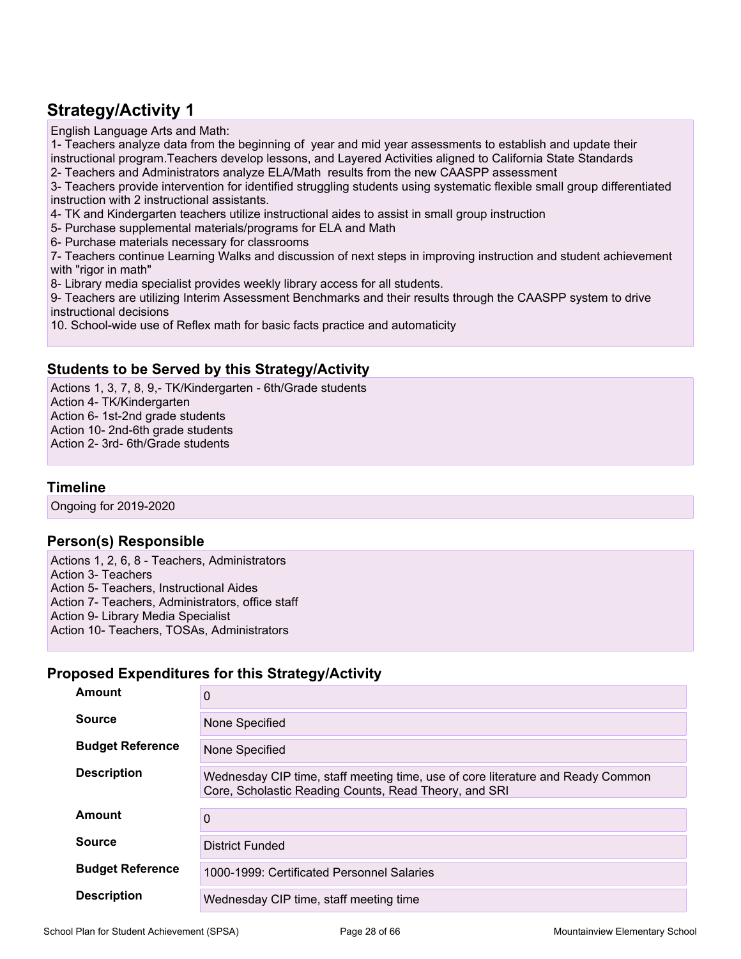English Language Arts and Math:

1- Teachers analyze data from the beginning of year and mid year assessments to establish and update their instructional program.Teachers develop lessons, and Layered Activities aligned to California State Standards

2- Teachers and Administrators analyze ELA/Math results from the new CAASPP assessment

3- Teachers provide intervention for identified struggling students using systematic flexible small group differentiated instruction with 2 instructional assistants.

4- TK and Kindergarten teachers utilize instructional aides to assist in small group instruction

5- Purchase supplemental materials/programs for ELA and Math

6- Purchase materials necessary for classrooms

7- Teachers continue Learning Walks and discussion of next steps in improving instruction and student achievement with "rigor in math"

8- Library media specialist provides weekly library access for all students.

9- Teachers are utilizing Interim Assessment Benchmarks and their results through the CAASPP system to drive instructional decisions

10. School-wide use of Reflex math for basic facts practice and automaticity

### **Students to be Served by this Strategy/Activity**

Actions 1, 3, 7, 8, 9,- TK/Kindergarten - 6th/Grade students Action 4- TK/Kindergarten Action 6- 1st-2nd grade students Action 10- 2nd-6th grade students Action 2- 3rd- 6th/Grade students

### **Timeline**

Ongoing for 2019-2020

### **Person(s) Responsible**

Actions 1, 2, 6, 8 - Teachers, Administrators Action 3- Teachers Action 5- Teachers, Instructional Aides Action 7- Teachers, Administrators, office staff Action 9- Library Media Specialist Action 10- Teachers, TOSAs, Administrators

| Amount                  | 0                                                                                                                                        |
|-------------------------|------------------------------------------------------------------------------------------------------------------------------------------|
| <b>Source</b>           | None Specified                                                                                                                           |
| <b>Budget Reference</b> | None Specified                                                                                                                           |
| <b>Description</b>      | Wednesday CIP time, staff meeting time, use of core literature and Ready Common<br>Core, Scholastic Reading Counts, Read Theory, and SRI |
| Amount                  | 0                                                                                                                                        |
| <b>Source</b>           | District Funded                                                                                                                          |
| <b>Budget Reference</b> | 1000-1999: Certificated Personnel Salaries                                                                                               |
| <b>Description</b>      | Wednesday CIP time, staff meeting time                                                                                                   |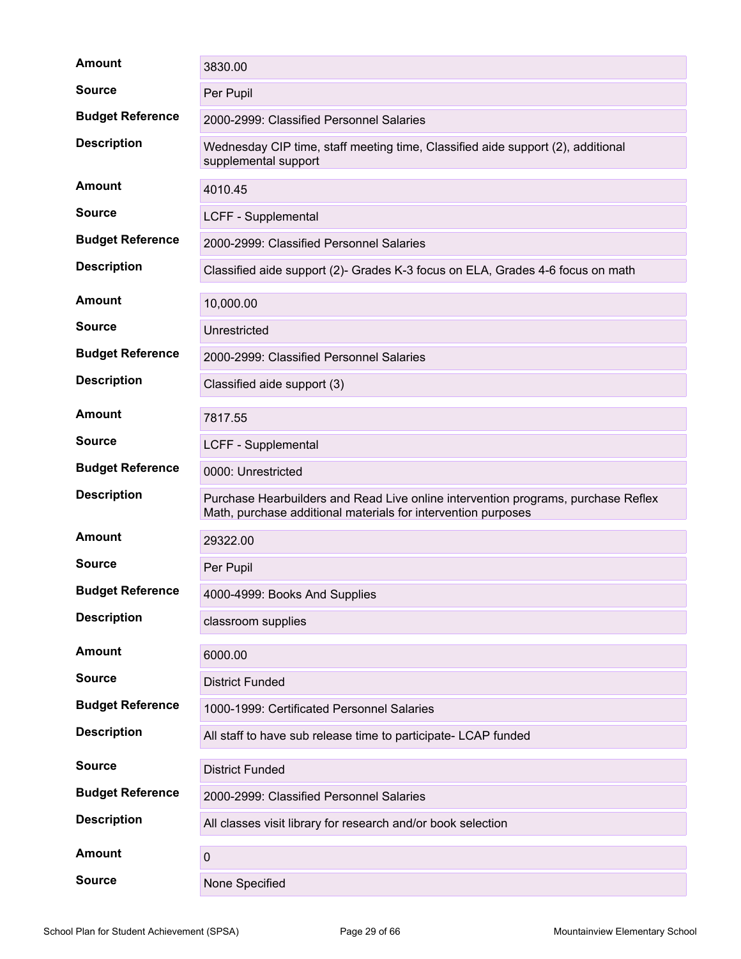| <b>Amount</b>           | 3830.00                                                                                                                                            |
|-------------------------|----------------------------------------------------------------------------------------------------------------------------------------------------|
| <b>Source</b>           | Per Pupil                                                                                                                                          |
| <b>Budget Reference</b> | 2000-2999: Classified Personnel Salaries                                                                                                           |
| <b>Description</b>      | Wednesday CIP time, staff meeting time, Classified aide support (2), additional<br>supplemental support                                            |
| <b>Amount</b>           | 4010.45                                                                                                                                            |
| <b>Source</b>           | LCFF - Supplemental                                                                                                                                |
| <b>Budget Reference</b> | 2000-2999: Classified Personnel Salaries                                                                                                           |
| <b>Description</b>      | Classified aide support (2)- Grades K-3 focus on ELA, Grades 4-6 focus on math                                                                     |
| <b>Amount</b>           | 10,000.00                                                                                                                                          |
| <b>Source</b>           | Unrestricted                                                                                                                                       |
| <b>Budget Reference</b> | 2000-2999: Classified Personnel Salaries                                                                                                           |
| <b>Description</b>      | Classified aide support (3)                                                                                                                        |
| <b>Amount</b>           | 7817.55                                                                                                                                            |
| <b>Source</b>           | LCFF - Supplemental                                                                                                                                |
| <b>Budget Reference</b> | 0000: Unrestricted                                                                                                                                 |
| <b>Description</b>      | Purchase Hearbuilders and Read Live online intervention programs, purchase Reflex<br>Math, purchase additional materials for intervention purposes |
| <b>Amount</b>           | 29322.00                                                                                                                                           |
| <b>Source</b>           | Per Pupil                                                                                                                                          |
| <b>Budget Reference</b> | 4000-4999: Books And Supplies                                                                                                                      |
| <b>Description</b>      | classroom supplies                                                                                                                                 |
| <b>Amount</b>           | 6000.00                                                                                                                                            |
| <b>Source</b>           | <b>District Funded</b>                                                                                                                             |
| <b>Budget Reference</b> | 1000-1999: Certificated Personnel Salaries                                                                                                         |
| <b>Description</b>      | All staff to have sub release time to participate- LCAP funded                                                                                     |
| <b>Source</b>           | <b>District Funded</b>                                                                                                                             |
| <b>Budget Reference</b> | 2000-2999: Classified Personnel Salaries                                                                                                           |
| <b>Description</b>      | All classes visit library for research and/or book selection                                                                                       |
| <b>Amount</b>           | $\pmb{0}$                                                                                                                                          |
| <b>Source</b>           | None Specified                                                                                                                                     |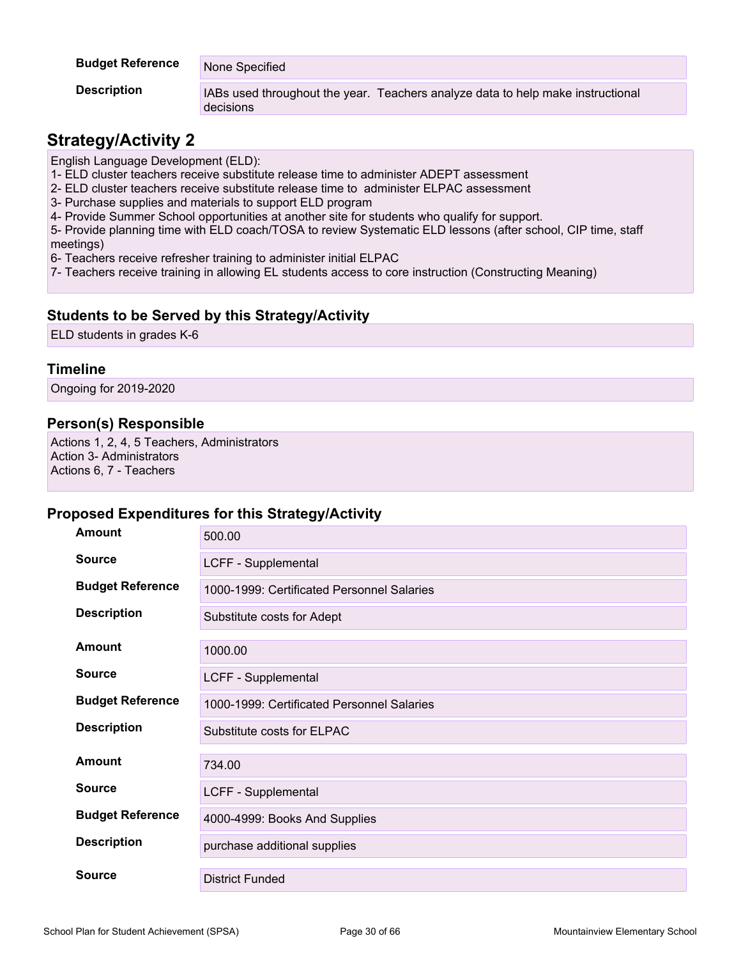### **Budget Reference** None Specified

**Description** IABs used throughout the year. Teachers analyze data to help make instructional decisions

### **Strategy/Activity 2**

English Language Development (ELD):

1- ELD cluster teachers receive substitute release time to administer ADEPT assessment

- 2- ELD cluster teachers receive substitute release time to administer ELPAC assessment
- 3- Purchase supplies and materials to support ELD program
- 4- Provide Summer School opportunities at another site for students who qualify for support.
- 5- Provide planning time with ELD coach/TOSA to review Systematic ELD lessons (after school, CIP time, staff meetings)
- 6- Teachers receive refresher training to administer initial ELPAC
- 7- Teachers receive training in allowing EL students access to core instruction (Constructing Meaning)

#### **Students to be Served by this Strategy/Activity**

ELD students in grades K-6

#### **Timeline**

Ongoing for 2019-2020

### **Person(s) Responsible**

Actions 1, 2, 4, 5 Teachers, Administrators Action 3- Administrators Actions 6, 7 - Teachers

| <b>Amount</b>           | 500.00                                     |
|-------------------------|--------------------------------------------|
| <b>Source</b>           | LCFF - Supplemental                        |
| <b>Budget Reference</b> | 1000-1999: Certificated Personnel Salaries |
| <b>Description</b>      | Substitute costs for Adept                 |
| Amount                  | 1000.00                                    |
| <b>Source</b>           | LCFF - Supplemental                        |
| <b>Budget Reference</b> | 1000-1999: Certificated Personnel Salaries |
| <b>Description</b>      | Substitute costs for ELPAC                 |
| Amount                  | 734.00                                     |
| <b>Source</b>           | LCFF - Supplemental                        |
| <b>Budget Reference</b> | 4000-4999: Books And Supplies              |
| <b>Description</b>      | purchase additional supplies               |
| <b>Source</b>           | <b>District Funded</b>                     |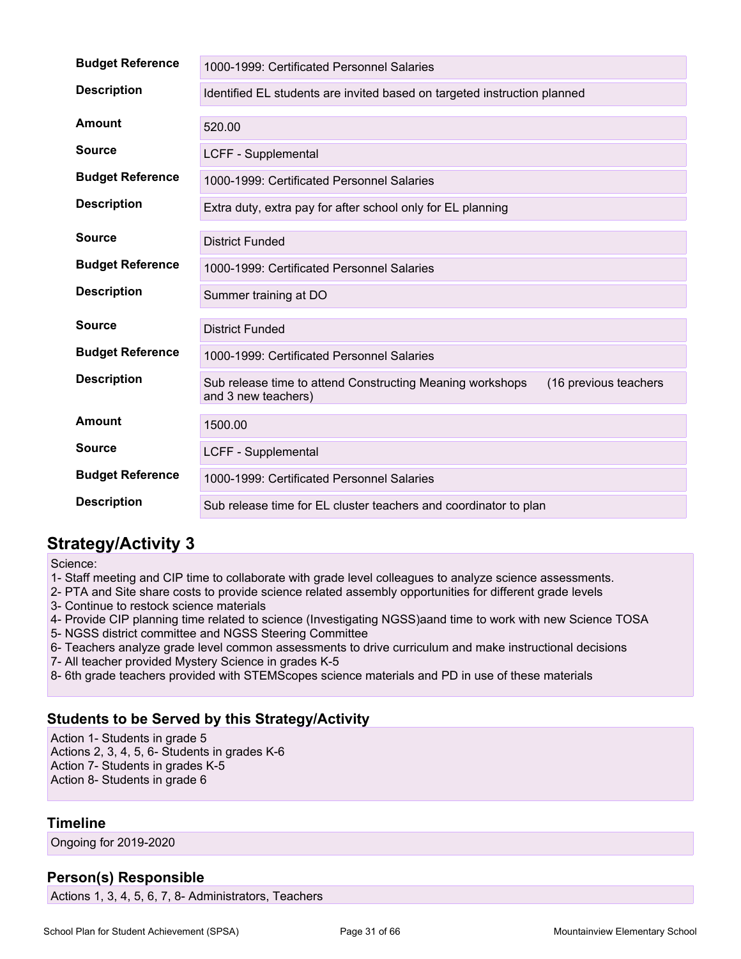| <b>Budget Reference</b> | 1000-1999: Certificated Personnel Salaries                                                                |
|-------------------------|-----------------------------------------------------------------------------------------------------------|
| <b>Description</b>      | Identified EL students are invited based on targeted instruction planned                                  |
| Amount                  | 520.00                                                                                                    |
| <b>Source</b>           | LCFF - Supplemental                                                                                       |
| <b>Budget Reference</b> | 1000-1999: Certificated Personnel Salaries                                                                |
| <b>Description</b>      | Extra duty, extra pay for after school only for EL planning                                               |
| <b>Source</b>           | <b>District Funded</b>                                                                                    |
| <b>Budget Reference</b> | 1000-1999: Certificated Personnel Salaries                                                                |
| <b>Description</b>      | Summer training at DO                                                                                     |
| <b>Source</b>           | <b>District Funded</b>                                                                                    |
| <b>Budget Reference</b> | 1000-1999: Certificated Personnel Salaries                                                                |
| <b>Description</b>      | Sub release time to attend Constructing Meaning workshops<br>(16 previous teachers<br>and 3 new teachers) |
| Amount                  | 1500.00                                                                                                   |
| <b>Source</b>           | LCFF - Supplemental                                                                                       |
| <b>Budget Reference</b> | 1000-1999: Certificated Personnel Salaries                                                                |
| <b>Description</b>      | Sub release time for EL cluster teachers and coordinator to plan                                          |

Science:

1- Staff meeting and CIP time to collaborate with grade level colleagues to analyze science assessments.

2- PTA and Site share costs to provide science related assembly opportunities for different grade levels

3- Continue to restock science materials

4- Provide CIP planning time related to science (Investigating NGSS)aand time to work with new Science TOSA

5- NGSS district committee and NGSS Steering Committee

6- Teachers analyze grade level common assessments to drive curriculum and make instructional decisions

7- All teacher provided Mystery Science in grades K-5

8- 6th grade teachers provided with STEMScopes science materials and PD in use of these materials

### **Students to be Served by this Strategy/Activity**

Action 1- Students in grade 5 Actions 2, 3, 4, 5, 6- Students in grades K-6 Action 7- Students in grades K-5 Action 8- Students in grade 6

### **Timeline**

Ongoing for 2019-2020

### **Person(s) Responsible**

Actions 1, 3, 4, 5, 6, 7, 8- Administrators, Teachers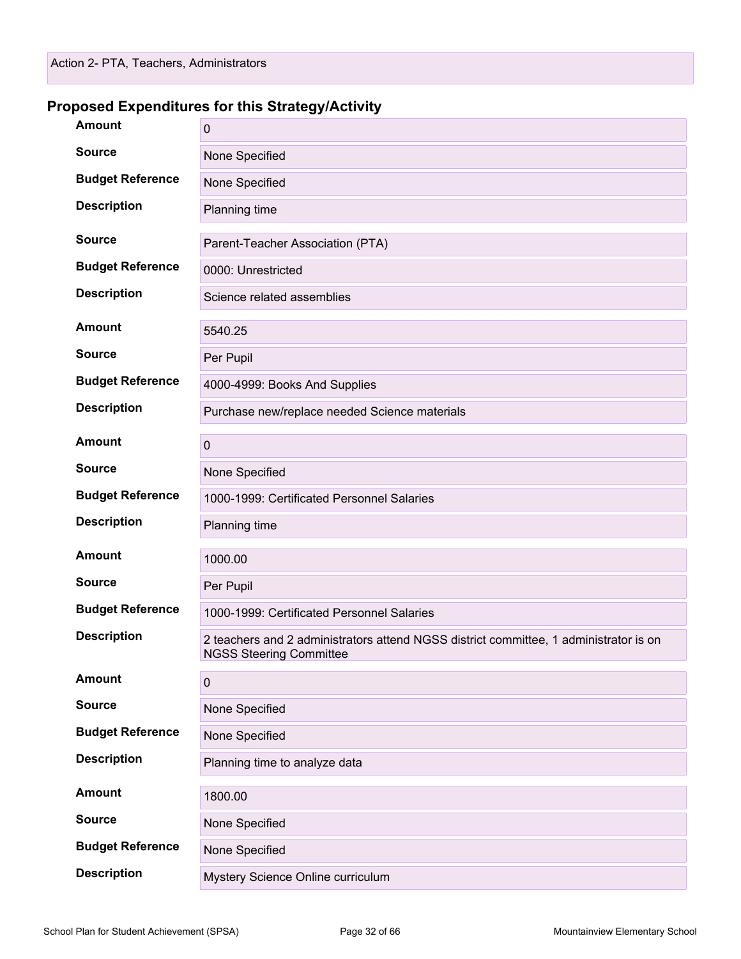| <b>Amount</b>           | $\pmb{0}$                                                                                                               |
|-------------------------|-------------------------------------------------------------------------------------------------------------------------|
| <b>Source</b>           | None Specified                                                                                                          |
| <b>Budget Reference</b> | None Specified                                                                                                          |
| <b>Description</b>      | Planning time                                                                                                           |
| <b>Source</b>           | Parent-Teacher Association (PTA)                                                                                        |
| <b>Budget Reference</b> | 0000: Unrestricted                                                                                                      |
| <b>Description</b>      | Science related assemblies                                                                                              |
| <b>Amount</b>           | 5540.25                                                                                                                 |
| <b>Source</b>           | Per Pupil                                                                                                               |
| <b>Budget Reference</b> | 4000-4999: Books And Supplies                                                                                           |
| <b>Description</b>      | Purchase new/replace needed Science materials                                                                           |
| <b>Amount</b>           | $\mathbf 0$                                                                                                             |
| <b>Source</b>           | None Specified                                                                                                          |
| <b>Budget Reference</b> | 1000-1999: Certificated Personnel Salaries                                                                              |
| <b>Description</b>      | Planning time                                                                                                           |
| <b>Amount</b>           | 1000.00                                                                                                                 |
| <b>Source</b>           | Per Pupil                                                                                                               |
| <b>Budget Reference</b> | 1000-1999: Certificated Personnel Salaries                                                                              |
| <b>Description</b>      | 2 teachers and 2 administrators attend NGSS district committee, 1 administrator is on<br><b>NGSS Steering Committee</b> |
| <b>Amount</b>           | $\mathbf 0$                                                                                                             |
| <b>Source</b>           | None Specified                                                                                                          |
| <b>Budget Reference</b> | None Specified                                                                                                          |
| <b>Description</b>      | Planning time to analyze data                                                                                           |
| <b>Amount</b>           | 1800.00                                                                                                                 |
| <b>Source</b>           | None Specified                                                                                                          |
| <b>Budget Reference</b> | None Specified                                                                                                          |
| <b>Description</b>      | Mystery Science Online curriculum                                                                                       |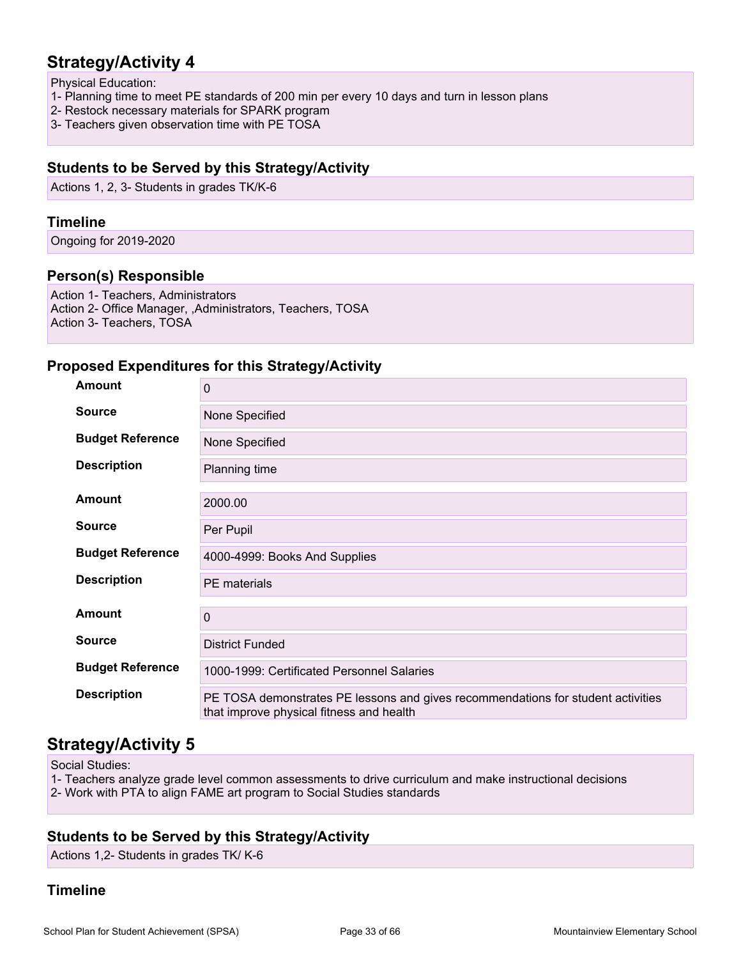Physical Education:

- 1- Planning time to meet PE standards of 200 min per every 10 days and turn in lesson plans
- 2- Restock necessary materials for SPARK program
- 3- Teachers given observation time with PE TOSA

### **Students to be Served by this Strategy/Activity**

Actions 1, 2, 3- Students in grades TK/K-6

### **Timeline**

Ongoing for 2019-2020

### **Person(s) Responsible**

Action 1- Teachers, Administrators Action 2- Office Manager, ,Administrators, Teachers, TOSA Action 3- Teachers, TOSA

### **Proposed Expenditures for this Strategy/Activity**

| <b>Amount</b>           | $\mathbf{0}$                                                                                                                 |
|-------------------------|------------------------------------------------------------------------------------------------------------------------------|
| <b>Source</b>           | None Specified                                                                                                               |
| <b>Budget Reference</b> | None Specified                                                                                                               |
| <b>Description</b>      | Planning time                                                                                                                |
| <b>Amount</b>           | 2000.00                                                                                                                      |
| <b>Source</b>           | Per Pupil                                                                                                                    |
| <b>Budget Reference</b> | 4000-4999: Books And Supplies                                                                                                |
| <b>Description</b>      | <b>PE</b> materials                                                                                                          |
| <b>Amount</b>           | $\mathbf 0$                                                                                                                  |
| <b>Source</b>           | <b>District Funded</b>                                                                                                       |
| <b>Budget Reference</b> | 1000-1999: Certificated Personnel Salaries                                                                                   |
| <b>Description</b>      | PE TOSA demonstrates PE lessons and gives recommendations for student activities<br>that improve physical fitness and health |

### **Strategy/Activity 5**

Social Studies:

1- Teachers analyze grade level common assessments to drive curriculum and make instructional decisions

2- Work with PTA to align FAME art program to Social Studies standards

### **Students to be Served by this Strategy/Activity**

Actions 1,2- Students in grades TK/ K-6

### **Timeline**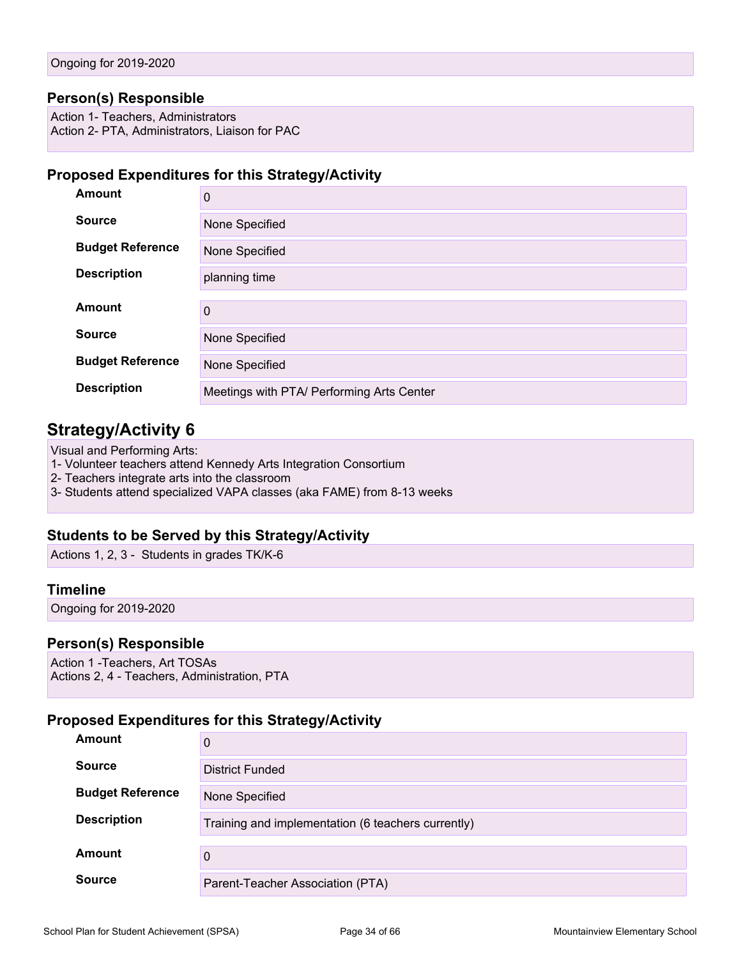### **Person(s) Responsible**

Action 1- Teachers, Administrators Action 2- PTA, Administrators, Liaison for PAC

#### **Proposed Expenditures for this Strategy/Activity**

| <b>Amount</b>           | 0                                         |
|-------------------------|-------------------------------------------|
| <b>Source</b>           | None Specified                            |
| <b>Budget Reference</b> | None Specified                            |
| <b>Description</b>      | planning time                             |
| Amount                  | $\mathbf 0$                               |
| <b>Source</b>           | None Specified                            |
| <b>Budget Reference</b> | None Specified                            |
| <b>Description</b>      | Meetings with PTA/ Performing Arts Center |

### **Strategy/Activity 6**

Visual and Performing Arts:

1- Volunteer teachers attend Kennedy Arts Integration Consortium

2- Teachers integrate arts into the classroom

3- Students attend specialized VAPA classes (aka FAME) from 8-13 weeks

### **Students to be Served by this Strategy/Activity**

Actions 1, 2, 3 - Students in grades TK/K-6

### **Timeline**

Ongoing for 2019-2020

### **Person(s) Responsible**

Action 1 -Teachers, Art TOSAs Actions 2, 4 - Teachers, Administration, PTA

| <b>Amount</b>           | 0                                                  |
|-------------------------|----------------------------------------------------|
| <b>Source</b>           | District Funded                                    |
| <b>Budget Reference</b> | None Specified                                     |
| <b>Description</b>      | Training and implementation (6 teachers currently) |
| <b>Amount</b>           | 0                                                  |
| <b>Source</b>           | Parent-Teacher Association (PTA)                   |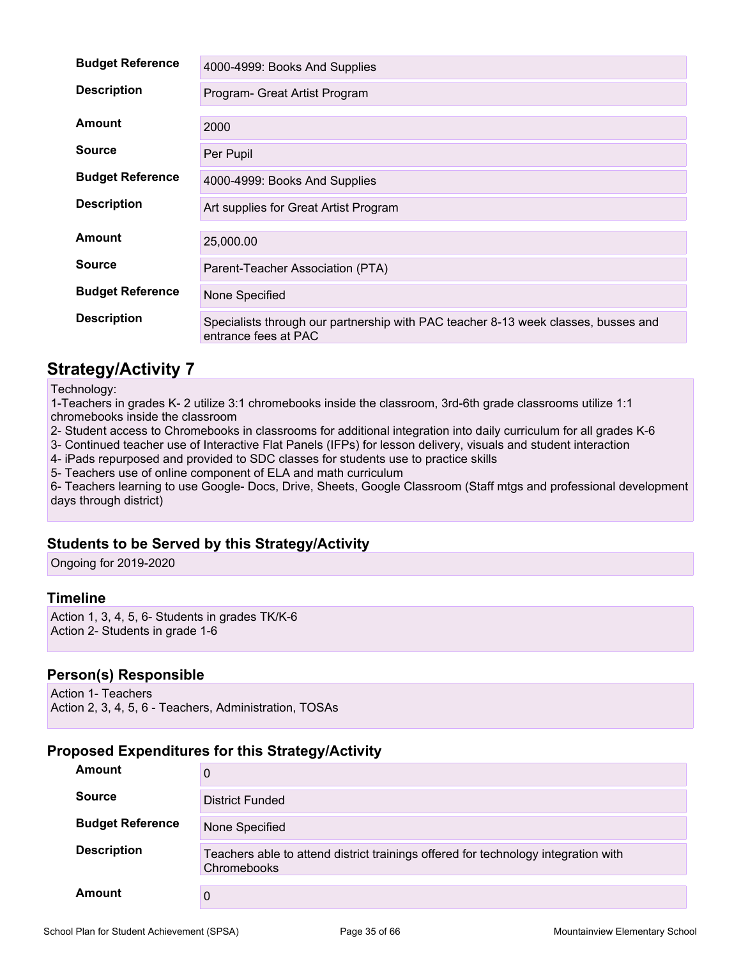| <b>Budget Reference</b> | 4000-4999: Books And Supplies                                                                              |
|-------------------------|------------------------------------------------------------------------------------------------------------|
| <b>Description</b>      | Program- Great Artist Program                                                                              |
| Amount                  | 2000                                                                                                       |
| <b>Source</b>           | Per Pupil                                                                                                  |
| <b>Budget Reference</b> | 4000-4999: Books And Supplies                                                                              |
| <b>Description</b>      | Art supplies for Great Artist Program                                                                      |
| Amount                  | 25,000.00                                                                                                  |
| <b>Source</b>           | Parent-Teacher Association (PTA)                                                                           |
| <b>Budget Reference</b> | None Specified                                                                                             |
| <b>Description</b>      | Specialists through our partnership with PAC teacher 8-13 week classes, busses and<br>entrance fees at PAC |

Technology:

1-Teachers in grades K- 2 utilize 3:1 chromebooks inside the classroom, 3rd-6th grade classrooms utilize 1:1 chromebooks inside the classroom

2- Student access to Chromebooks in classrooms for additional integration into daily curriculum for all grades K-6

3- Continued teacher use of Interactive Flat Panels (IFPs) for lesson delivery, visuals and student interaction

4- iPads repurposed and provided to SDC classes for students use to practice skills

5- Teachers use of online component of ELA and math curriculum

6- Teachers learning to use Google- Docs, Drive, Sheets, Google Classroom (Staff mtgs and professional development days through district)

### **Students to be Served by this Strategy/Activity**

Ongoing for 2019-2020

#### **Timeline**

Action 1, 3, 4, 5, 6- Students in grades TK/K-6 Action 2- Students in grade 1-6

### **Person(s) Responsible**

Action 1- Teachers Action 2, 3, 4, 5, 6 - Teachers, Administration, TOSAs

| Amount                  | 0                                                                                                 |
|-------------------------|---------------------------------------------------------------------------------------------------|
| <b>Source</b>           | District Funded                                                                                   |
| <b>Budget Reference</b> | None Specified                                                                                    |
| <b>Description</b>      | Teachers able to attend district trainings offered for technology integration with<br>Chromebooks |
| Amount                  | 0                                                                                                 |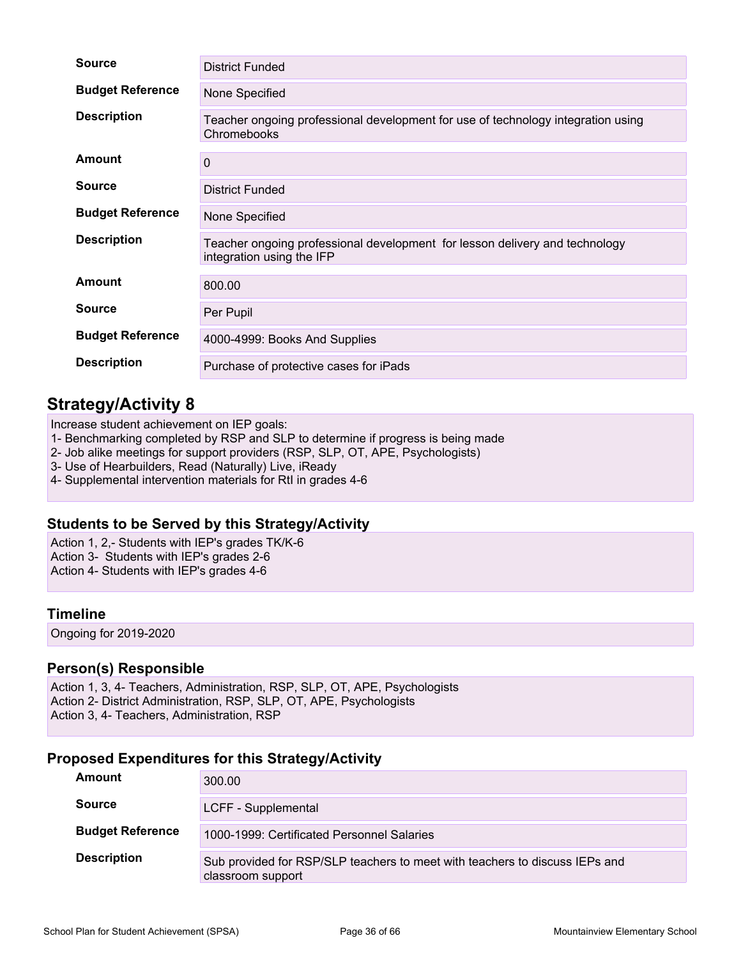| <b>Source</b>           | <b>District Funded</b>                                                                                   |
|-------------------------|----------------------------------------------------------------------------------------------------------|
| <b>Budget Reference</b> | None Specified                                                                                           |
| <b>Description</b>      | Teacher ongoing professional development for use of technology integration using<br>Chromebooks          |
| <b>Amount</b>           | $\mathbf 0$                                                                                              |
| Source                  | <b>District Funded</b>                                                                                   |
| <b>Budget Reference</b> | None Specified                                                                                           |
| <b>Description</b>      | Teacher ongoing professional development for lesson delivery and technology<br>integration using the IFP |
| Amount                  | 800.00                                                                                                   |
| <b>Source</b>           | Per Pupil                                                                                                |
| <b>Budget Reference</b> | 4000-4999: Books And Supplies                                                                            |
| <b>Description</b>      | Purchase of protective cases for iPads                                                                   |

Increase student achievement on IEP goals:

- 1- Benchmarking completed by RSP and SLP to determine if progress is being made
- 2- Job alike meetings for support providers (RSP, SLP, OT, APE, Psychologists)
- 3- Use of Hearbuilders, Read (Naturally) Live, iReady
- 4- Supplemental intervention materials for RtI in grades 4-6

### **Students to be Served by this Strategy/Activity**

Action 1, 2,- Students with IEP's grades TK/K-6 Action 3- Students with IEP's grades 2-6 Action 4- Students with IEP's grades 4-6

### **Timeline**

Ongoing for 2019-2020

### **Person(s) Responsible**

Action 1, 3, 4- Teachers, Administration, RSP, SLP, OT, APE, Psychologists Action 2- District Administration, RSP, SLP, OT, APE, Psychologists Action 3, 4- Teachers, Administration, RSP

| Amount                  | 300.00                                                                                           |
|-------------------------|--------------------------------------------------------------------------------------------------|
| <b>Source</b>           | LCFF - Supplemental                                                                              |
| <b>Budget Reference</b> | 1000-1999: Certificated Personnel Salaries                                                       |
| <b>Description</b>      | Sub provided for RSP/SLP teachers to meet with teachers to discuss IEPs and<br>classroom support |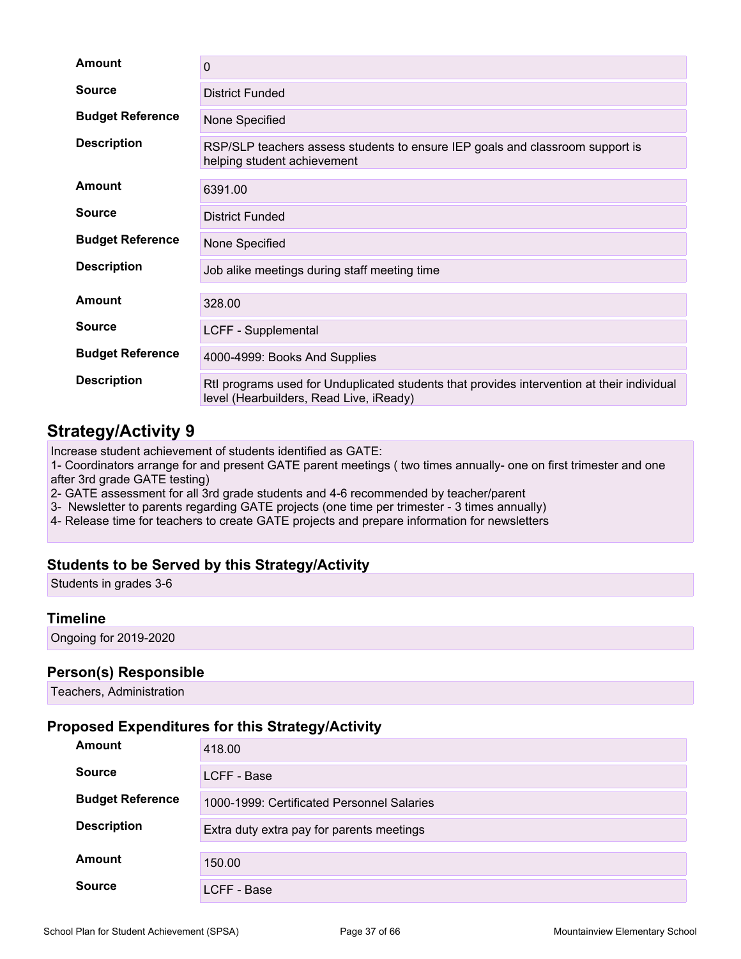| <b>Amount</b>           | 0                                                                                                                                     |
|-------------------------|---------------------------------------------------------------------------------------------------------------------------------------|
| <b>Source</b>           | <b>District Funded</b>                                                                                                                |
| <b>Budget Reference</b> | None Specified                                                                                                                        |
| <b>Description</b>      | RSP/SLP teachers assess students to ensure IEP goals and classroom support is<br>helping student achievement                          |
| Amount                  | 6391.00                                                                                                                               |
| <b>Source</b>           | <b>District Funded</b>                                                                                                                |
| <b>Budget Reference</b> | None Specified                                                                                                                        |
| <b>Description</b>      | Job alike meetings during staff meeting time                                                                                          |
| <b>Amount</b>           | 328.00                                                                                                                                |
| <b>Source</b>           | LCFF - Supplemental                                                                                                                   |
| <b>Budget Reference</b> | 4000-4999: Books And Supplies                                                                                                         |
| <b>Description</b>      | Rtl programs used for Unduplicated students that provides intervention at their individual<br>level (Hearbuilders, Read Live, iReady) |

Increase student achievement of students identified as GATE:

1- Coordinators arrange for and present GATE parent meetings ( two times annually- one on first trimester and one after 3rd grade GATE testing)

2- GATE assessment for all 3rd grade students and 4-6 recommended by teacher/parent

3- Newsletter to parents regarding GATE projects (one time per trimester - 3 times annually)

4- Release time for teachers to create GATE projects and prepare information for newsletters

### **Students to be Served by this Strategy/Activity**

Students in grades 3-6

### **Timeline**

Ongoing for 2019-2020

### **Person(s) Responsible**

Teachers, Administration

| Amount                  | 418.00                                     |
|-------------------------|--------------------------------------------|
| <b>Source</b>           | LCFF - Base                                |
| <b>Budget Reference</b> | 1000-1999: Certificated Personnel Salaries |
| <b>Description</b>      | Extra duty extra pay for parents meetings  |
| Amount                  |                                            |
|                         | 150.00                                     |
| <b>Source</b>           | LCFF - Base                                |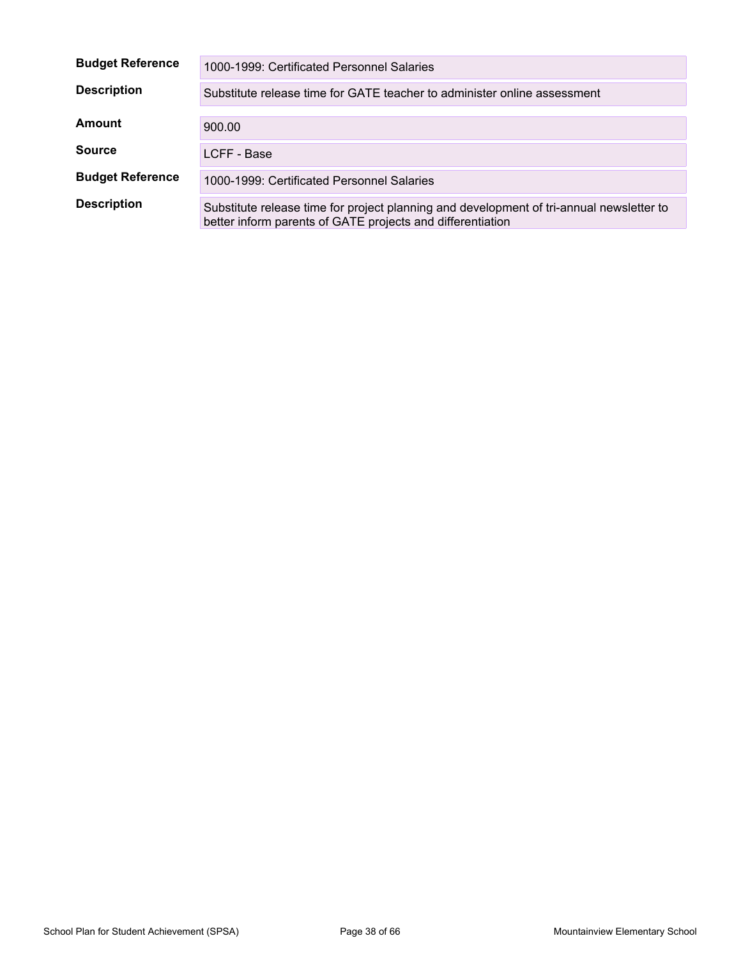| <b>Budget Reference</b> | 1000-1999: Certificated Personnel Salaries                                                                                                             |
|-------------------------|--------------------------------------------------------------------------------------------------------------------------------------------------------|
| <b>Description</b>      | Substitute release time for GATE teacher to administer online assessment                                                                               |
| Amount                  | 900.00                                                                                                                                                 |
| <b>Source</b>           | LCFF - Base                                                                                                                                            |
| <b>Budget Reference</b> | 1000-1999: Certificated Personnel Salaries                                                                                                             |
| <b>Description</b>      | Substitute release time for project planning and development of tri-annual newsletter to<br>better inform parents of GATE projects and differentiation |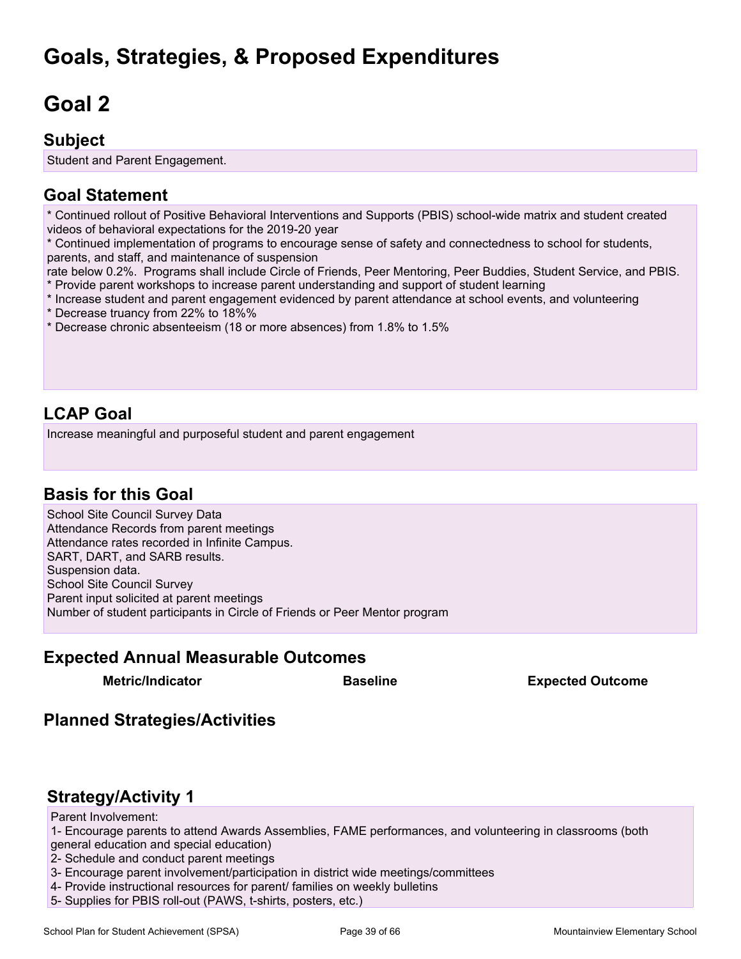## **Goals, Strategies, & Proposed Expenditures**

# <span id="page-38-0"></span>**Goal 2**

### **Subject**

Student and Parent Engagement.

## **Goal Statement**

\* Continued rollout of Positive Behavioral Interventions and Supports (PBIS) school-wide matrix and student created videos of behavioral expectations for the 2019-20 year

\* Continued implementation of programs to encourage sense of safety and connectedness to school for students, parents, and staff, and maintenance of suspension

rate below 0.2%. Programs shall include Circle of Friends, Peer Mentoring, Peer Buddies, Student Service, and PBIS.

- \* Provide parent workshops to increase parent understanding and support of student learning
- \* Increase student and parent engagement evidenced by parent attendance at school events, and volunteering
- \* Decrease truancy from 22% to 18%%
- \* Decrease chronic absenteeism (18 or more absences) from 1.8% to 1.5%

## **LCAP Goal**

Increase meaningful and purposeful student and parent engagement

## **Basis for this Goal**

School Site Council Survey Data Attendance Records from parent meetings Attendance rates recorded in Infinite Campus. SART, DART, and SARB results. Suspension data. School Site Council Survey Parent input solicited at parent meetings Number of student participants in Circle of Friends or Peer Mentor program

### **Expected Annual Measurable Outcomes**

### **Metric/Indicator Baseline Expected Outcome**

### **Planned Strategies/Activities**

### **Strategy/Activity 1**

Parent Involvement:

1- Encourage parents to attend Awards Assemblies, FAME performances, and volunteering in classrooms (both general education and special education)

- 2- Schedule and conduct parent meetings
- 3- Encourage parent involvement/participation in district wide meetings/committees
- 4- Provide instructional resources for parent/ families on weekly bulletins
- 5- Supplies for PBIS roll-out (PAWS, t-shirts, posters, etc.)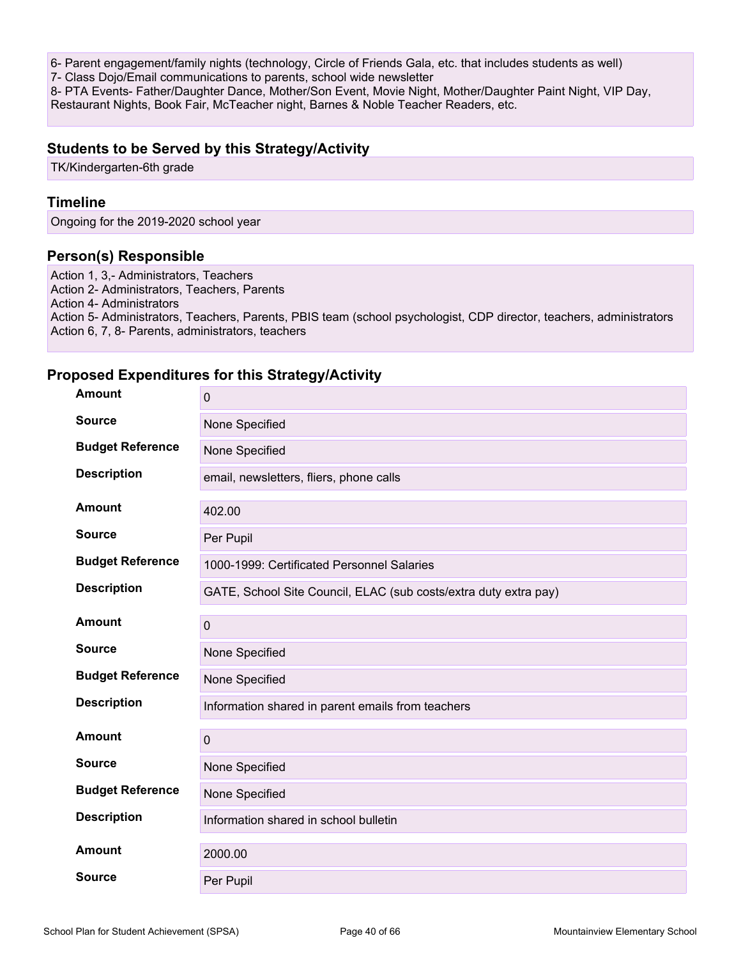6- Parent engagement/family nights (technology, Circle of Friends Gala, etc. that includes students as well)

7- Class Dojo/Email communications to parents, school wide newsletter

8- PTA Events- Father/Daughter Dance, Mother/Son Event, Movie Night, Mother/Daughter Paint Night, VIP Day, Restaurant Nights, Book Fair, McTeacher night, Barnes & Noble Teacher Readers, etc.

### **Students to be Served by this Strategy/Activity**

TK/Kindergarten-6th grade

### **Timeline**

Ongoing for the 2019-2020 school year

### **Person(s) Responsible**

Action 1, 3,- Administrators, Teachers Action 2- Administrators, Teachers, Parents Action 4- Administrators Action 5- Administrators, Teachers, Parents, PBIS team (school psychologist, CDP director, teachers, administrators Action 6, 7, 8- Parents, administrators, teachers

| <b>Amount</b>           | $\pmb{0}$                                                        |
|-------------------------|------------------------------------------------------------------|
| <b>Source</b>           | None Specified                                                   |
| <b>Budget Reference</b> | None Specified                                                   |
| <b>Description</b>      | email, newsletters, fliers, phone calls                          |
| <b>Amount</b>           | 402.00                                                           |
| <b>Source</b>           | Per Pupil                                                        |
| <b>Budget Reference</b> | 1000-1999: Certificated Personnel Salaries                       |
| <b>Description</b>      | GATE, School Site Council, ELAC (sub costs/extra duty extra pay) |
| Amount                  | $\pmb{0}$                                                        |
| <b>Source</b>           | None Specified                                                   |
| <b>Budget Reference</b> | None Specified                                                   |
| <b>Description</b>      | Information shared in parent emails from teachers                |
|                         |                                                                  |
| <b>Amount</b>           | $\mathbf 0$                                                      |
| <b>Source</b>           | None Specified                                                   |
| <b>Budget Reference</b> | None Specified                                                   |
| <b>Description</b>      | Information shared in school bulletin                            |
| <b>Amount</b>           | 2000.00                                                          |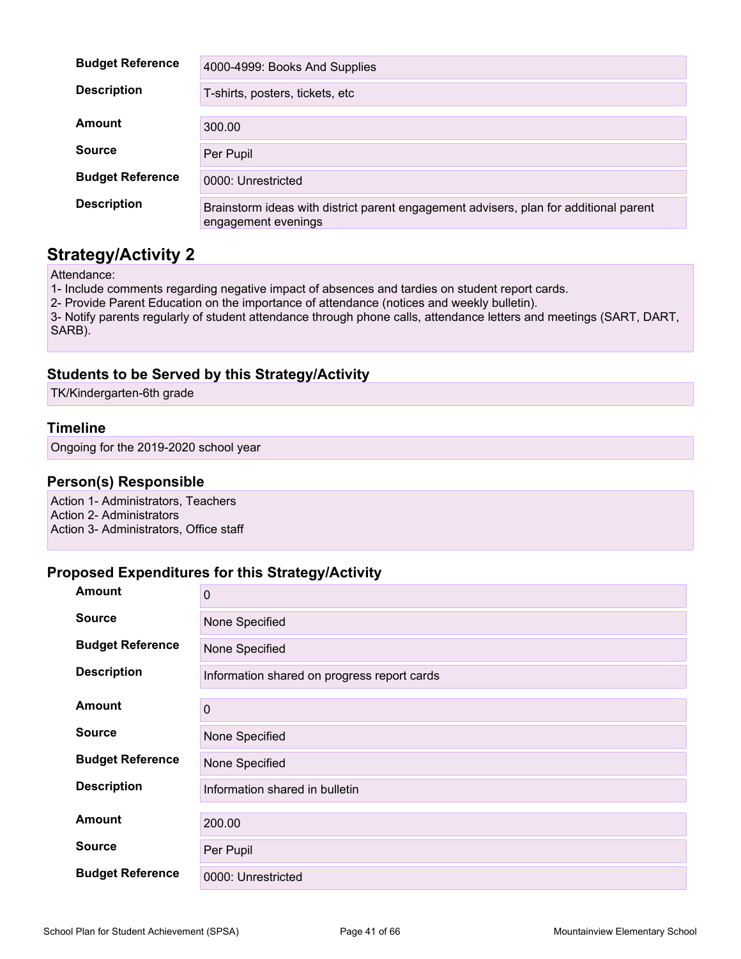| <b>Budget Reference</b> | 4000-4999: Books And Supplies                                                                                |
|-------------------------|--------------------------------------------------------------------------------------------------------------|
| <b>Description</b>      | T-shirts, posters, tickets, etc.                                                                             |
| Amount                  | 300.00                                                                                                       |
| <b>Source</b>           | Per Pupil                                                                                                    |
| <b>Budget Reference</b> | 0000: Unrestricted                                                                                           |
| <b>Description</b>      | Brainstorm ideas with district parent engagement advisers, plan for additional parent<br>engagement evenings |

Attendance:

1- Include comments regarding negative impact of absences and tardies on student report cards.

2- Provide Parent Education on the importance of attendance (notices and weekly bulletin).

3- Notify parents regularly of student attendance through phone calls, attendance letters and meetings (SART, DART, SARB).

### **Students to be Served by this Strategy/Activity**

TK/Kindergarten-6th grade

### **Timeline**

Ongoing for the 2019-2020 school year

### **Person(s) Responsible**

Action 1- Administrators, Teachers Action 2- Administrators Action 3- Administrators, Office staff

| <b>Amount</b>           | $\pmb{0}$                                   |
|-------------------------|---------------------------------------------|
| <b>Source</b>           | None Specified                              |
| <b>Budget Reference</b> | None Specified                              |
| <b>Description</b>      | Information shared on progress report cards |
| <b>Amount</b>           | $\mathbf 0$                                 |
| <b>Source</b>           | None Specified                              |
| <b>Budget Reference</b> | None Specified                              |
| <b>Description</b>      | Information shared in bulletin              |
| <b>Amount</b>           | 200.00                                      |
| <b>Source</b>           | Per Pupil                                   |
| <b>Budget Reference</b> | 0000: Unrestricted                          |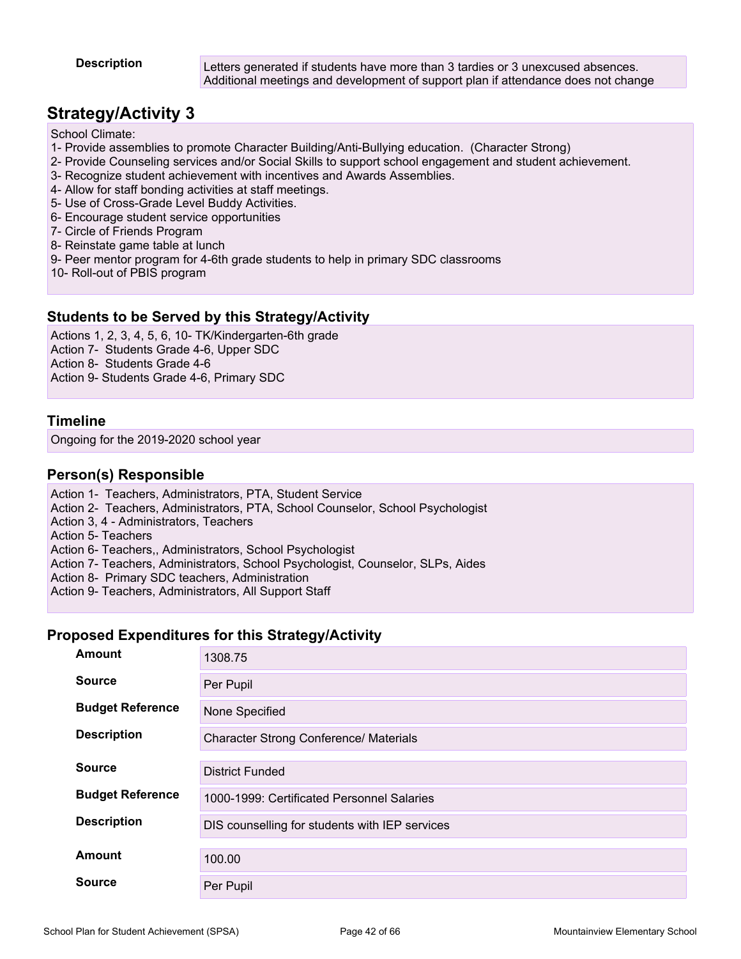**Description** Letters generated if students have more than 3 tardies or 3 unexcused absences. Additional meetings and development of support plan if attendance does not change

## **Strategy/Activity 3**

School Climate:

- 1- Provide assemblies to promote Character Building/Anti-Bullying education. (Character Strong)
- 2- Provide Counseling services and/or Social Skills to support school engagement and student achievement.
- 3- Recognize student achievement with incentives and Awards Assemblies.
- 4- Allow for staff bonding activities at staff meetings.
- 5- Use of Cross-Grade Level Buddy Activities.
- 6- Encourage student service opportunities
- 7- Circle of Friends Program
- 8- Reinstate game table at lunch
- 9- Peer mentor program for 4-6th grade students to help in primary SDC classrooms
- 10- Roll-out of PBIS program

#### **Students to be Served by this Strategy/Activity**

Actions 1, 2, 3, 4, 5, 6, 10- TK/Kindergarten-6th grade Action 7- Students Grade 4-6, Upper SDC Action 8- Students Grade 4-6 Action 9- Students Grade 4-6, Primary SDC

### **Timeline**

Ongoing for the 2019-2020 school year

### **Person(s) Responsible**

- Action 1- Teachers, Administrators, PTA, Student Service
- Action 2- Teachers, Administrators, PTA, School Counselor, School Psychologist
- Action 3, 4 Administrators, Teachers

Action 5- Teachers

Action 6- Teachers,, Administrators, School Psychologist

Action 7- Teachers, Administrators, School Psychologist, Counselor, SLPs, Aides

Action 8- Primary SDC teachers, Administration

Action 9- Teachers, Administrators, All Support Staff

| <b>Amount</b>           | 1308.75                                        |
|-------------------------|------------------------------------------------|
| <b>Source</b>           | Per Pupil                                      |
| <b>Budget Reference</b> | None Specified                                 |
| <b>Description</b>      | <b>Character Strong Conference/ Materials</b>  |
| <b>Source</b>           | <b>District Funded</b>                         |
| <b>Budget Reference</b> | 1000-1999: Certificated Personnel Salaries     |
| <b>Description</b>      | DIS counselling for students with IEP services |
| Amount                  | 100.00                                         |
| Source                  | Per Pupil                                      |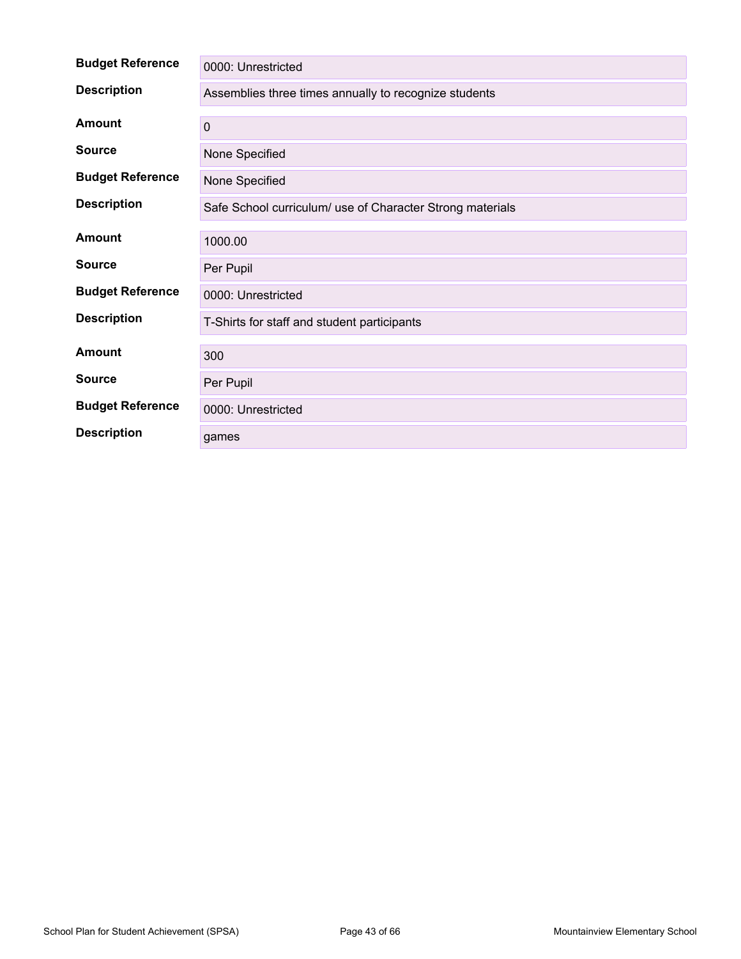| <b>Budget Reference</b> | 0000: Unrestricted                                        |
|-------------------------|-----------------------------------------------------------|
| <b>Description</b>      | Assemblies three times annually to recognize students     |
| <b>Amount</b>           | $\mathbf 0$                                               |
| <b>Source</b>           | None Specified                                            |
| <b>Budget Reference</b> | None Specified                                            |
| <b>Description</b>      | Safe School curriculum/ use of Character Strong materials |
| <b>Amount</b>           | 1000.00                                                   |
| <b>Source</b>           | Per Pupil                                                 |
| <b>Budget Reference</b> | 0000: Unrestricted                                        |
| <b>Description</b>      | T-Shirts for staff and student participants               |
| <b>Amount</b>           | 300                                                       |
| <b>Source</b>           | Per Pupil                                                 |
| <b>Budget Reference</b> | 0000: Unrestricted                                        |
| <b>Description</b>      | games                                                     |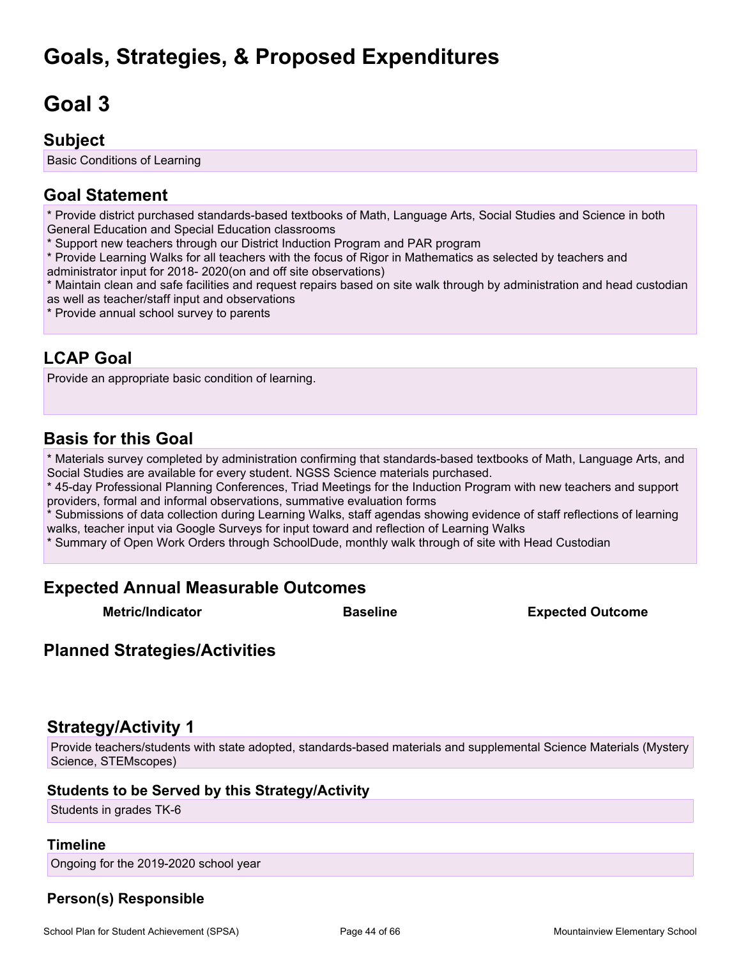## **Goals, Strategies, & Proposed Expenditures**

## <span id="page-43-0"></span>**Goal 3**

### **Subject**

Basic Conditions of Learning

## **Goal Statement**

\* Provide district purchased standards-based textbooks of Math, Language Arts, Social Studies and Science in both General Education and Special Education classrooms

\* Support new teachers through our District Induction Program and PAR program

\* Provide Learning Walks for all teachers with the focus of Rigor in Mathematics as selected by teachers and administrator input for 2018- 2020(on and off site observations)

\* Maintain clean and safe facilities and request repairs based on site walk through by administration and head custodian as well as teacher/staff input and observations

\* Provide annual school survey to parents

## **LCAP Goal**

Provide an appropriate basic condition of learning.

### **Basis for this Goal**

\* Materials survey completed by administration confirming that standards-based textbooks of Math, Language Arts, and Social Studies are available for every student. NGSS Science materials purchased.

\* 45-day Professional Planning Conferences, Triad Meetings for the Induction Program with new teachers and support providers, formal and informal observations, summative evaluation forms

\* Submissions of data collection during Learning Walks, staff agendas showing evidence of staff reflections of learning walks, teacher input via Google Surveys for input toward and reflection of Learning Walks

\* Summary of Open Work Orders through SchoolDude, monthly walk through of site with Head Custodian

### **Expected Annual Measurable Outcomes**

**Metric/Indicator Baseline Expected Outcome**

### **Planned Strategies/Activities**

### **Strategy/Activity 1**

Provide teachers/students with state adopted, standards-based materials and supplemental Science Materials (Mystery Science, STEMscopes)

### **Students to be Served by this Strategy/Activity**

Students in grades TK-6

### **Timeline**

Ongoing for the 2019-2020 school year

### **Person(s) Responsible**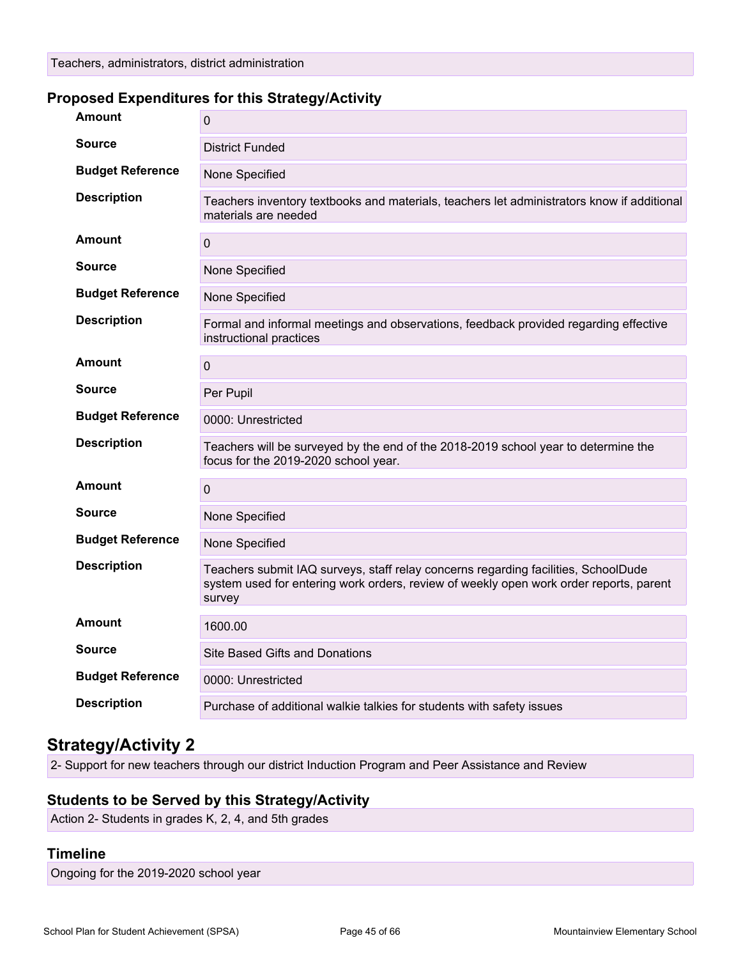### **Proposed Expenditures for this Strategy/Activity**

| Amount                  | 0                                                                                                                                                                                      |
|-------------------------|----------------------------------------------------------------------------------------------------------------------------------------------------------------------------------------|
| <b>Source</b>           | <b>District Funded</b>                                                                                                                                                                 |
| <b>Budget Reference</b> | None Specified                                                                                                                                                                         |
| <b>Description</b>      | Teachers inventory textbooks and materials, teachers let administrators know if additional<br>materials are needed                                                                     |
| <b>Amount</b>           | $\pmb{0}$                                                                                                                                                                              |
| <b>Source</b>           | None Specified                                                                                                                                                                         |
| <b>Budget Reference</b> | None Specified                                                                                                                                                                         |
| <b>Description</b>      | Formal and informal meetings and observations, feedback provided regarding effective<br>instructional practices                                                                        |
| Amount                  | $\mathbf 0$                                                                                                                                                                            |
| <b>Source</b>           | Per Pupil                                                                                                                                                                              |
| <b>Budget Reference</b> | 0000: Unrestricted                                                                                                                                                                     |
| <b>Description</b>      | Teachers will be surveyed by the end of the 2018-2019 school year to determine the<br>focus for the 2019-2020 school year.                                                             |
| <b>Amount</b>           | 0                                                                                                                                                                                      |
| <b>Source</b>           | None Specified                                                                                                                                                                         |
| <b>Budget Reference</b> | None Specified                                                                                                                                                                         |
| <b>Description</b>      | Teachers submit IAQ surveys, staff relay concerns regarding facilities, SchoolDude<br>system used for entering work orders, review of weekly open work order reports, parent<br>survey |
| Amount                  | 1600.00                                                                                                                                                                                |
| <b>Source</b>           | Site Based Gifts and Donations                                                                                                                                                         |
| <b>Budget Reference</b> | 0000: Unrestricted                                                                                                                                                                     |
| <b>Description</b>      | Purchase of additional walkie talkies for students with safety issues                                                                                                                  |

### **Strategy/Activity 2**

2- Support for new teachers through our district Induction Program and Peer Assistance and Review

### **Students to be Served by this Strategy/Activity**

Action 2- Students in grades K, 2, 4, and 5th grades

### **Timeline**

Ongoing for the 2019-2020 school year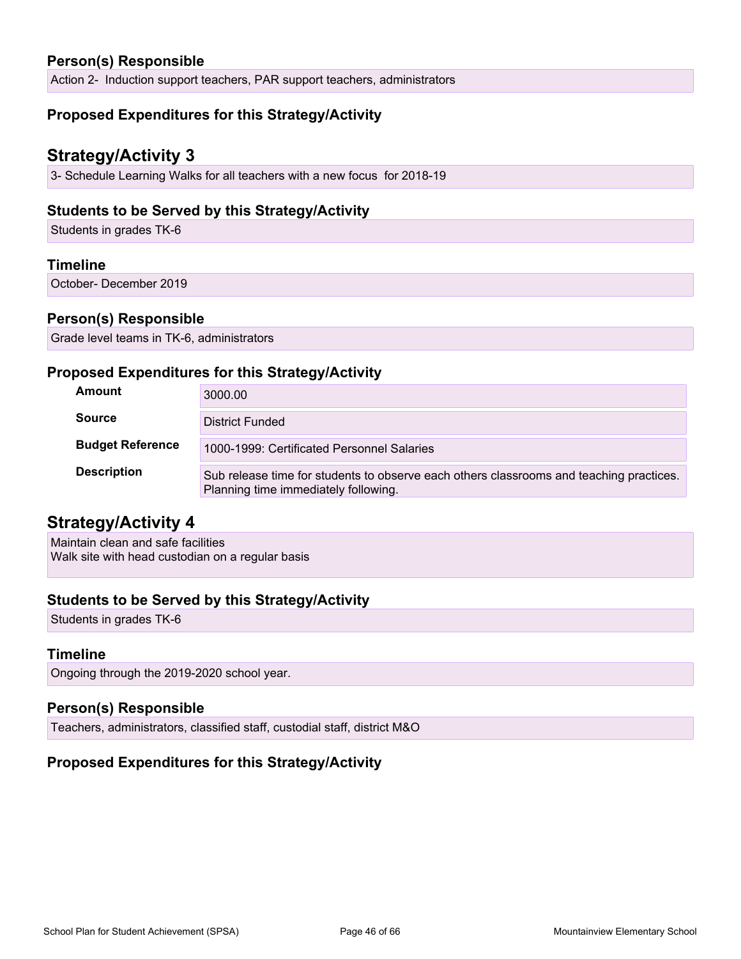### **Person(s) Responsible**

Action 2- Induction support teachers, PAR support teachers, administrators

### **Proposed Expenditures for this Strategy/Activity**

### **Strategy/Activity 3**

3- Schedule Learning Walks for all teachers with a new focus for 2018-19

### **Students to be Served by this Strategy/Activity**

Students in grades TK-6

#### **Timeline**

October- December 2019

### **Person(s) Responsible**

Grade level teams in TK-6, administrators

#### **Proposed Expenditures for this Strategy/Activity**

| Amount                  | 3000.00                                                                                                                         |
|-------------------------|---------------------------------------------------------------------------------------------------------------------------------|
| <b>Source</b>           | District Funded                                                                                                                 |
| <b>Budget Reference</b> | 1000-1999: Certificated Personnel Salaries                                                                                      |
| <b>Description</b>      | Sub release time for students to observe each others classrooms and teaching practices.<br>Planning time immediately following. |

### **Strategy/Activity 4**

Maintain clean and safe facilities Walk site with head custodian on a regular basis

### **Students to be Served by this Strategy/Activity**

Students in grades TK-6

### **Timeline**

Ongoing through the 2019-2020 school year.

### **Person(s) Responsible**

Teachers, administrators, classified staff, custodial staff, district M&O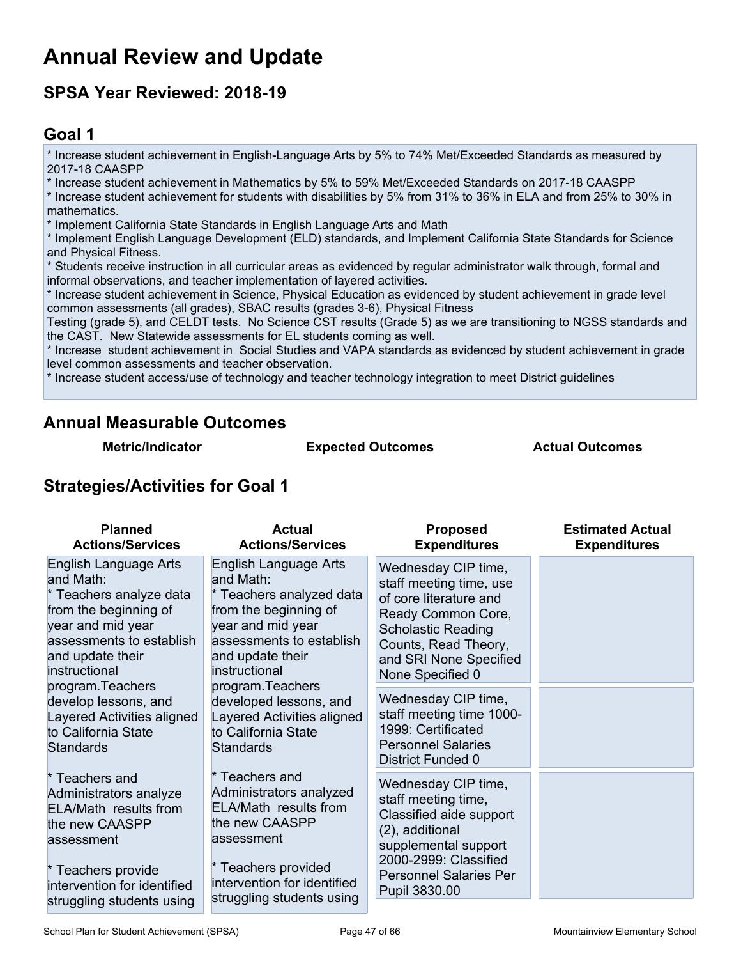## <span id="page-46-0"></span>**Annual Review and Update**

## **SPSA Year Reviewed: 2018-19**

## <span id="page-46-1"></span>**Goal 1**

\* Increase student achievement in English-Language Arts by 5% to 74% Met/Exceeded Standards as measured by 2017-18 CAASPP

\* Increase student achievement in Mathematics by 5% to 59% Met/Exceeded Standards on 2017-18 CAASPP

\* Increase student achievement for students with disabilities by 5% from 31% to 36% in ELA and from 25% to 30% in mathematics.

\* Implement California State Standards in English Language Arts and Math

\* Implement English Language Development (ELD) standards, and Implement California State Standards for Science and Physical Fitness.

\* Students receive instruction in all curricular areas as evidenced by regular administrator walk through, formal and informal observations, and teacher implementation of layered activities.

\* Increase student achievement in Science, Physical Education as evidenced by student achievement in grade level common assessments (all grades), SBAC results (grades 3-6), Physical Fitness

Testing (grade 5), and CELDT tests. No Science CST results (Grade 5) as we are transitioning to NGSS standards and the CAST. New Statewide assessments for EL students coming as well.

\* Increase student achievement in Social Studies and VAPA standards as evidenced by student achievement in grade level common assessments and teacher observation.

\* Increase student access/use of technology and teacher technology integration to meet District guidelines

### **Annual Measurable Outcomes**

**Metric/Indicator Expected Outcomes Actual Outcomes**

### **Strategies/Activities for Goal 1**

| <b>Planned</b><br><b>Actions/Services</b>                                                                                                                                                         | <b>Actual</b><br><b>Actions/Services</b>                                                                                                                                                           | <b>Proposed</b><br><b>Expenditures</b>                                                                                                                                                            | <b>Estimated Actual</b><br><b>Expenditures</b> |
|---------------------------------------------------------------------------------------------------------------------------------------------------------------------------------------------------|----------------------------------------------------------------------------------------------------------------------------------------------------------------------------------------------------|---------------------------------------------------------------------------------------------------------------------------------------------------------------------------------------------------|------------------------------------------------|
| English Language Arts<br>and Math:<br>* Teachers analyze data<br>from the beginning of<br>year and mid year<br>assessments to establish<br>and update their<br>instructional<br>program. Teachers | English Language Arts<br>and Math:<br>* Teachers analyzed data<br>from the beginning of<br>year and mid year<br>assessments to establish<br>and update their<br>instructional<br>program. Teachers | Wednesday CIP time,<br>staff meeting time, use<br>of core literature and<br>Ready Common Core,<br><b>Scholastic Reading</b><br>Counts, Read Theory,<br>and SRI None Specified<br>None Specified 0 |                                                |
| develop lessons, and<br>Layered Activities aligned<br>to California State<br><b>Standards</b>                                                                                                     | developed lessons, and<br>Layered Activities aligned<br>to California State<br><b>Standards</b>                                                                                                    | Wednesday CIP time,<br>staff meeting time 1000-<br>1999: Certificated<br><b>Personnel Salaries</b><br><b>District Funded 0</b>                                                                    |                                                |
| * Teachers and<br>Administrators analyze<br>ELA/Math results from<br>the new CAASPP<br>assessment<br>* Teachers provide<br>intervention for identified                                            | * Teachers and<br>Administrators analyzed<br>ELA/Math results from<br>the new CAASPP<br>assessment<br>* Teachers provided<br>intervention for identified                                           | Wednesday CIP time,<br>staff meeting time,<br>Classified aide support<br>(2), additional<br>supplemental support<br>2000-2999: Classified<br><b>Personnel Salaries Per</b>                        |                                                |
| struggling students using                                                                                                                                                                         | struggling students using                                                                                                                                                                          | Pupil 3830.00                                                                                                                                                                                     |                                                |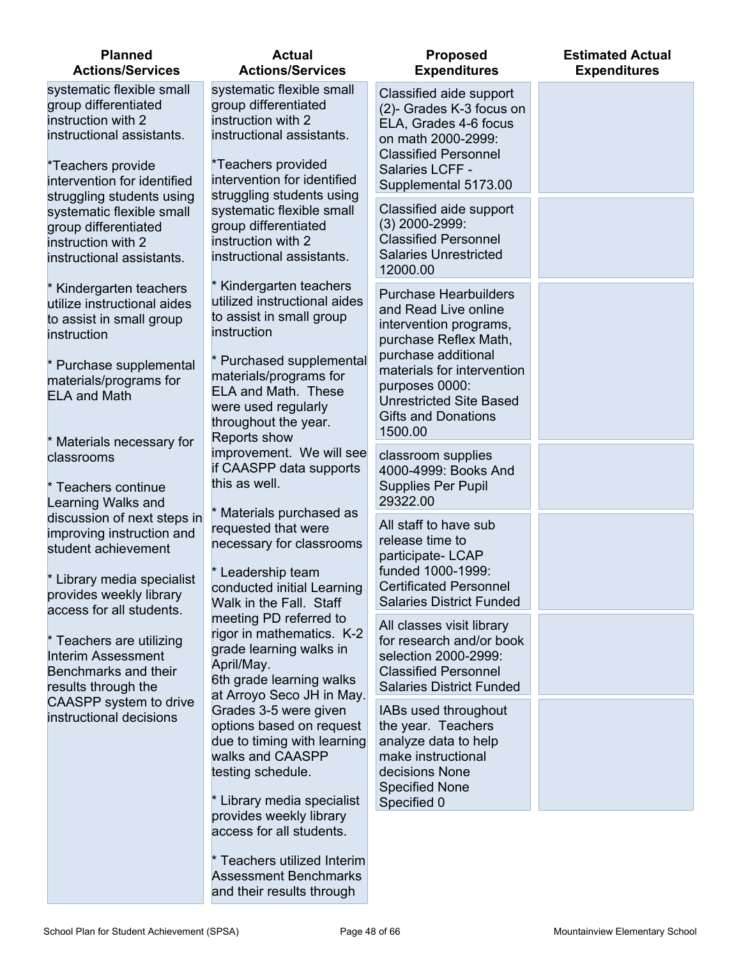| <b>Planned</b><br><b>Actions/Services</b>                                                                                                                                     | <b>Actual</b><br><b>Actions/Services</b>                                                                                                                                                                                     | <b>Proposed</b><br><b>Expenditures</b>                                                                                                                                                                                                                    | <b>Estimated Actual</b><br><b>Expenditures</b> |
|-------------------------------------------------------------------------------------------------------------------------------------------------------------------------------|------------------------------------------------------------------------------------------------------------------------------------------------------------------------------------------------------------------------------|-----------------------------------------------------------------------------------------------------------------------------------------------------------------------------------------------------------------------------------------------------------|------------------------------------------------|
| systematic flexible small<br>group differentiated<br>instruction with 2<br>instructional assistants.<br>*Teachers provide<br>intervention for identified                      | systematic flexible small<br>group differentiated<br>instruction with 2<br>instructional assistants.<br>*Teachers provided<br>intervention for identified                                                                    | Classified aide support<br>(2)- Grades K-3 focus on<br>ELA, Grades 4-6 focus<br>on math 2000-2999:<br><b>Classified Personnel</b><br>Salaries LCFF -<br>Supplemental 5173.00                                                                              |                                                |
| struggling students using<br>systematic flexible small<br>group differentiated<br>instruction with 2<br>instructional assistants.                                             | struggling students using<br>systematic flexible small<br>group differentiated<br>instruction with 2<br>instructional assistants.                                                                                            | Classified aide support<br>(3) 2000-2999:<br><b>Classified Personnel</b><br><b>Salaries Unrestricted</b><br>12000.00                                                                                                                                      |                                                |
| * Kindergarten teachers<br>utilize instructional aides<br>to assist in small group<br>instruction<br>* Purchase supplemental<br>materials/programs for<br><b>ELA and Math</b> | Kindergarten teachers<br>utilized instructional aides<br>to assist in small group<br>instruction<br>* Purchased supplemental<br>materials/programs for<br>ELA and Math. These<br>were used regularly<br>throughout the year. | <b>Purchase Hearbuilders</b><br>and Read Live online<br>intervention programs,<br>purchase Reflex Math,<br>purchase additional<br>materials for intervention<br>purposes 0000:<br><b>Unrestricted Site Based</b><br><b>Gifts and Donations</b><br>1500.00 |                                                |
| * Materials necessary for<br>classrooms<br>* Teachers continue<br>Learning Walks and                                                                                          | Reports show<br>improvement. We will see<br>if CAASPP data supports<br>this as well.                                                                                                                                         | classroom supplies<br>4000-4999: Books And<br><b>Supplies Per Pupil</b><br>29322.00                                                                                                                                                                       |                                                |
| discussion of next steps in<br>improving instruction and<br>student achievement<br>* Library media specialist<br>provides weekly library                                      | Materials purchased as<br>requested that were<br>necessary for classrooms<br>* Leadership team<br>conducted initial Learning<br>Walk in the Fall. Staff                                                                      | All staff to have sub<br>release time to<br>participate-LCAP<br>funded 1000-1999:<br><b>Certificated Personnel</b><br><b>Salaries District Funded</b>                                                                                                     |                                                |
| access for all students.<br>* Teachers are utilizing<br><b>Interim Assessment</b><br>Benchmarks and their<br>results through the                                              | meeting PD referred to<br>rigor in mathematics. K-2<br>grade learning walks in<br>April/May.<br>6th grade learning walks<br>at Arroyo Seco JH in May.                                                                        | All classes visit library<br>for research and/or book<br>selection 2000-2999:<br><b>Classified Personnel</b><br><b>Salaries District Funded</b>                                                                                                           |                                                |
| CAASPP system to drive<br>instructional decisions                                                                                                                             | Grades 3-5 were given<br>options based on request<br>due to timing with learning<br>walks and CAASPP<br>testing schedule.<br>* Library media specialist                                                                      | IABs used throughout<br>the year. Teachers<br>analyze data to help<br>make instructional<br>decisions None<br><b>Specified None</b><br>Specified 0                                                                                                        |                                                |
|                                                                                                                                                                               | provides weekly library<br>access for all students.<br>* Teachers utilized Interim<br><b>Assessment Benchmarks</b>                                                                                                           |                                                                                                                                                                                                                                                           |                                                |

and their results through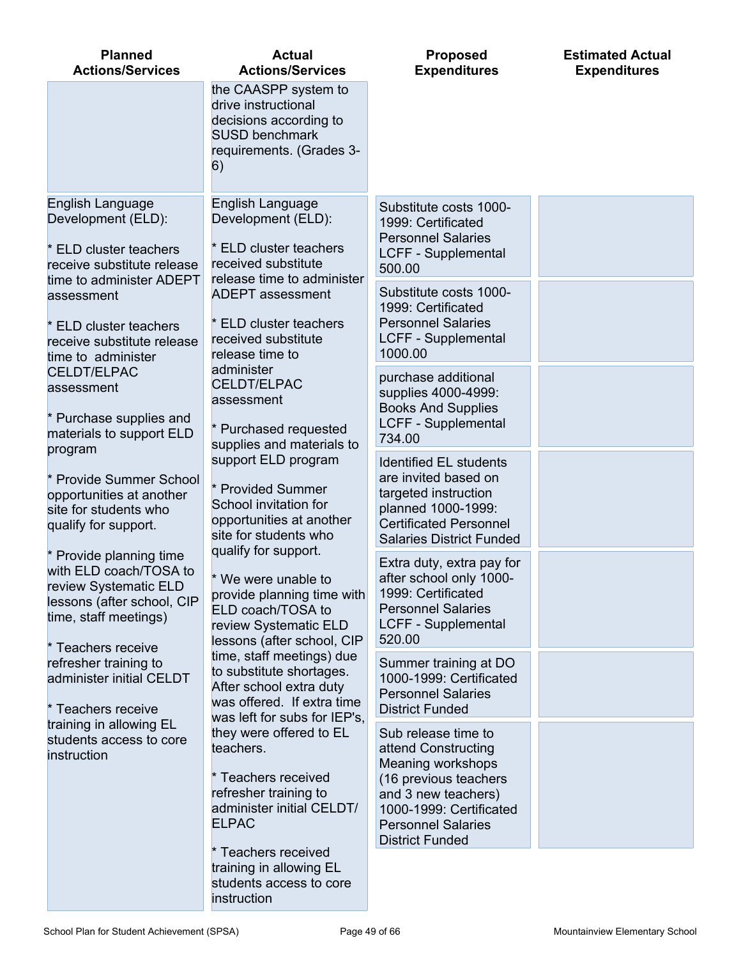| <b>Planned</b><br><b>Actions/Services</b>                                                                                                               | <b>Actual</b><br><b>Actions/Services</b>                                                                                                              | <b>Proposed</b><br><b>Expenditures</b>                                                                                                                                                            | <b>Estimated Actual</b><br><b>Expenditures</b> |
|---------------------------------------------------------------------------------------------------------------------------------------------------------|-------------------------------------------------------------------------------------------------------------------------------------------------------|---------------------------------------------------------------------------------------------------------------------------------------------------------------------------------------------------|------------------------------------------------|
|                                                                                                                                                         | the CAASPP system to<br>drive instructional<br>decisions according to<br><b>SUSD benchmark</b><br>requirements. (Grades 3-<br>6)                      |                                                                                                                                                                                                   |                                                |
| English Language<br>Development (ELD):<br>* ELD cluster teachers<br>receive substitute release                                                          | English Language<br>Development (ELD):<br>* ELD cluster teachers<br>received substitute<br>release time to administer                                 | Substitute costs 1000-<br>1999: Certificated<br><b>Personnel Salaries</b><br><b>LCFF - Supplemental</b><br>500.00                                                                                 |                                                |
| time to administer ADEPT<br>assessment<br>* ELD cluster teachers<br>receive substitute release<br>time to administer                                    | <b>ADEPT</b> assessment<br>* ELD cluster teachers<br>received substitute<br>release time to                                                           | Substitute costs 1000-<br>1999: Certificated<br><b>Personnel Salaries</b><br><b>LCFF - Supplemental</b><br>1000.00                                                                                |                                                |
| <b>CELDT/ELPAC</b><br>assessment<br>* Purchase supplies and<br>materials to support ELD                                                                 | administer<br><b>CELDT/ELPAC</b><br>assessment<br>* Purchased requested<br>supplies and materials to                                                  | purchase additional<br>supplies 4000-4999:<br><b>Books And Supplies</b><br><b>LCFF - Supplemental</b><br>734.00                                                                                   |                                                |
| program<br>* Provide Summer School<br>opportunities at another<br>site for students who<br>qualify for support.                                         | support ELD program<br>* Provided Summer<br>School invitation for<br>opportunities at another<br>site for students who                                | <b>Identified EL students</b><br>are invited based on<br>targeted instruction<br>planned 1000-1999:<br><b>Certificated Personnel</b><br><b>Salaries District Funded</b>                           |                                                |
| * Provide planning time<br>with ELD coach/TOSA to<br>review Systematic ELD<br>lessons (after school, CIP<br>time, staff meetings)<br>* Teachers receive | qualify for support.<br>* We were unable to<br>provide planning time with<br>ELD coach/TOSA to<br>review Systematic ELD<br>lessons (after school, CIP | Extra duty, extra pay for<br>after school only 1000-<br>1999: Certificated<br><b>Personnel Salaries</b><br><b>LCFF - Supplemental</b><br>520.00                                                   |                                                |
| refresher training to<br>administer initial CELDT<br>* Teachers receive                                                                                 | time, staff meetings) due<br>to substitute shortages.<br>After school extra duty<br>was offered. If extra time<br>was left for subs for IEP's,        | Summer training at DO<br>1000-1999: Certificated<br><b>Personnel Salaries</b><br><b>District Funded</b>                                                                                           |                                                |
| training in allowing EL<br>students access to core<br>instruction                                                                                       | they were offered to EL<br>teachers.<br>* Teachers received<br>refresher training to<br>administer initial CELDT/<br><b>ELPAC</b>                     | Sub release time to<br>attend Constructing<br>Meaning workshops<br>(16 previous teachers<br>and 3 new teachers)<br>1000-1999: Certificated<br><b>Personnel Salaries</b><br><b>District Funded</b> |                                                |
|                                                                                                                                                         | * Teachers received<br>training in allowing EL<br>students access to core<br>instruction                                                              |                                                                                                                                                                                                   |                                                |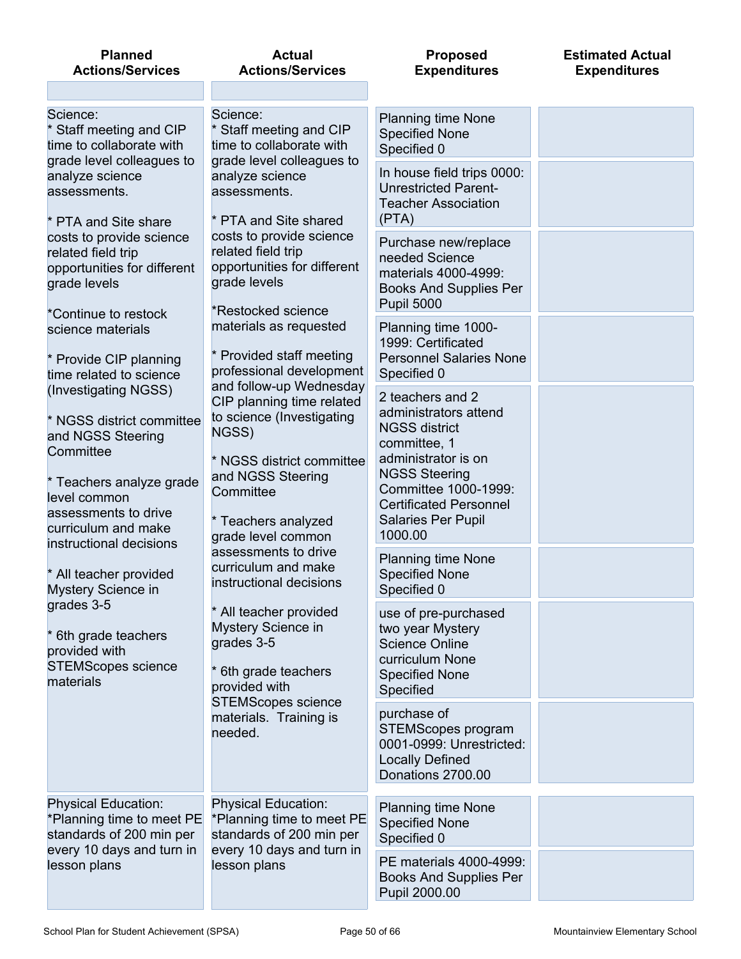| <b>Planned</b><br><b>Actions/Services</b>                                                                                                                                      | <b>Actual</b><br><b>Actions/Services</b>                                                                                                                                                               | <b>Proposed</b><br><b>Expenditures</b>                                                                                                                                                                                            | <b>Estimated Actual</b><br><b>Expenditures</b> |
|--------------------------------------------------------------------------------------------------------------------------------------------------------------------------------|--------------------------------------------------------------------------------------------------------------------------------------------------------------------------------------------------------|-----------------------------------------------------------------------------------------------------------------------------------------------------------------------------------------------------------------------------------|------------------------------------------------|
|                                                                                                                                                                                |                                                                                                                                                                                                        |                                                                                                                                                                                                                                   |                                                |
| Science:<br>Staff meeting and CIP<br>time to collaborate with<br>grade level colleagues to                                                                                     | Science:<br>Staff meeting and CIP<br>time to collaborate with<br>grade level colleagues to                                                                                                             | <b>Planning time None</b><br><b>Specified None</b><br>Specified 0                                                                                                                                                                 |                                                |
| analyze science<br>assessments.<br>* PTA and Site share                                                                                                                        | analyze science<br>assessments.<br>* PTA and Site shared                                                                                                                                               | In house field trips 0000:<br><b>Unrestricted Parent-</b><br><b>Teacher Association</b><br>(PTA)                                                                                                                                  |                                                |
| costs to provide science<br>related field trip<br>opportunities for different<br>grade levels                                                                                  | costs to provide science<br>related field trip<br>opportunities for different<br>grade levels<br>*Restocked science                                                                                    | Purchase new/replace<br>needed Science<br>materials 4000-4999:<br><b>Books And Supplies Per</b><br><b>Pupil 5000</b>                                                                                                              |                                                |
| *Continue to restock<br>science materials<br>* Provide CIP planning<br>time related to science                                                                                 | materials as requested<br>* Provided staff meeting<br>professional development                                                                                                                         | Planning time 1000-<br>1999: Certificated<br><b>Personnel Salaries None</b><br>Specified 0                                                                                                                                        |                                                |
| (Investigating NGSS)<br>* NGSS district committee<br>and NGSS Steering<br>Committee<br>* Teachers analyze grade<br>level common<br>assessments to drive<br>curriculum and make | and follow-up Wednesday<br>CIP planning time related<br>to science (Investigating<br>NGSS)<br>* NGSS district committee<br>and NGSS Steering<br>Committee<br>* Teachers analyzed<br>grade level common | 2 teachers and 2<br>administrators attend<br><b>NGSS district</b><br>committee, 1<br>administrator is on<br><b>NGSS Steering</b><br>Committee 1000-1999:<br><b>Certificated Personnel</b><br><b>Salaries Per Pupil</b><br>1000.00 |                                                |
| instructional decisions<br>* All teacher provided<br>Mystery Science in                                                                                                        | assessments to drive<br>curriculum and make<br>instructional decisions                                                                                                                                 | <b>Planning time None</b><br><b>Specified None</b><br>Specified 0                                                                                                                                                                 |                                                |
| grades 3-5<br>* 6th grade teachers<br>provided with<br><b>STEMScopes science</b><br>materials                                                                                  | * All teacher provided<br>Mystery Science in<br>grades 3-5<br>6th grade teachers<br>provided with                                                                                                      | use of pre-purchased<br>two year Mystery<br><b>Science Online</b><br>curriculum None<br><b>Specified None</b><br>Specified                                                                                                        |                                                |
|                                                                                                                                                                                | <b>STEMScopes science</b><br>materials. Training is<br>needed.                                                                                                                                         | purchase of<br>STEMScopes program<br>0001-0999: Unrestricted:<br><b>Locally Defined</b><br>Donations 2700.00                                                                                                                      |                                                |
| <b>Physical Education:</b><br>*Planning time to meet PE<br>standards of 200 min per<br>every 10 days and turn in                                                               | <b>Physical Education:</b><br>*Planning time to meet PE<br>standards of 200 min per<br>every 10 days and turn in                                                                                       | <b>Planning time None</b><br><b>Specified None</b><br>Specified 0                                                                                                                                                                 |                                                |
| lesson plans                                                                                                                                                                   | lesson plans                                                                                                                                                                                           | PE materials 4000-4999:<br><b>Books And Supplies Per</b><br>Pupil 2000.00                                                                                                                                                         |                                                |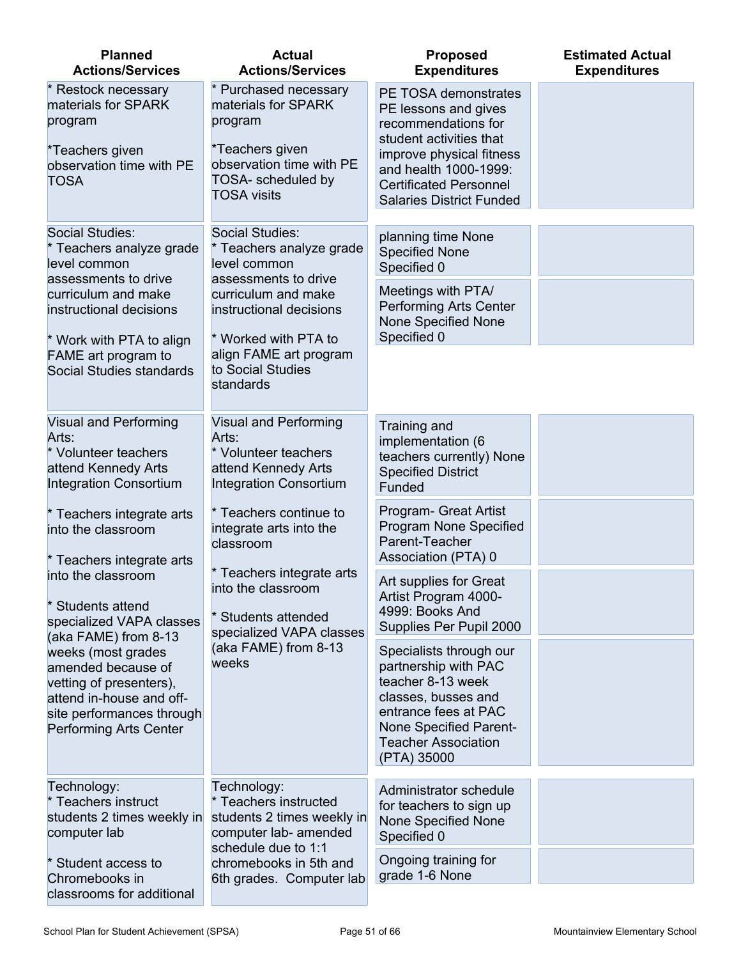| <b>Planned</b><br><b>Actions/Services</b>                                                                                                                                      | <b>Actual</b><br><b>Actions/Services</b>                                                                                                           | <b>Proposed</b><br><b>Expenditures</b>                                                                                                                                                                                  | <b>Estimated Actual</b><br><b>Expenditures</b> |
|--------------------------------------------------------------------------------------------------------------------------------------------------------------------------------|----------------------------------------------------------------------------------------------------------------------------------------------------|-------------------------------------------------------------------------------------------------------------------------------------------------------------------------------------------------------------------------|------------------------------------------------|
| * Restock necessary<br>materials for SPARK<br>program<br>*Teachers given<br>observation time with PE<br><b>TOSA</b>                                                            | * Purchased necessary<br>materials for SPARK<br>program<br>*Teachers given<br>observation time with PE<br>TOSA- scheduled by<br><b>TOSA visits</b> | PE TOSA demonstrates<br>PE lessons and gives<br>recommendations for<br>student activities that<br>improve physical fitness<br>and health 1000-1999:<br><b>Certificated Personnel</b><br><b>Salaries District Funded</b> |                                                |
| Social Studies:<br>* Teachers analyze grade<br>level common<br>assessments to drive                                                                                            | Social Studies:<br>* Teachers analyze grade<br>level common<br>assessments to drive                                                                | planning time None<br><b>Specified None</b><br>Specified 0                                                                                                                                                              |                                                |
| curriculum and make<br>instructional decisions<br>* Work with PTA to align                                                                                                     | curriculum and make<br>instructional decisions<br>* Worked with PTA to                                                                             | Meetings with PTA/<br><b>Performing Arts Center</b><br><b>None Specified None</b><br>Specified 0                                                                                                                        |                                                |
| FAME art program to<br>Social Studies standards                                                                                                                                | align FAME art program<br>to Social Studies<br>standards                                                                                           |                                                                                                                                                                                                                         |                                                |
| Visual and Performing<br>Arts:<br>* Volunteer teachers<br>attend Kennedy Arts<br><b>Integration Consortium</b>                                                                 | <b>Visual and Performing</b><br>Arts:<br>* Volunteer teachers<br>attend Kennedy Arts<br><b>Integration Consortium</b>                              | Training and<br>implementation (6<br>teachers currently) None<br><b>Specified District</b><br>Funded                                                                                                                    |                                                |
| * Teachers integrate arts<br>into the classroom<br>* Teachers integrate arts                                                                                                   | * Teachers continue to<br>integrate arts into the<br>classroom                                                                                     | Program- Great Artist<br>Program None Specified<br>Parent-Teacher<br>Association (PTA) 0                                                                                                                                |                                                |
| into the classroom<br>* Students attend<br>specialized VAPA classes                                                                                                            | * Teachers integrate arts<br>into the classroom<br>* Students attended                                                                             | Art supplies for Great<br>Artist Program 4000-<br>4999: Books And<br>Supplies Per Pupil 2000                                                                                                                            |                                                |
| (aka FAME) from 8-13<br>weeks (most grades<br>amended because of<br>vetting of presenters),<br>attend in-house and off-<br>site performances through<br>Performing Arts Center | specialized VAPA classes<br>(aka FAME) from 8-13<br>weeks                                                                                          | Specialists through our<br>partnership with PAC<br>teacher 8-13 week<br>classes, busses and<br>entrance fees at PAC<br><b>None Specified Parent-</b><br><b>Teacher Association</b><br>(PTA) 35000                       |                                                |
| Technology:<br>* Teachers instruct<br>students 2 times weekly in<br>computer lab                                                                                               | Technology:<br>* Teachers instructed<br>students 2 times weekly in<br>computer lab- amended<br>schedule due to 1:1                                 | Administrator schedule<br>for teachers to sign up<br>None Specified None<br>Specified 0                                                                                                                                 |                                                |
| * Student access to<br>Chromebooks in<br>classrooms for additional                                                                                                             | chromebooks in 5th and<br>6th grades. Computer lab                                                                                                 | Ongoing training for<br>grade 1-6 None                                                                                                                                                                                  |                                                |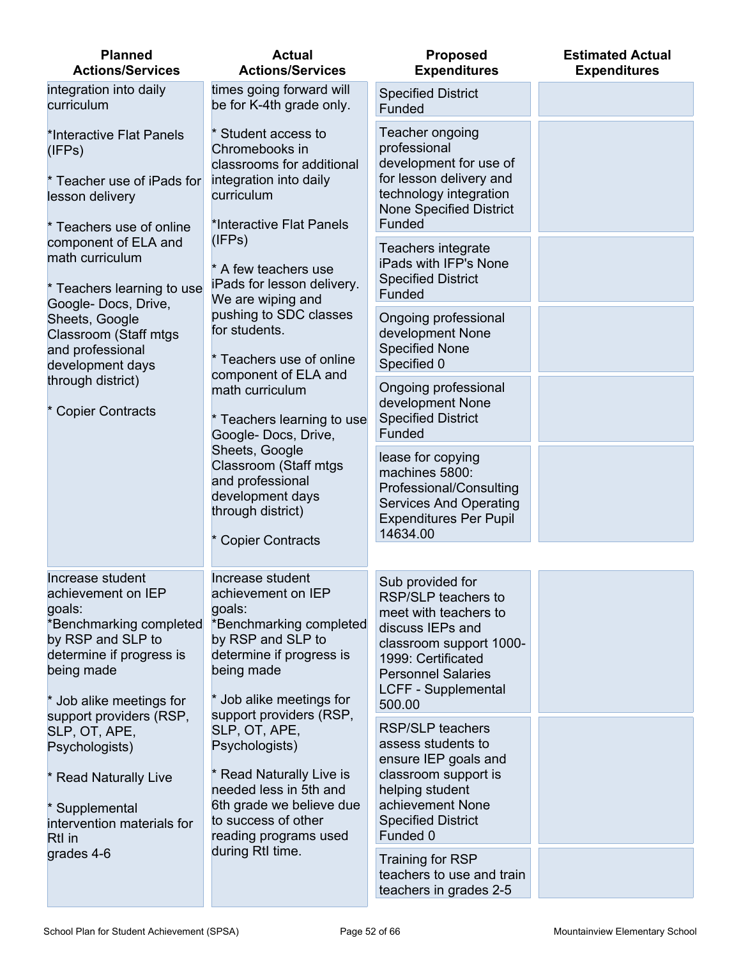| <b>Planned</b><br><b>Actions/Services</b>                                                                                                                                                         | <b>Actual</b><br><b>Actions/Services</b>                                                                                                                                                          | <b>Proposed</b><br><b>Expenditures</b>                                                                                                                                                                     | <b>Estimated Actual</b><br><b>Expenditures</b> |
|---------------------------------------------------------------------------------------------------------------------------------------------------------------------------------------------------|---------------------------------------------------------------------------------------------------------------------------------------------------------------------------------------------------|------------------------------------------------------------------------------------------------------------------------------------------------------------------------------------------------------------|------------------------------------------------|
| integration into daily<br>curriculum                                                                                                                                                              | times going forward will<br>be for K-4th grade only.                                                                                                                                              | <b>Specified District</b><br>Funded                                                                                                                                                                        |                                                |
| *Interactive Flat Panels<br>(IFPs)<br>* Teacher use of iPads for<br>lesson delivery<br>* Teachers use of online                                                                                   | Student access to<br>Chromebooks in<br>classrooms for additional<br>integration into daily<br>curriculum<br>*Interactive Flat Panels                                                              | Teacher ongoing<br>professional<br>development for use of<br>for lesson delivery and<br>technology integration<br><b>None Specified District</b><br>Funded                                                 |                                                |
| component of ELA and<br>math curriculum<br>* Teachers learning to use<br>Google-Docs, Drive,                                                                                                      | (IFPs)<br>* A few teachers use<br>iPads for lesson delivery.<br>We are wiping and                                                                                                                 | Teachers integrate<br>iPads with IFP's None<br><b>Specified District</b><br>Funded                                                                                                                         |                                                |
| Sheets, Google<br>Classroom (Staff mtgs<br>and professional<br>development days                                                                                                                   | pushing to SDC classes<br>for students.<br>* Teachers use of online<br>component of ELA and                                                                                                       | Ongoing professional<br>development None<br><b>Specified None</b><br>Specified 0                                                                                                                           |                                                |
| through district)<br><b>Copier Contracts</b>                                                                                                                                                      | math curriculum<br>* Teachers learning to use<br>Google- Docs, Drive,                                                                                                                             | Ongoing professional<br>development None<br><b>Specified District</b><br>Funded                                                                                                                            |                                                |
|                                                                                                                                                                                                   | Sheets, Google<br>Classroom (Staff mtgs<br>and professional<br>development days<br>through district)<br>* Copier Contracts                                                                        | lease for copying<br>machines 5800:<br>Professional/Consulting<br><b>Services And Operating</b><br><b>Expenditures Per Pupil</b><br>14634.00                                                               |                                                |
|                                                                                                                                                                                                   |                                                                                                                                                                                                   |                                                                                                                                                                                                            |                                                |
| Increase student<br>achievement on IEP<br>goals:<br>*Benchmarking completed<br>by RSP and SLP to<br>determine if progress is<br>being made<br>* Job alike meetings for<br>support providers (RSP, | Increase student<br>achievement on IEP<br>goals:<br>*Benchmarking completed<br>by RSP and SLP to<br>determine if progress is<br>being made<br>* Job alike meetings for<br>support providers (RSP, | Sub provided for<br>RSP/SLP teachers to<br>meet with teachers to<br>discuss IEPs and<br>classroom support 1000-<br>1999: Certificated<br><b>Personnel Salaries</b><br><b>LCFF - Supplemental</b><br>500.00 |                                                |
| SLP, OT, APE,<br>Psychologists)                                                                                                                                                                   | SLP, OT, APE,<br>Psychologists)                                                                                                                                                                   | <b>RSP/SLP teachers</b><br>assess students to<br>ensure IEP goals and                                                                                                                                      |                                                |
| * Read Naturally Live<br>* Supplemental<br>intervention materials for<br>Rtl in                                                                                                                   | * Read Naturally Live is<br>needed less in 5th and<br>6th grade we believe due<br>to success of other<br>reading programs used                                                                    | classroom support is<br>helping student<br>achievement None<br><b>Specified District</b><br>Funded 0                                                                                                       |                                                |
| grades 4-6                                                                                                                                                                                        | during RtI time.                                                                                                                                                                                  | Training for RSP<br>teachers to use and train<br>teachers in grades 2-5                                                                                                                                    |                                                |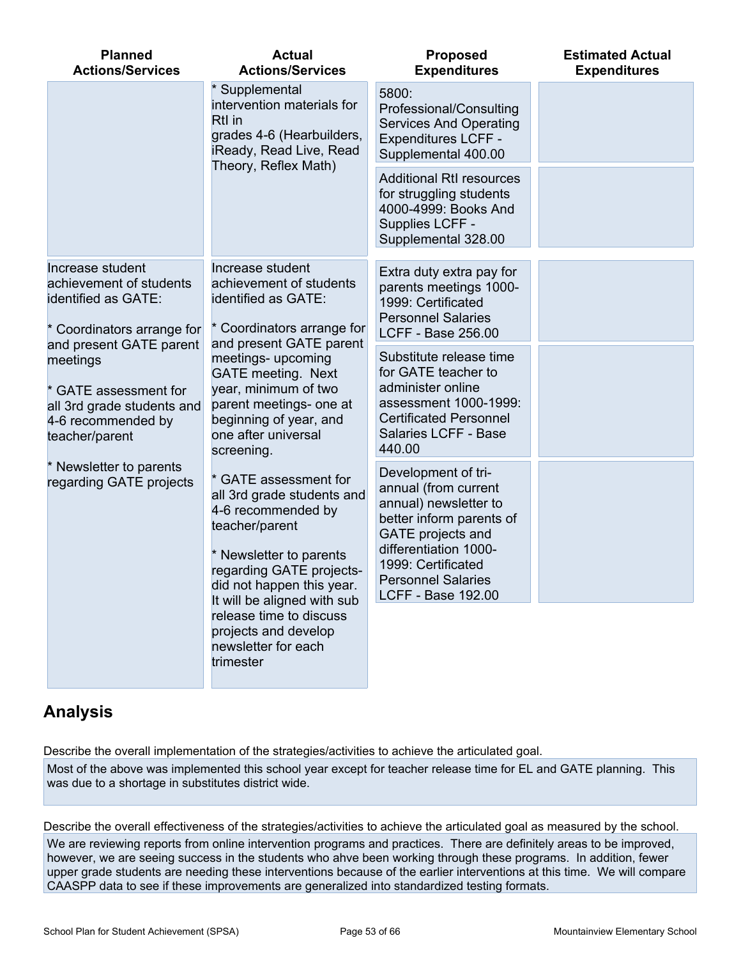| <b>Planned</b><br><b>Actions/Services</b>                                                                                          | <b>Actual</b><br><b>Actions/Services</b>                                                                                                                                                                       | <b>Proposed</b><br><b>Expenditures</b>                                                                                                                                                                                                | <b>Estimated Actual</b><br><b>Expenditures</b> |
|------------------------------------------------------------------------------------------------------------------------------------|----------------------------------------------------------------------------------------------------------------------------------------------------------------------------------------------------------------|---------------------------------------------------------------------------------------------------------------------------------------------------------------------------------------------------------------------------------------|------------------------------------------------|
|                                                                                                                                    | * Supplemental<br>intervention materials for<br>RtI in<br>grades 4-6 (Hearbuilders,<br>iReady, Read Live, Read                                                                                                 | 5800:<br>Professional/Consulting<br><b>Services And Operating</b><br><b>Expenditures LCFF -</b><br>Supplemental 400.00                                                                                                                |                                                |
|                                                                                                                                    | Theory, Reflex Math)                                                                                                                                                                                           | <b>Additional RtI resources</b><br>for struggling students<br>4000-4999: Books And<br>Supplies LCFF -<br>Supplemental 328.00                                                                                                          |                                                |
| Increase student<br>achievement of students<br>identified as GATE:<br>* Coordinators arrange for                                   | Increase student<br>achievement of students<br>identified as GATE:<br>* Coordinators arrange for                                                                                                               | Extra duty extra pay for<br>parents meetings 1000-<br>1999: Certificated<br><b>Personnel Salaries</b><br><b>LCFF - Base 256.00</b>                                                                                                    |                                                |
| and present GATE parent<br>meetings<br>* GATE assessment for<br>all 3rd grade students and<br>4-6 recommended by<br>teacher/parent | and present GATE parent<br>meetings- upcoming<br><b>GATE</b> meeting. Next<br>year, minimum of two<br>parent meetings- one at<br>beginning of year, and<br>one after universal<br>screening.                   | Substitute release time<br>for GATE teacher to<br>administer online<br>assessment 1000-1999:<br><b>Certificated Personnel</b><br>Salaries LCFF - Base<br>440.00                                                                       |                                                |
| * Newsletter to parents<br>regarding GATE projects                                                                                 | * GATE assessment for<br>all 3rd grade students and<br>4-6 recommended by<br>teacher/parent<br>* Newsletter to parents<br>regarding GATE projects-<br>did not happen this year.<br>It will be aligned with sub | Development of tri-<br>annual (from current<br>annual) newsletter to<br>better inform parents of<br><b>GATE</b> projects and<br>differentiation 1000-<br>1999: Certificated<br><b>Personnel Salaries</b><br><b>LCFF - Base 192.00</b> |                                                |
|                                                                                                                                    | release time to discuss<br>projects and develop<br>newsletter for each<br>trimester                                                                                                                            |                                                                                                                                                                                                                                       |                                                |

### **Analysis**

Describe the overall implementation of the strategies/activities to achieve the articulated goal.

Most of the above was implemented this school year except for teacher release time for EL and GATE planning. This was due to a shortage in substitutes district wide.

Describe the overall effectiveness of the strategies/activities to achieve the articulated goal as measured by the school. We are reviewing reports from online intervention programs and practices. There are definitely areas to be improved, however, we are seeing success in the students who ahve been working through these programs. In addition, fewer upper grade students are needing these interventions because of the earlier interventions at this time. We will compare CAASPP data to see if these improvements are generalized into standardized testing formats.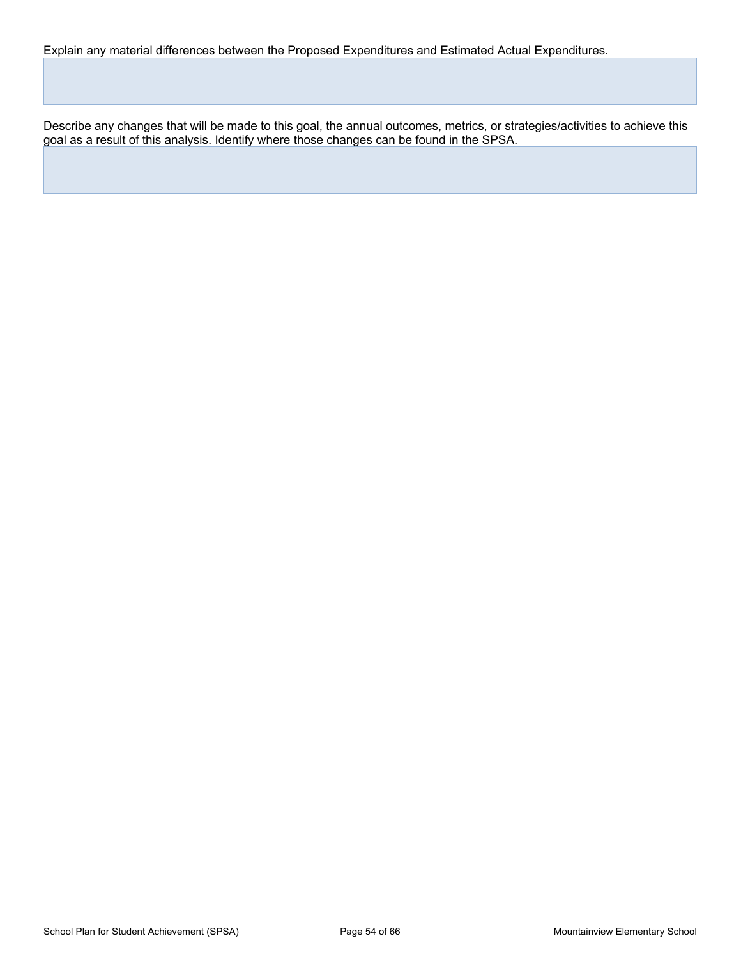Explain any material differences between the Proposed Expenditures and Estimated Actual Expenditures.

Describe any changes that will be made to this goal, the annual outcomes, metrics, or strategies/activities to achieve this goal as a result of this analysis. Identify where those changes can be found in the SPSA.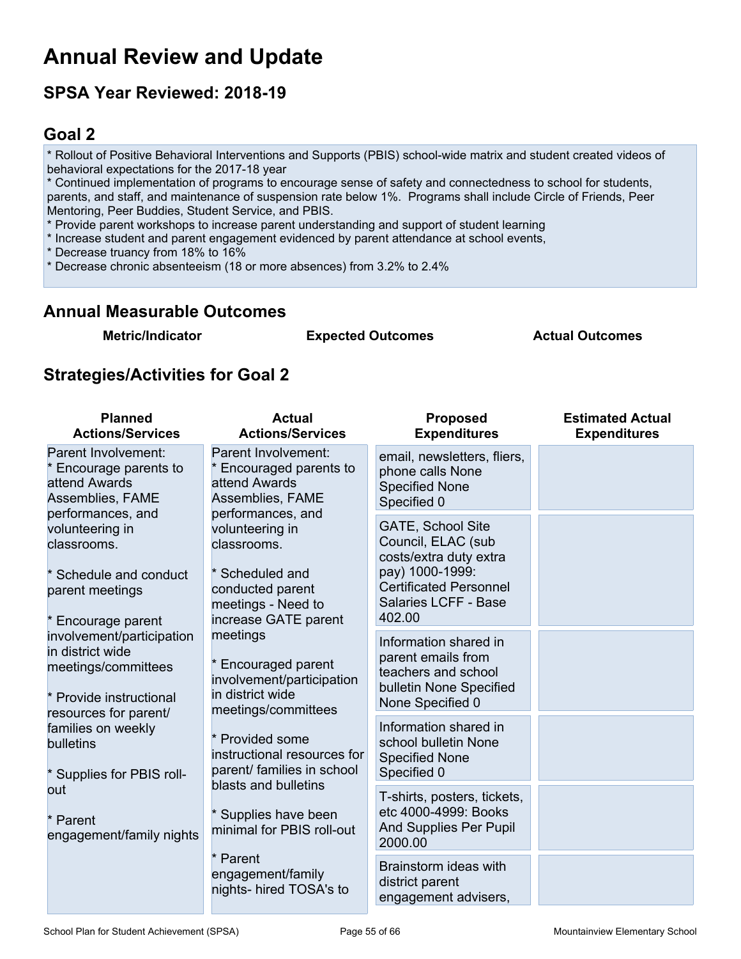## **Annual Review and Update**

## **SPSA Year Reviewed: 2018-19**

## <span id="page-54-0"></span>**Goal 2**

\* Rollout of Positive Behavioral Interventions and Supports (PBIS) school-wide matrix and student created videos of behavioral expectations for the 2017-18 year

\* Continued implementation of programs to encourage sense of safety and connectedness to school for students, parents, and staff, and maintenance of suspension rate below 1%. Programs shall include Circle of Friends, Peer Mentoring, Peer Buddies, Student Service, and PBIS.

\* Provide parent workshops to increase parent understanding and support of student learning

\* Increase student and parent engagement evidenced by parent attendance at school events,

\* Decrease truancy from 18% to 16%

\* Decrease chronic absenteeism (18 or more absences) from 3.2% to 2.4%

### **Annual Measurable Outcomes**

**Metric/Indicator Expected Outcomes Actual Outcomes**

## **Strategies/Activities for Goal 2**

| <b>Planned</b><br><b>Actions/Services</b>                                                                                | <b>Actual</b><br><b>Actions/Services</b>                                                                                                                                                                                                                         | <b>Proposed</b><br><b>Expenditures</b>                                                                                                                         | <b>Estimated Actual</b><br><b>Expenditures</b> |
|--------------------------------------------------------------------------------------------------------------------------|------------------------------------------------------------------------------------------------------------------------------------------------------------------------------------------------------------------------------------------------------------------|----------------------------------------------------------------------------------------------------------------------------------------------------------------|------------------------------------------------|
| Parent Involvement:<br>Encourage parents to<br>attend Awards<br>Assemblies, FAME                                         | Parent Involvement:<br>Encouraged parents to<br>attend Awards<br>Assemblies, FAME                                                                                                                                                                                | email, newsletters, fliers,<br>phone calls None<br><b>Specified None</b><br>Specified 0                                                                        |                                                |
| performances, and<br>volunteering in<br>classrooms.<br>* Schedule and conduct<br>parent meetings<br>* Encourage parent   | performances, and<br>volunteering in<br>classrooms.<br>* Scheduled and<br>conducted parent<br>meetings - Need to<br>increase GATE parent                                                                                                                         | <b>GATE, School Site</b><br>Council, ELAC (sub<br>costs/extra duty extra<br>pay) 1000-1999:<br><b>Certificated Personnel</b><br>Salaries LCFF - Base<br>402.00 |                                                |
| involvement/participation<br>in district wide<br>meetings/committees<br>* Provide instructional<br>resources for parent/ | meetings<br>Encouraged parent<br>involvement/participation<br>in district wide<br>meetings/committees<br>Provided some<br>instructional resources for<br>parent/ families in school<br>blasts and bulletins<br>* Supplies have been<br>minimal for PBIS roll-out | Information shared in<br>parent emails from<br>teachers and school<br>bulletin None Specified<br>None Specified 0                                              |                                                |
| families on weekly<br>bulletins<br>* Supplies for PBIS roll-                                                             |                                                                                                                                                                                                                                                                  | Information shared in<br>school bulletin None<br><b>Specified None</b><br>Specified 0                                                                          |                                                |
| out<br>* Parent<br>engagement/family nights                                                                              |                                                                                                                                                                                                                                                                  | T-shirts, posters, tickets,<br>etc 4000-4999: Books<br><b>And Supplies Per Pupil</b><br>2000.00                                                                |                                                |
|                                                                                                                          | * Parent<br>engagement/family<br>nights- hired TOSA's to                                                                                                                                                                                                         | Brainstorm ideas with<br>district parent<br>engagement advisers,                                                                                               |                                                |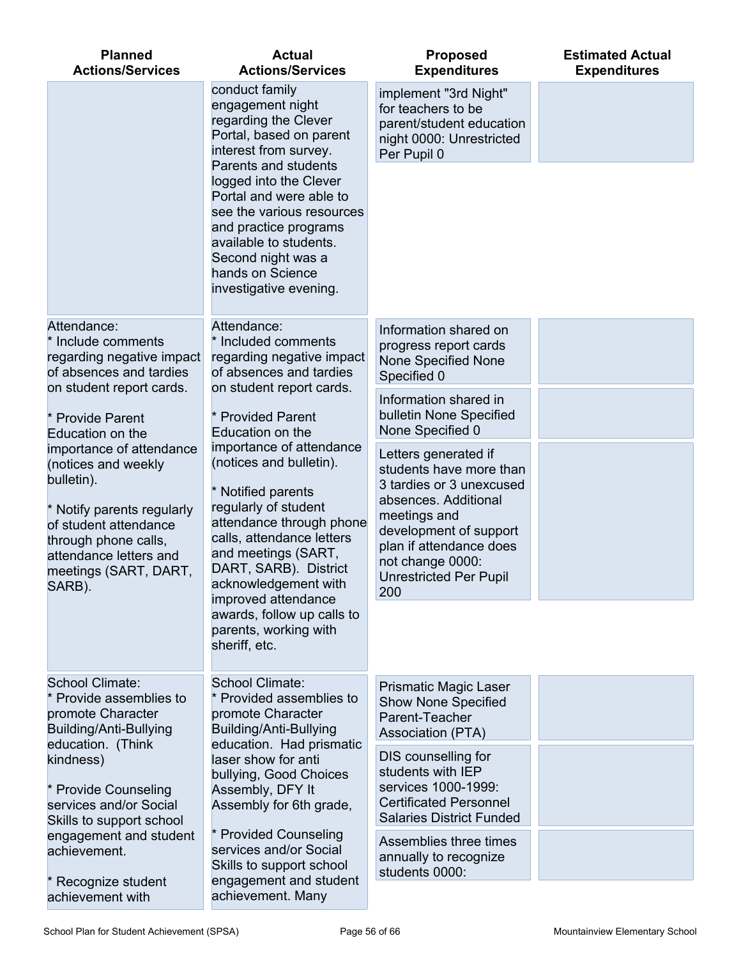| <b>Planned</b><br><b>Actions/Services</b>                                                                                                                                                                 | <b>Actual</b><br><b>Actions/Services</b>                                                                                                                                                                                                                                                                                                        | <b>Proposed</b><br><b>Expenditures</b>                                                                                                                                                                                               | <b>Estimated Actual</b><br><b>Expenditures</b> |
|-----------------------------------------------------------------------------------------------------------------------------------------------------------------------------------------------------------|-------------------------------------------------------------------------------------------------------------------------------------------------------------------------------------------------------------------------------------------------------------------------------------------------------------------------------------------------|--------------------------------------------------------------------------------------------------------------------------------------------------------------------------------------------------------------------------------------|------------------------------------------------|
|                                                                                                                                                                                                           | conduct family<br>engagement night<br>regarding the Clever<br>Portal, based on parent<br>interest from survey.<br>Parents and students<br>logged into the Clever<br>Portal and were able to<br>see the various resources<br>and practice programs<br>available to students.<br>Second night was a<br>hands on Science<br>investigative evening. | implement "3rd Night"<br>for teachers to be<br>parent/student education<br>night 0000: Unrestricted<br>Per Pupil 0                                                                                                                   |                                                |
|                                                                                                                                                                                                           |                                                                                                                                                                                                                                                                                                                                                 |                                                                                                                                                                                                                                      |                                                |
| Attendance:<br>* Include comments<br>regarding negative impact<br>of absences and tardies<br>on student report cards.                                                                                     | Attendance:<br>* Included comments<br>regarding negative impact<br>of absences and tardies                                                                                                                                                                                                                                                      | Information shared on<br>progress report cards<br>None Specified None<br>Specified 0                                                                                                                                                 |                                                |
| * Provide Parent<br>Education on the                                                                                                                                                                      | on student report cards.<br>* Provided Parent<br>Education on the                                                                                                                                                                                                                                                                               | Information shared in<br>bulletin None Specified<br>None Specified 0                                                                                                                                                                 |                                                |
| importance of attendance<br>(notices and weekly<br>bulletin).<br>* Notify parents regularly<br>of student attendance<br>through phone calls,<br>attendance letters and<br>meetings (SART, DART,<br>SARB). | importance of attendance<br>(notices and bulletin).<br>* Notified parents<br>regularly of student<br>attendance through phone<br>calls, attendance letters<br>and meetings (SART,<br>DART, SARB). District<br>acknowledgement with<br>improved attendance                                                                                       | Letters generated if<br>students have more than<br>3 tardies or 3 unexcused<br>absences. Additional<br>meetings and<br>development of support<br>plan if attendance does<br>not change 0000:<br><b>Unrestricted Per Pupil</b><br>200 |                                                |
|                                                                                                                                                                                                           | awards, follow up calls to<br>parents, working with<br>sheriff, etc.                                                                                                                                                                                                                                                                            |                                                                                                                                                                                                                                      |                                                |
| School Climate:<br>* Provide assemblies to<br>promote Character<br>Building/Anti-Bullying                                                                                                                 | School Climate:<br>* Provided assemblies to<br>promote Character<br>Building/Anti-Bullying                                                                                                                                                                                                                                                      | <b>Prismatic Magic Laser</b><br><b>Show None Specified</b><br>Parent-Teacher<br><b>Association (PTA)</b>                                                                                                                             |                                                |
| education. (Think<br>kindness)<br>* Provide Counseling<br>services and/or Social<br>Skills to support school                                                                                              | education. Had prismatic<br>laser show for anti<br>bullying, Good Choices<br>Assembly, DFY It<br>Assembly for 6th grade,                                                                                                                                                                                                                        | DIS counselling for<br>students with IEP<br>services 1000-1999:<br><b>Certificated Personnel</b><br><b>Salaries District Funded</b>                                                                                                  |                                                |
| engagement and student<br>achievement.                                                                                                                                                                    | * Provided Counseling<br>services and/or Social<br>Skills to support school                                                                                                                                                                                                                                                                     | Assemblies three times<br>annually to recognize<br>students 0000:                                                                                                                                                                    |                                                |
| * Recognize student<br>achievement with                                                                                                                                                                   | engagement and student<br>achievement. Many                                                                                                                                                                                                                                                                                                     |                                                                                                                                                                                                                                      |                                                |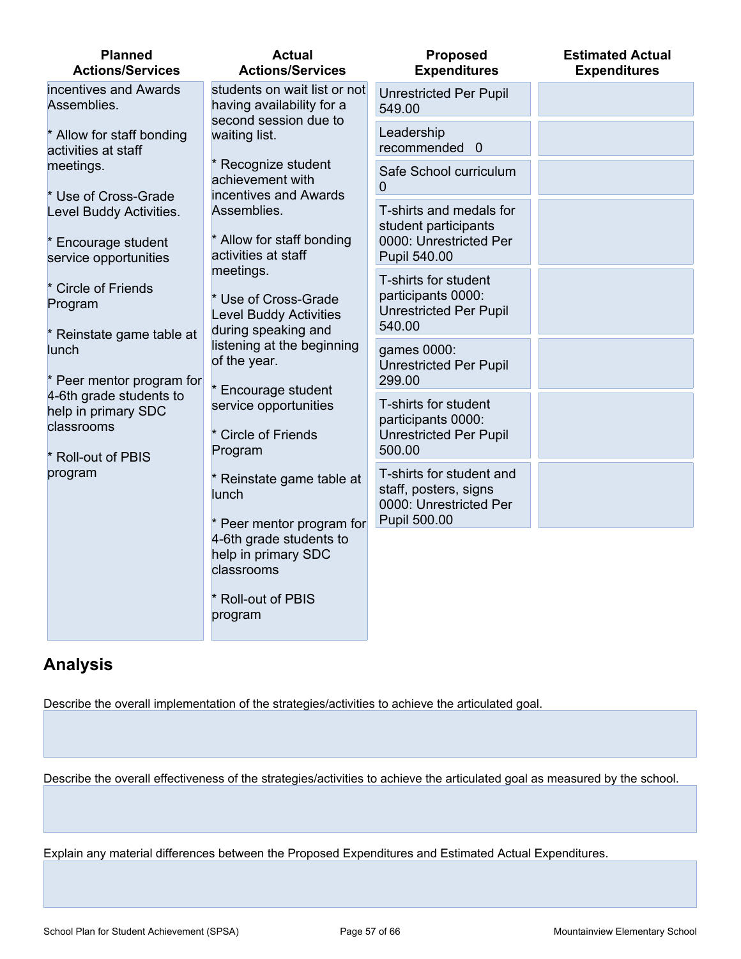| <b>Planned</b><br><b>Actions/Services</b>                       | <b>Actual</b><br><b>Actions/Services</b>                                                                                                | <b>Proposed</b><br><b>Expenditures</b>                                                      | <b>Estimated Actual</b><br><b>Expenditures</b> |
|-----------------------------------------------------------------|-----------------------------------------------------------------------------------------------------------------------------------------|---------------------------------------------------------------------------------------------|------------------------------------------------|
| incentives and Awards<br>Assemblies.                            | students on wait list or not<br>having availability for a                                                                               | <b>Unrestricted Per Pupil</b><br>549.00                                                     |                                                |
| * Allow for staff bonding<br>activities at staff                | second session due to<br>waiting list.                                                                                                  | Leadership<br>recommended 0                                                                 |                                                |
| meetings.<br>* Use of Cross-Grade                               | * Recognize student<br>achievement with<br>incentives and Awards                                                                        | Safe School curriculum<br>0                                                                 |                                                |
| Level Buddy Activities.                                         | Assemblies.                                                                                                                             | T-shirts and medals for<br>student participants                                             |                                                |
| * Encourage student<br>service opportunities                    | * Allow for staff bonding<br>activities at staff                                                                                        | 0000: Unrestricted Per<br>Pupil 540.00                                                      |                                                |
| * Circle of Friends<br>Program                                  | meetings.<br>* Use of Cross-Grade<br><b>Level Buddy Activities</b><br>during speaking and<br>listening at the beginning<br>of the year. | T-shirts for student<br>participants 0000:<br><b>Unrestricted Per Pupil</b><br>540.00       |                                                |
| * Reinstate game table at<br>lunch<br>* Peer mentor program for |                                                                                                                                         | games 0000:<br><b>Unrestricted Per Pupil</b><br>299.00                                      |                                                |
| 4-6th grade students to<br>help in primary SDC<br>classrooms    | Encourage student<br>service opportunities<br>* Circle of Friends                                                                       | T-shirts for student<br>participants 0000:<br><b>Unrestricted Per Pupil</b>                 |                                                |
| * Roll-out of PBIS                                              | Program                                                                                                                                 | 500.00                                                                                      |                                                |
| program                                                         | * Reinstate game table at<br>lunch<br>* Peer mentor program for<br>4-6th grade students to<br>help in primary SDC<br>classrooms         | T-shirts for student and<br>staff, posters, signs<br>0000: Unrestricted Per<br>Pupil 500.00 |                                                |
|                                                                 |                                                                                                                                         |                                                                                             |                                                |
|                                                                 | * Roll-out of PBIS<br>program                                                                                                           |                                                                                             |                                                |

## **Analysis**

Describe the overall implementation of the strategies/activities to achieve the articulated goal.

Describe the overall effectiveness of the strategies/activities to achieve the articulated goal as measured by the school.

Explain any material differences between the Proposed Expenditures and Estimated Actual Expenditures.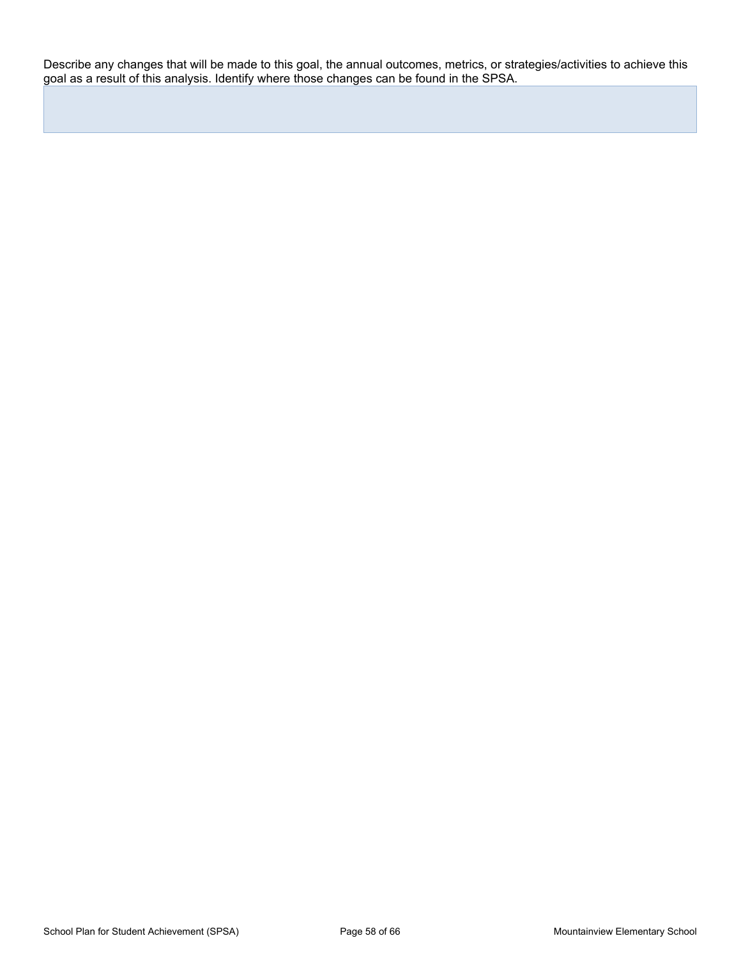Describe any changes that will be made to this goal, the annual outcomes, metrics, or strategies/activities to achieve this goal as a result of this analysis. Identify where those changes can be found in the SPSA.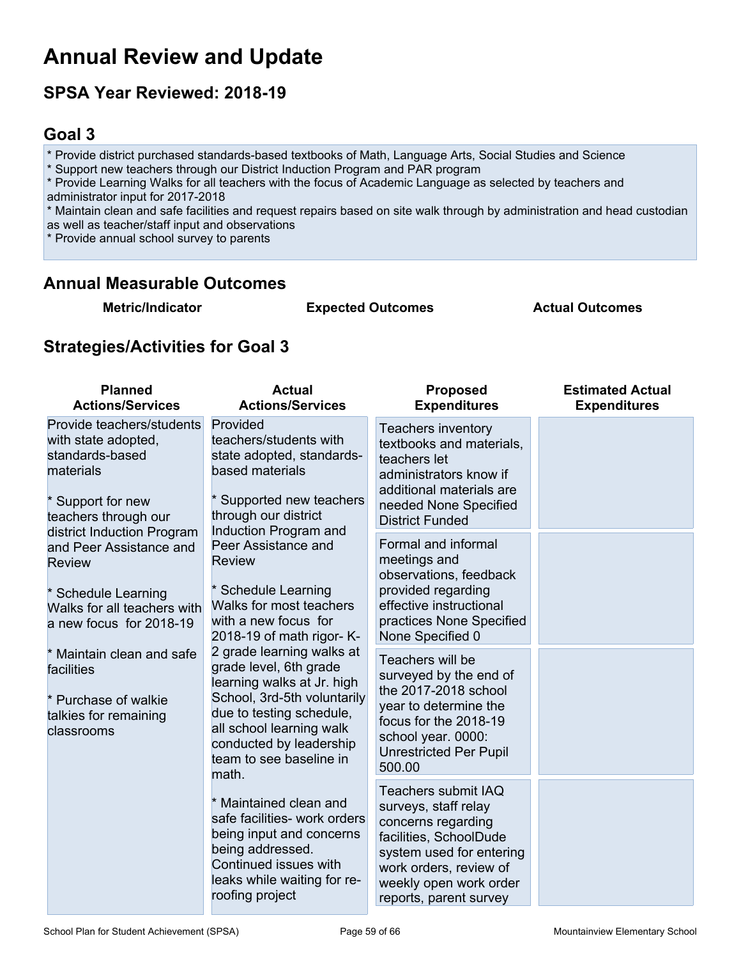## **Annual Review and Update**

## **SPSA Year Reviewed: 2018-19**

## <span id="page-58-0"></span>**Goal 3**

\* Provide district purchased standards-based textbooks of Math, Language Arts, Social Studies and Science

\* Support new teachers through our District Induction Program and PAR program

\* Provide Learning Walks for all teachers with the focus of Academic Language as selected by teachers and administrator input for 2017-2018

\* Maintain clean and safe facilities and request repairs based on site walk through by administration and head custodian as well as teacher/staff input and observations

\* Provide annual school survey to parents

### **Annual Measurable Outcomes**

**Metric/Indicator Expected Outcomes Actual Outcomes**

## **Strategies/Activities for Goal 3**

| <b>Planned</b><br><b>Actions/Services</b>                                                                                                               | <b>Actual</b><br><b>Actions/Services</b>                                                                                                                                                                                                | <b>Proposed</b><br><b>Expenditures</b>                                                                                                                                                                | <b>Estimated Actual</b><br><b>Expenditures</b> |
|---------------------------------------------------------------------------------------------------------------------------------------------------------|-----------------------------------------------------------------------------------------------------------------------------------------------------------------------------------------------------------------------------------------|-------------------------------------------------------------------------------------------------------------------------------------------------------------------------------------------------------|------------------------------------------------|
| Provide teachers/students<br>with state adopted,<br>standards-based<br>materials<br>* Support for new<br>teachers through our                           | Provided<br>teachers/students with<br>state adopted, standards-<br>based materials<br>* Supported new teachers<br>through our district                                                                                                  | <b>Teachers inventory</b><br>textbooks and materials,<br>teachers let<br>administrators know if<br>additional materials are<br>needed None Specified<br><b>District Funded</b>                        |                                                |
| district Induction Program<br>and Peer Assistance and<br><b>Review</b><br>* Schedule Learning<br>Walks for all teachers with<br>a new focus for 2018-19 | Induction Program and<br>Peer Assistance and<br><b>Review</b><br>* Schedule Learning<br>Walks for most teachers<br>with a new focus for<br>2018-19 of math rigor- K-                                                                    | Formal and informal<br>meetings and<br>observations, feedback<br>provided regarding<br>effective instructional<br>practices None Specified<br>None Specified 0                                        |                                                |
| * Maintain clean and safe<br>facilities<br>* Purchase of walkie<br>talkies for remaining<br>classrooms                                                  | 2 grade learning walks at<br>grade level, 6th grade<br>learning walks at Jr. high<br>School, 3rd-5th voluntarily<br>due to testing schedule,<br>all school learning walk<br>conducted by leadership<br>team to see baseline in<br>math. | Teachers will be<br>surveyed by the end of<br>the 2017-2018 school<br>year to determine the<br>focus for the 2018-19<br>school year. 0000:<br><b>Unrestricted Per Pupil</b><br>500.00                 |                                                |
|                                                                                                                                                         | * Maintained clean and<br>safe facilities- work orders<br>being input and concerns<br>being addressed.<br>Continued issues with<br>leaks while waiting for re-<br>roofing project                                                       | Teachers submit IAQ<br>surveys, staff relay<br>concerns regarding<br>facilities, SchoolDude<br>system used for entering<br>work orders, review of<br>weekly open work order<br>reports, parent survey |                                                |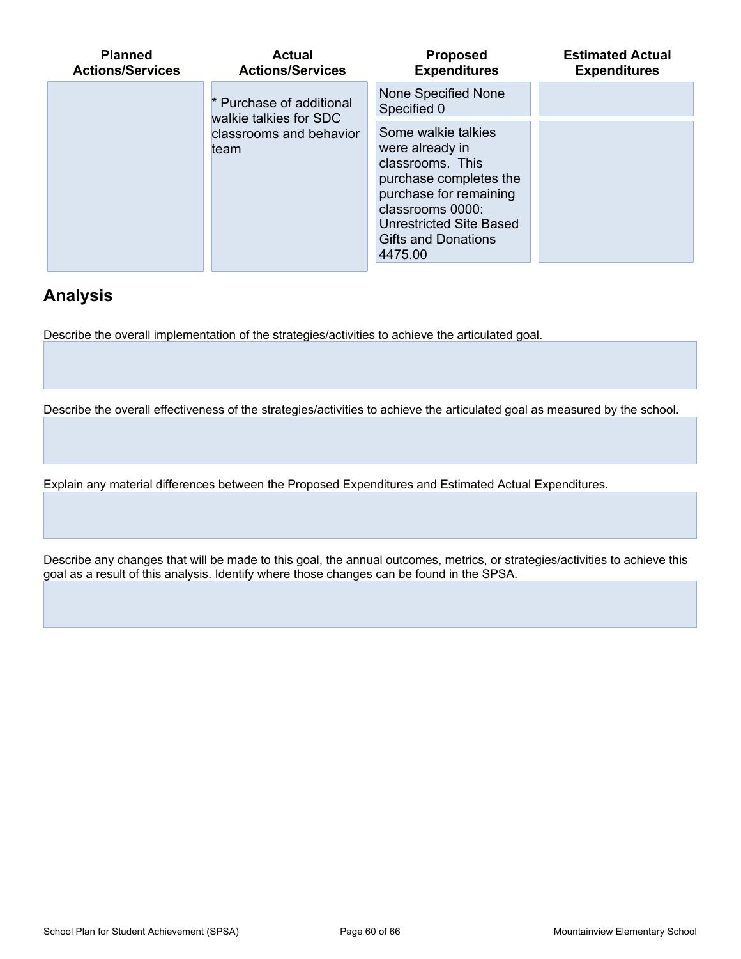| <b>Planned</b><br><b>Actions/Services</b> | <b>Actual</b><br><b>Actions/Services</b>           | <b>Proposed</b><br><b>Expenditures</b>                                                                                                                                                                        | <b>Estimated Actual</b><br><b>Expenditures</b> |
|-------------------------------------------|----------------------------------------------------|---------------------------------------------------------------------------------------------------------------------------------------------------------------------------------------------------------------|------------------------------------------------|
|                                           | * Purchase of additional<br>walkie talkies for SDC | None Specified None<br>Specified 0                                                                                                                                                                            |                                                |
|                                           | classrooms and behavior<br>team                    | Some walkie talkies<br>were already in<br>classrooms. This<br>purchase completes the<br>purchase for remaining<br>classrooms 0000:<br><b>Unrestricted Site Based</b><br><b>Gifts and Donations</b><br>4475.00 |                                                |

## **Analysis**

Describe the overall implementation of the strategies/activities to achieve the articulated goal.

Describe the overall effectiveness of the strategies/activities to achieve the articulated goal as measured by the school.

Explain any material differences between the Proposed Expenditures and Estimated Actual Expenditures.

Describe any changes that will be made to this goal, the annual outcomes, metrics, or strategies/activities to achieve this goal as a result of this analysis. Identify where those changes can be found in the SPSA.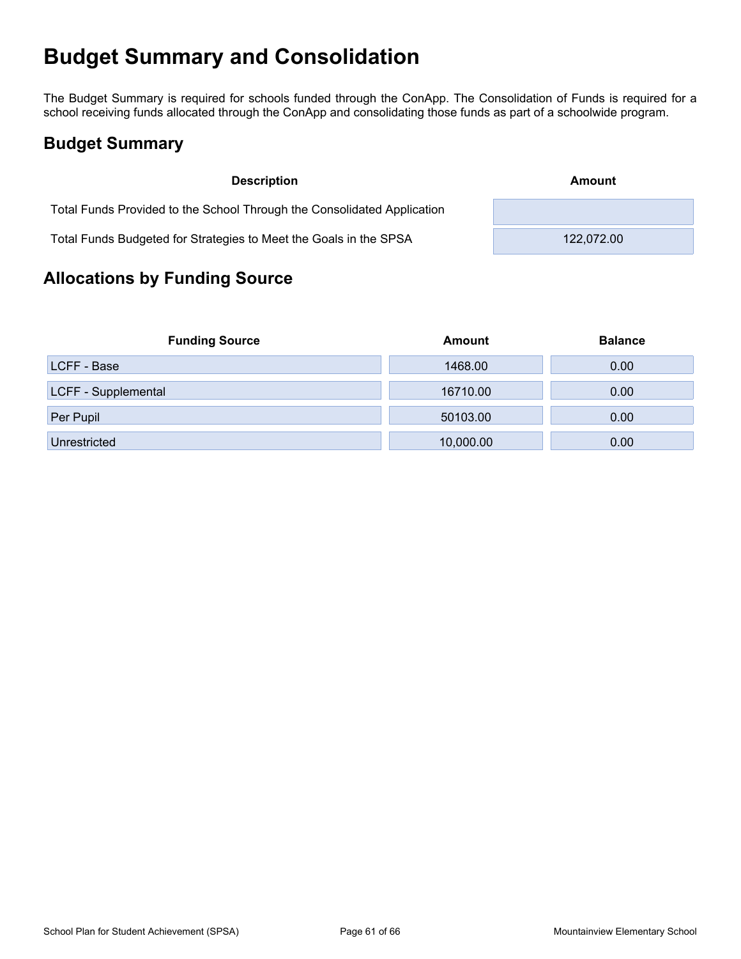## <span id="page-60-0"></span>**Budget Summary and Consolidation**

The Budget Summary is required for schools funded through the ConApp. The Consolidation of Funds is required for a school receiving funds allocated through the ConApp and consolidating those funds as part of a schoolwide program.

## <span id="page-60-1"></span>**Budget Summary**

| <b>Description</b>                                                      | Amount     |
|-------------------------------------------------------------------------|------------|
| Total Funds Provided to the School Through the Consolidated Application |            |
| Total Funds Budgeted for Strategies to Meet the Goals in the SPSA       | 122,072.00 |

## <span id="page-60-2"></span>**Allocations by Funding Source**

| <b>Funding Source</b> | Amount    | <b>Balance</b> |
|-----------------------|-----------|----------------|
| LCFF - Base           | 1468.00   | 0.00           |
| LCFF - Supplemental   | 16710.00  | 0.00           |
| Per Pupil             | 50103.00  | 0.00           |
| Unrestricted          | 10,000.00 | 0.00           |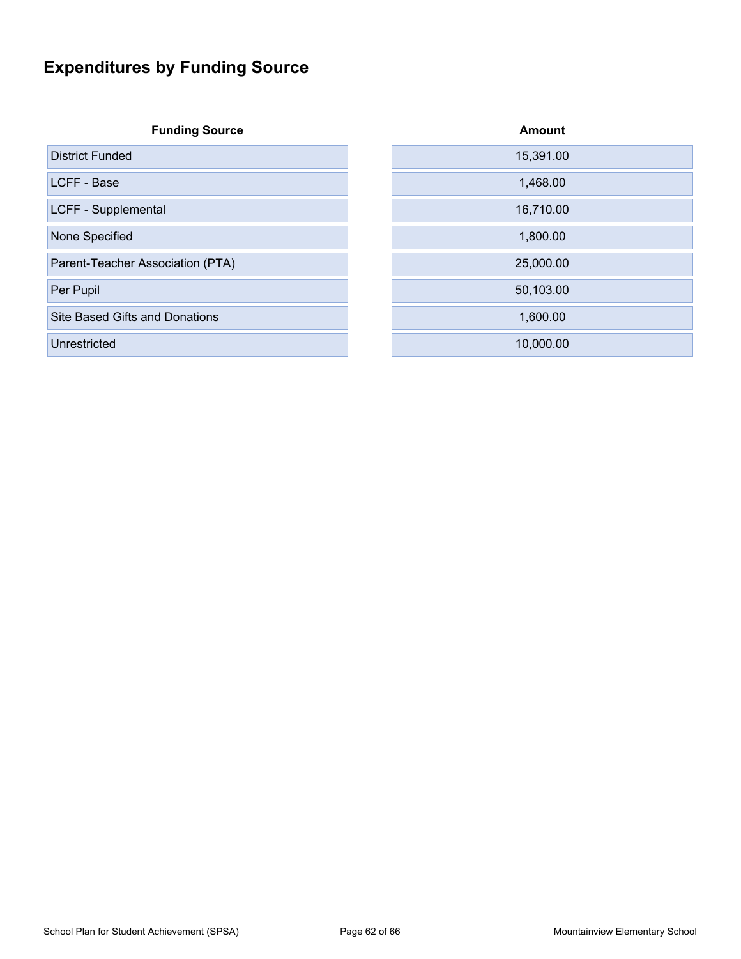## <span id="page-61-0"></span>**Expenditures by Funding Source**

**Funding Source** 

District Funded

LCFF - Base

LCFF - Supplemental

None Specified

Parent-Teacher Association (PTA)

Per Pupil

Site Based Gifts and Donations

Unrestricted

| Amount    |  |
|-----------|--|
| 15,391.00 |  |
| 1,468.00  |  |
| 16,710.00 |  |
| 1,800.00  |  |
| 25,000.00 |  |
| 50,103.00 |  |
| 1,600.00  |  |
| 10,000.00 |  |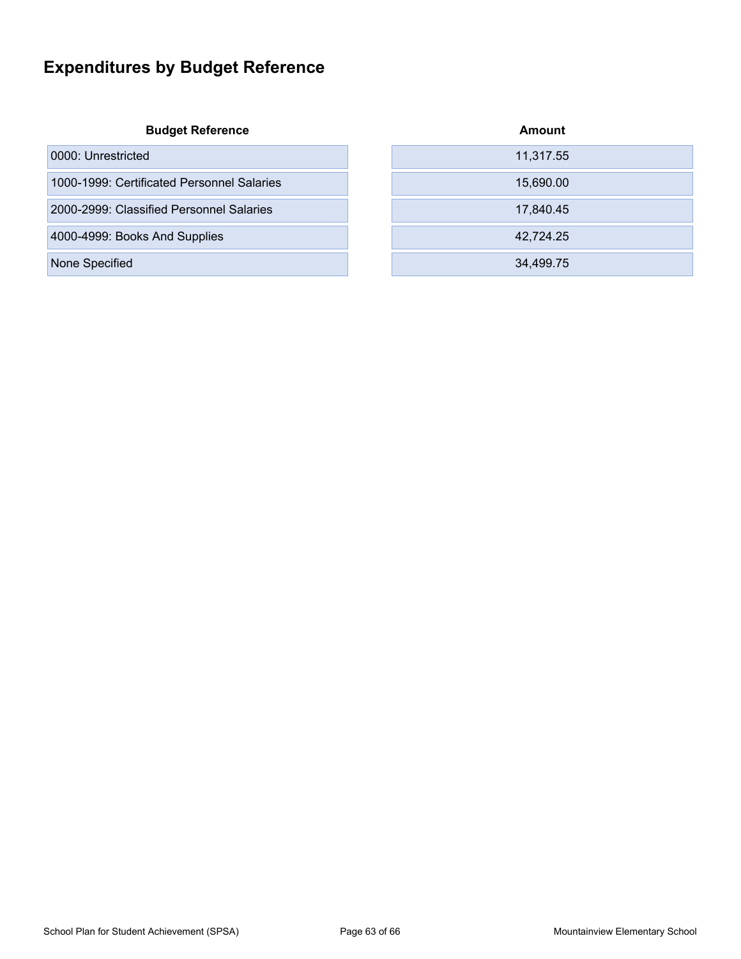## <span id="page-62-0"></span>**Expenditures by Budget Reference**

### **Budget Reference Amount**

| 0000: Unrestricted                         | 11,317.55 |
|--------------------------------------------|-----------|
| 1000-1999: Certificated Personnel Salaries | 15,690.00 |
| 2000-2999: Classified Personnel Salaries   | 17.840.45 |
| 4000-4999: Books And Supplies              | 42.724.25 |
| None Specified                             | 34,499.75 |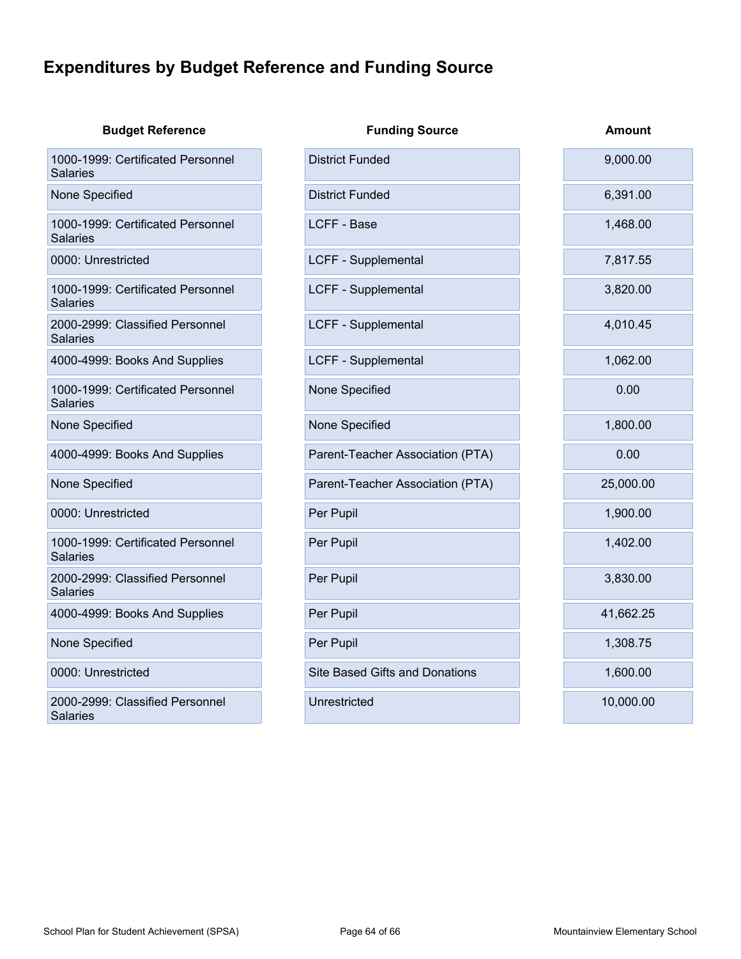## <span id="page-63-0"></span>**Expenditures by Budget Reference and Funding Source**

| <b>Budget Reference</b>                              | <b>Funding Source</b>                 | <b>Amount</b> |
|------------------------------------------------------|---------------------------------------|---------------|
| 1000-1999: Certificated Personnel<br><b>Salaries</b> | <b>District Funded</b>                | 9,000.00      |
| None Specified                                       | <b>District Funded</b>                | 6,391.00      |
| 1000-1999: Certificated Personnel<br><b>Salaries</b> | <b>LCFF - Base</b>                    | 1,468.00      |
| 0000: Unrestricted                                   | <b>LCFF - Supplemental</b>            | 7,817.55      |
| 1000-1999: Certificated Personnel<br><b>Salaries</b> | <b>LCFF - Supplemental</b>            | 3,820.00      |
| 2000-2999: Classified Personnel<br><b>Salaries</b>   | <b>LCFF - Supplemental</b>            | 4,010.45      |
| 4000-4999: Books And Supplies                        | <b>LCFF - Supplemental</b>            | 1,062.00      |
| 1000-1999: Certificated Personnel<br><b>Salaries</b> | None Specified                        | 0.00          |
| None Specified                                       | None Specified                        | 1,800.00      |
| 4000-4999: Books And Supplies                        | Parent-Teacher Association (PTA)      | 0.00          |
| None Specified                                       | Parent-Teacher Association (PTA)      | 25,000.00     |
| 0000: Unrestricted                                   | Per Pupil                             | 1,900.00      |
| 1000-1999: Certificated Personnel<br><b>Salaries</b> | Per Pupil                             | 1,402.00      |
| 2000-2999: Classified Personnel<br><b>Salaries</b>   | Per Pupil                             | 3,830.00      |
| 4000-4999: Books And Supplies                        | Per Pupil                             | 41,662.25     |
| None Specified                                       | Per Pupil                             | 1,308.75      |
| 0000: Unrestricted                                   | <b>Site Based Gifts and Donations</b> | 1,600.00      |
| 2000-2999: Classified Personnel<br><b>Salaries</b>   | Unrestricted                          | 10,000.00     |
|                                                      |                                       |               |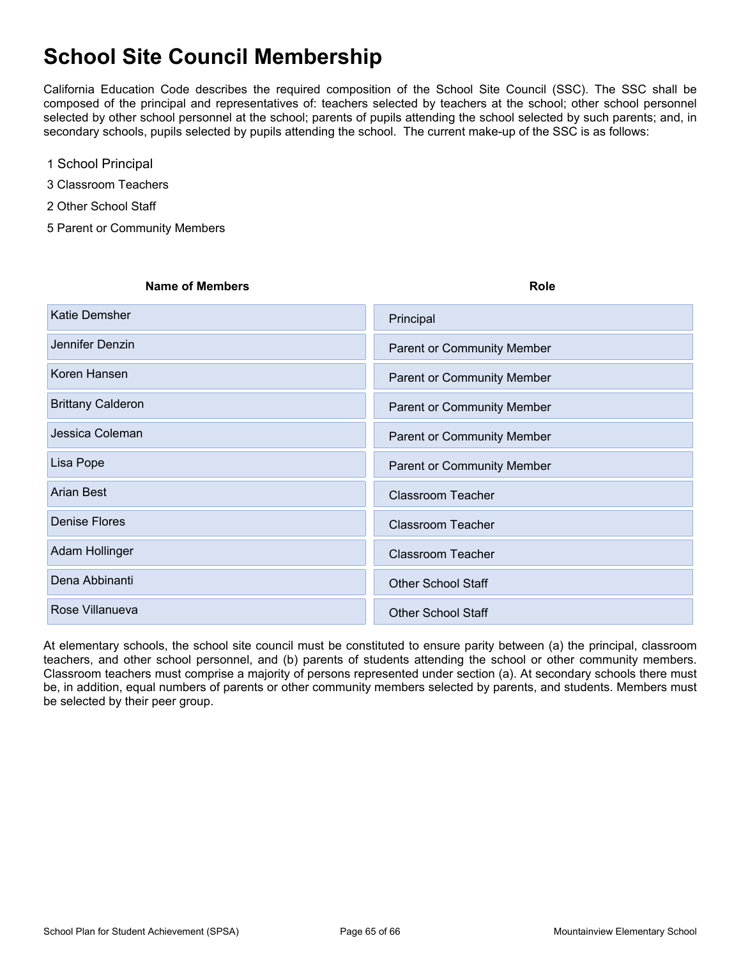## <span id="page-64-0"></span>**School Site Council Membership**

California Education Code describes the required composition of the School Site Council (SSC). The SSC shall be composed of the principal and representatives of: teachers selected by teachers at the school; other school personnel selected by other school personnel at the school; parents of pupils attending the school selected by such parents; and, in secondary schools, pupils selected by pupils attending the school. The current make-up of the SSC is as follows:

- 1 School Principal
- 3 Classroom Teachers
- 2 Other School Staff
- 5 Parent or Community Members

| <b>Name of Members</b>   | <b>Role</b>                       |
|--------------------------|-----------------------------------|
| <b>Katie Demsher</b>     | Principal                         |
| Jennifer Denzin          | <b>Parent or Community Member</b> |
| Koren Hansen             | Parent or Community Member        |
| <b>Brittany Calderon</b> | <b>Parent or Community Member</b> |
| Jessica Coleman          | <b>Parent or Community Member</b> |
| Lisa Pope                | <b>Parent or Community Member</b> |
| <b>Arian Best</b>        | <b>Classroom Teacher</b>          |
| <b>Denise Flores</b>     | <b>Classroom Teacher</b>          |
| Adam Hollinger           | <b>Classroom Teacher</b>          |
| Dena Abbinanti           | <b>Other School Staff</b>         |
| Rose Villanueva          | <b>Other School Staff</b>         |

At elementary schools, the school site council must be constituted to ensure parity between (a) the principal, classroom teachers, and other school personnel, and (b) parents of students attending the school or other community members. Classroom teachers must comprise a majority of persons represented under section (a). At secondary schools there must be, in addition, equal numbers of parents or other community members selected by parents, and students. Members must be selected by their peer group.